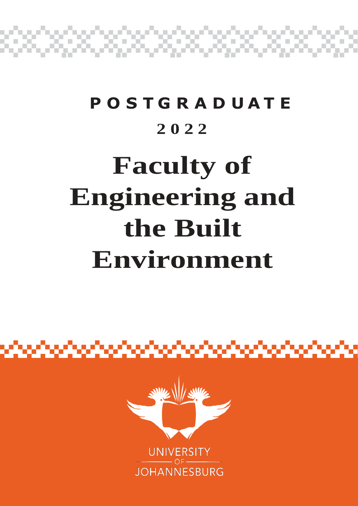

## **P O S T G R A D U A T E 2 0 2 2**

# **Faculty of Engineering and the Built Environment**



alamatan ing kabupatèn Pangunan Suma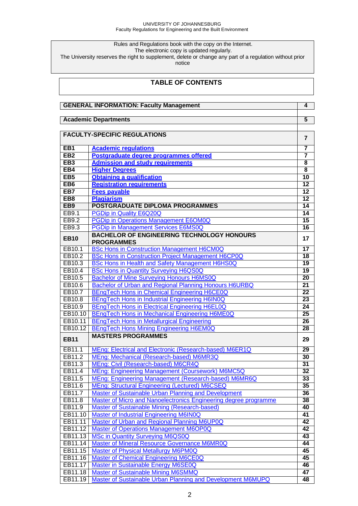#### UNIVERSITY OF JOHANNESBURG Faculty Regulations for Engineering and the Built Environment

Rules and Regulations book with the copy on the Internet.

The electronic copy is updated regularly.

The University reserves the right to supplement, delete or change any part of a regulation without prior

notice

## **TABLE OF CONTENTS**

| <b>GENERAL INFORMATION: Faculty Management</b> |                                                                  |                         |  |
|------------------------------------------------|------------------------------------------------------------------|-------------------------|--|
|                                                |                                                                  | $\overline{5}$          |  |
| <b>Academic Departments</b>                    |                                                                  |                         |  |
|                                                | <b>FACULTY-SPECIFIC REGULATIONS</b>                              |                         |  |
|                                                |                                                                  | $\overline{7}$          |  |
| EB <sub>1</sub>                                | <b>Academic regulations</b>                                      | 7                       |  |
| EB2                                            | Postgraduate degree programmes offered                           | $\overline{\mathbf{7}}$ |  |
| EB <sub>3</sub>                                | <b>Admission and study requirements</b>                          | $\overline{\mathbf{8}}$ |  |
| EB <sub>4</sub>                                | <b>Higher Degrees</b>                                            | $\overline{\mathbf{8}}$ |  |
| EB <sub>5</sub>                                | <b>Obtaining a qualification</b>                                 | 10                      |  |
| EB <sub>6</sub>                                | <b>Registration requirements</b>                                 | $\overline{12}$         |  |
| EB7                                            | <b>Fees payable</b>                                              | $\overline{12}$         |  |
| EB <sub>8</sub>                                | <b>Plagiarism</b>                                                | $\overline{12}$         |  |
| EB9                                            | POSTGRADUATE DIPLOMA PROGRAMMES                                  | 14                      |  |
| EB9.1                                          | <b>PGDip in Quality E6Q20Q</b>                                   | $\overline{14}$         |  |
| EB9.2                                          | <b>PGDip in Operations Management E6OM0Q</b>                     | $\overline{15}$         |  |
| EB9.3                                          | <b>PGDip in Management Services E6MS0Q</b>                       | 16                      |  |
|                                                | <b>BACHELOR OF ENGINEERING TECHNOLOGY HONOURS</b>                |                         |  |
| <b>EB10</b>                                    | <b>PROGRAMMES</b>                                                | 17                      |  |
| EB10.1                                         | <b>BSc Hons in Construction Management H6CM0Q</b>                | $\overline{17}$         |  |
| EB10.2                                         | <b>BSc Hons in Construction Project Management H6CP0Q</b>        | 18                      |  |
| EB10.3                                         | <b>BSc Hons in Health and Safety Management H6HS0Q</b>           | 19                      |  |
| EB10.4                                         | <b>BSc Hons in Quantity Surveying H6QS0Q</b>                     | 19                      |  |
| EB10.5                                         | <b>Bachelor of Mine Surveying Honours H6MS0Q</b>                 | $\overline{20}$         |  |
| EB10.6                                         | Bachelor of Urban and Regional Planning Honours H6URBQ           | $\overline{21}$         |  |
| EB10.7                                         | <b>BEngTech Hons in Chemical Engineering H6CE0Q</b>              | $\overline{22}$         |  |
| EB10.8                                         | BEngTech Hons in Industrial Engineering H6IN0Q                   | $\overline{23}$         |  |
| EB10.9                                         | <b>BEngTech Hons in Electrical Engineering H6EL0Q</b>            | $\overline{24}$         |  |
| EB10.10                                        | <b>BEngTech Hons in Mechanical Engineering H6ME0Q</b>            | $\overline{25}$         |  |
| EB10.11                                        | <b>BEngTech Hons in Metallurgical Engineering</b>                | $\overline{26}$         |  |
| EB10.12                                        | <b>BEngTech Hons Mining Engineering H6EM0Q</b>                   | 28                      |  |
| <b>EB11</b>                                    | <b>MASTERS PROGRAMMES</b>                                        | 29                      |  |
| EB11.1                                         | MEng: Electrical and Electronic (Research-based) M6ER1Q          | $\overline{29}$         |  |
| EB11.2                                         | MEng: Mechanical (Research-based) M6MR3Q                         | 30                      |  |
| EB11.3                                         | MEng: Civil (Research-based) M6CR4Q                              | $\overline{31}$         |  |
| EB11.4                                         | MEng: Engineering Management (Coursework) M6MC5Q                 | $\overline{32}$         |  |
| EB11.5                                         | MEng: Engineering Management (Research-based) M6MR6Q             | 33                      |  |
| EB11.6                                         | <b>MEng: Structural Engineering (Lectured) M6CSEQ</b>            | 35                      |  |
| EB11.7                                         | <b>Master of Sustainable Urban Planning and Development</b>      | 36                      |  |
| EB11.8                                         | Master of Micro and Nanoelectronics Engineering degree programme | 38                      |  |
| EB11.9                                         | <b>Master of Sustainable Mining (Research-based)</b>             | 40                      |  |
| EB11.10                                        | <b>Master of Industrial Engineering M6IN0Q</b>                   | 41                      |  |
| EB11.11                                        | Master of Urban and Regional Planning M6UP0Q                     | 42                      |  |
| EB11.12                                        | <b>Master of Operations Management M6OP0Q</b>                    | 42                      |  |
| EB11.13                                        | <b>MSc in Quantity Surveying M6QS0Q</b>                          | 43                      |  |
| EB11.14                                        | <b>Master of Mineral Resource Governance M6MR0Q</b>              | 44                      |  |
| EB11.15                                        | <b>Master of Physical Metallurgy M6PM0Q</b>                      | 45                      |  |
| EB11.16                                        | <b>Master of Chemical Engineering M6CE0Q</b>                     | 45                      |  |
| EB11.17                                        | <b>Master in Sustainable Energy M6SE0Q</b>                       | 46                      |  |
| EB11.18                                        | <b>Master of Sustainable Mining M6SMMQ</b>                       | 47                      |  |
| EB11.19                                        | Master of Sustainable Urban Planning and Development M6MUPQ      | 48                      |  |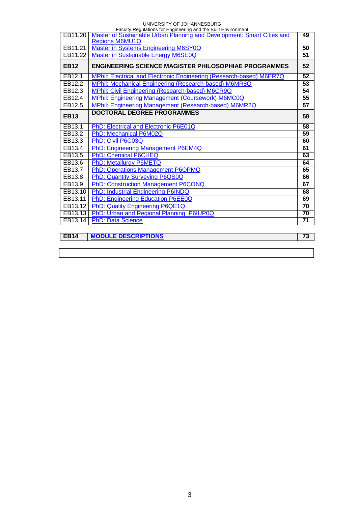#### UNIVERSITY OF JOHANNESBURG

| Faculty Regulations for Engineering and the Built Environment |                                                                        |                 |  |  |
|---------------------------------------------------------------|------------------------------------------------------------------------|-----------------|--|--|
| EB11.20                                                       | Master of Sustainable Urban Planning and Development: Smart Cities and | 49              |  |  |
|                                                               | <b>Regions M6MU1Q</b>                                                  |                 |  |  |
| EB11.21                                                       | <b>Master in Systems Engineering M6SY0Q</b>                            | 50              |  |  |
| EB11.22                                                       | Master in Sustainable Energy M6SE0Q                                    | 51              |  |  |
| <b>EB12</b>                                                   | <b>ENGINEERING SCIENCE MAGISTER PHILOSOPHIAE PROGRAMMES</b>            | 52              |  |  |
| EB12.1                                                        | MPhil: Electrical and Electronic Engineering (Research-based) M6ER7Q   | 52              |  |  |
| EB12.2                                                        | MPhil: Mechanical Engineering (Research-based) M6MR8Q                  | $\overline{53}$ |  |  |
| EB12.3                                                        | MPhil: Civil Engineering (Research-based) M6CR9Q                       | 54              |  |  |
| EB12.4                                                        | MPhil: Engineering Management (Coursework) M6MC0Q                      | 55              |  |  |
| EB12.5                                                        | MPhil: Engineering Management (Research-based) M6MR2Q                  | $\overline{57}$ |  |  |
| <b>EB13</b>                                                   | <b>DOCTORAL DEGREE PROGRAMMES</b>                                      | 58              |  |  |
| EB13.1                                                        | PhD: Electrical and Electronic P6E01Q                                  | $\overline{58}$ |  |  |
| EB13.2                                                        | PhD: Mechanical P6M02Q                                                 | 59              |  |  |
| EB13.3                                                        | PhD: Civil P6C03Q                                                      | 60              |  |  |
| EB13.4                                                        | PhD: Engineering Management P6EM4Q                                     | 61              |  |  |
| EB13.5                                                        | PhD: Chemical P6CHEQ                                                   | 63              |  |  |
| EB13.6                                                        | PhD: Metallurgy P6METQ                                                 | 64              |  |  |
| EB13.7                                                        | PhD: Operations Management P6OPMQ                                      | 65              |  |  |
| EB13.8                                                        | PhD: Quantity Surveying P6QS0Q                                         | 66              |  |  |
| EB13.9                                                        | PhD: Construction Management P6CONQ                                    | 67              |  |  |
| EB13.10                                                       | <b>PhD: Industrial Engineering P6INDQ</b>                              | 68              |  |  |
| EB13.11                                                       | PhD: Engineering Education P6EE0Q                                      | 69              |  |  |
| EB13.12                                                       | PhD: Quality Engineering P6QE1Q                                        | $\overline{70}$ |  |  |
| EB13.13                                                       | PhD: Urban and Regional Planning P6IUP0Q                               | 70              |  |  |
| EB13.14                                                       | <b>PhD: Data Science</b>                                               | 71              |  |  |
|                                                               |                                                                        |                 |  |  |

| $ $ EB14 | <b>MODULE DESCRIPTIONS</b> |  |
|----------|----------------------------|--|

3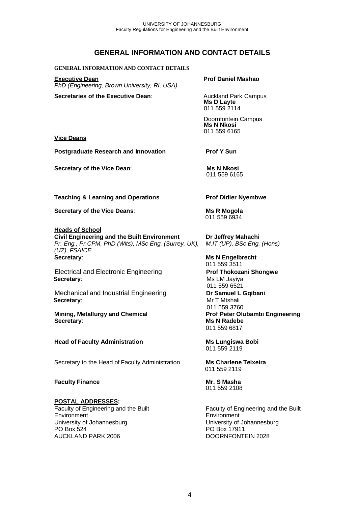## **GENERAL INFORMATION AND CONTACT DETAILS**

#### **GENERAL INFORMATION AND CONTACT DETAILS**

**Executive Dean Prof Daniel Mashao** *PhD (Engineering, Brown University, RI, USA)*

**Secretaries of the Executive Dean:** Auckland Park Campus

**Ms D Layte** 011 559 2114

Doornfontein Campus **Ms N Nkosi** 011 559 6165

#### **Vice Deans**

**Postgraduate Research and Innovation Prof Y Sun** 

**Secretary of the Vice Dean:** Ms N Nkosi

011 559 6165

**Teaching & Learning and Operations Prof Didier Nyembwe**

**Secretary of the Vice Deans**: **Ms R Mogola**

#### **Heads of School**

**Civil Engineering and the Built Environment Dr Jeffrey Mahachi** *Pr. Eng., Pr.CPM, PhD (Wits), MSc Eng. (Surrey, UK), M.IT (UP), BSc Eng. (Hons) (UZ), FSAICE* **Secretary**: **Ms N Engelbrecht**

 Electrical and Electronic Engineering **Prof Thokozani Shongwe Secretary:** Ms LM Jayiya

 Mechanical and Industrial Engineering **Dr Samuel L Gqibani Secretary**:Mr T Mtshali

**Mining, Metallurgy and Chemical Prof Peter Olubambi Engineering Secretary**: **Ms N Radebe**

**Head of Faculty Administration Ms Lungiswa Bobi**

Secretary to the Head of Faculty Administration **Ms Charlene Teixeira**

#### **Faculty Finance Mr. S Masha**

#### **POSTAL ADDRESSES:**

Faculty of Engineering and the Built Environment University of Johannesburg PO Box 524 AUCKLAND PARK 2006

011 559 6934

011 559 3511 011 559 6521 011 559 3760 011 559 6817

011 559 2119

011 559 2119

011 559 2108

Faculty of Engineering and the Built Environment University of Johannesburg PO Box 17911 DOORNFONTEIN 2028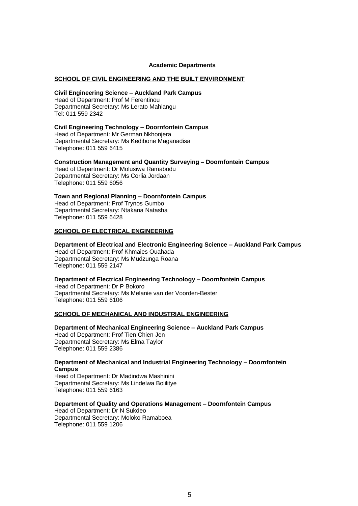#### **Academic Departments**

#### **SCHOOL OF CIVIL ENGINEERING AND THE BUILT ENVIRONMENT**

#### **Civil Engineering Science – Auckland Park Campus**

Head of Department: Prof M Ferentinou Departmental Secretary: Ms Lerato Mahlangu Tel: 011 559 2342

#### **Civil Engineering Technology – Doornfontein Campus**

Head of Department: Mr German Nkhonjera Departmental Secretary: Ms Kedibone Maganadisa Telephone: 011 559 6415

#### **Construction Management and Quantity Surveying – Doornfontein Campus**

Head of Department: Dr Molusiwa Ramabodu Departmental Secretary: Ms Corlia Jordaan Telephone: 011 559 6056

#### **Town and Regional Planning – Doornfontein Campus**

Head of Department: Prof Trynos Gumbo Departmental Secretary: Ntakana Natasha Telephone: 011 559 6428

#### **SCHOOL OF ELECTRICAL ENGINEERING**

#### **Department of Electrical and Electronic Engineering Science – Auckland Park Campus**

Head of Department: Prof Khmaies Ouahada Departmental Secretary: Ms Mudzunga Roana Telephone: 011 559 2147

#### **Department of Electrical Engineering Technology – Doornfontein Campus** Head of Department: Dr P Bokoro Departmental Secretary: Ms Melanie van der Voorden-Bester Telephone: 011 559 6106

#### **SCHOOL OF MECHANICAL AND INDUSTRIAL ENGINEERING**

**Department of Mechanical Engineering Science – Auckland Park Campus** Head of Department: Prof Tien Chien Jen Departmental Secretary: Ms Elma Taylor Telephone: 011 559 2386

#### **Department of Mechanical and Industrial Engineering Technology – Doornfontein Campus**

Head of Department: Dr Madindwa Mashinini Departmental Secretary: Ms Lindelwa Bolilitye Telephone: 011 559 6163

#### **Department of Quality and Operations Management – Doornfontein Campus**

Head of Department: Dr N Sukdeo Departmental Secretary: Moloko Ramaboea Telephone: 011 559 1206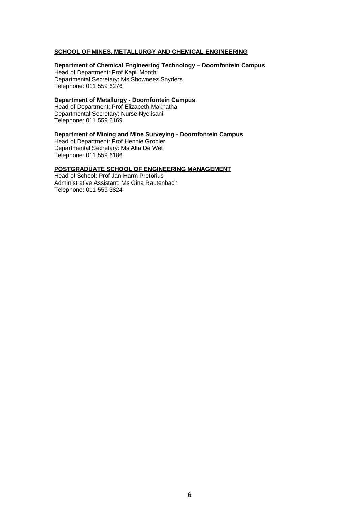#### **SCHOOL OF MINES, METALLURGY AND CHEMICAL ENGINEERING**

**Department of Chemical Engineering Technology – Doornfontein Campus** Head of Department: Prof Kapil Moothi Departmental Secretary: Ms Showneez Snyders Telephone: 011 559 6276

**Department of Metallurgy - Doornfontein Campus** 

Head of Department: Prof Elizabeth Makhatha Departmental Secretary: Nurse Nyelisani Telephone: 011 559 6169

**Department of Mining and Mine Surveying - Doornfontein Campus**

Head of Department: Prof Hennie Grobler Departmental Secretary: Ms Alta De Wet Telephone: 011 559 6186

#### **POSTGRADUATE SCHOOL OF ENGINEERING MANAGEMENT**

Head of School: Prof Jan-Harm Pretorius Administrative Assistant: Ms Gina Rautenbach Telephone: 011 559 3824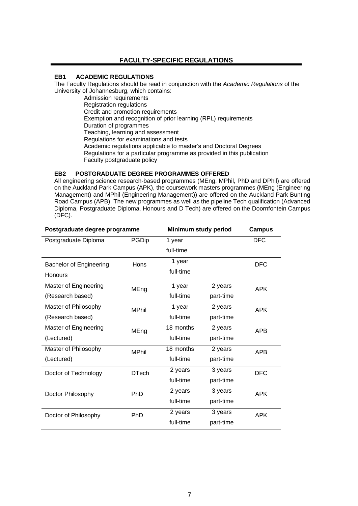## **FACULTY-SPECIFIC REGULATIONS**

## <span id="page-6-1"></span>**EB1 ACADEMIC REGULATIONS**

The Faculty Regulations should be read in conjunction with the *Academic Regulations* of the University of Johannesburg, which contains:

Admission requirements Registration regulations Credit and promotion requirements Exemption and recognition of prior learning (RPL) requirements Duration of programmes Teaching, learning and assessment Regulations for examinations and tests Academic regulations applicable to master's and Doctoral Degrees Regulations for a particular programme as provided in this publication Faculty postgraduate policy

#### <span id="page-6-0"></span>**EB2 POSTGRADUATE DEGREE PROGRAMMES OFFERED**

All engineering science research-based programmes (MEng, MPhil, PhD and DPhil) are offered on the Auckland Park Campus (APK), the coursework masters programmes (MEng (Engineering Management) and MPhil (Engineering Management)) are offered on the Auckland Park Bunting Road Campus (APB). The new programmes as well as the pipeline Tech qualification (Advanced Diploma, Postgraduate Diploma, Honours and D Tech) are offered on the Doornfontein Campus (DFC).

| Postgraduate degree programme  | Minimum study period |           | <b>Campus</b> |            |
|--------------------------------|----------------------|-----------|---------------|------------|
| Postgraduate Diploma           | PGDip                | 1 year    |               | <b>DFC</b> |
|                                |                      | full-time |               |            |
| <b>Bachelor of Engineering</b> | Hons                 | 1 year    |               | <b>DFC</b> |
| <b>Honours</b>                 |                      | full-time |               |            |
| Master of Engineering          | MEng                 | 1 year    | 2 years       | <b>APK</b> |
| (Research based)               |                      | full-time | part-time     |            |
| Master of Philosophy           | <b>MPhil</b>         | 1 year    | 2 years       | <b>APK</b> |
| (Research based)               |                      | full-time | part-time     |            |
| Master of Engineering          | MEng                 | 18 months | 2 years       | <b>APB</b> |
| (Lectured)                     |                      | full-time | part-time     |            |
| Master of Philosophy           | <b>MPhil</b>         | 18 months | 2 years       | <b>APB</b> |
| (Lectured)                     |                      | full-time | part-time     |            |
| Doctor of Technology           | <b>DTech</b>         | 2 years   | 3 years       | <b>DFC</b> |
|                                |                      | full-time | part-time     |            |
| Doctor Philosophy              | PhD                  | 2 years   | 3 years       | <b>APK</b> |
|                                |                      | full-time | part-time     |            |
| Doctor of Philosophy           | PhD                  | 2 years   | 3 years       | <b>APK</b> |
|                                |                      | full-time | part-time     |            |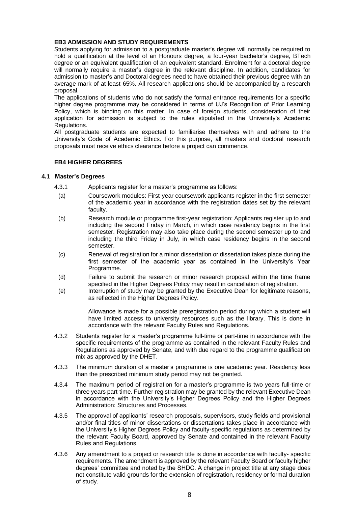#### **EB3 ADMISSION AND STUDY REQUIREMENTS**

Students applying for admission to a postgraduate master's degree will normally be required to hold a qualification at the level of an Honours degree, a four-year bachelor's degree, BTech degree or an equivalent qualification of an equivalent standard. Enrolment for a doctoral degree will normally require a master's degree in the relevant discipline. In addition, candidates for admission to master's and Doctoral degrees need to have obtained their previous degree with an average mark of at least 65%. All research applications should be accompanied by a research proposal.

The applications of students who do not satisfy the formal entrance requirements for a specific higher degree programme may be considered in terms of UJ's Recognition of Prior Learning Policy, which is binding on this matter. In case of foreign students, consideration of their application for admission is subject to the rules stipulated in the University's Academic Regulations.

All postgraduate students are expected to familiarise themselves with and adhere to the University's Code of Academic Ethics. For this purpose, all masters and doctoral research proposals must receive ethics clearance before a project can commence.

#### **EB4 HIGHER DEGREES**

#### **4.1 Master's Degrees**

- 4.3.1 Applicants register for a master's programme as follows:
	- (a) Coursework modules: First-year coursework applicants register in the first semester of the academic year in accordance with the registration dates set by the relevant faculty.
	- (b) Research module or programme first-year registration: Applicants register up to and including the second Friday in March, in which case residency begins in the first semester. Registration may also take place during the second semester up to and including the third Friday in July, in which case residency begins in the second semester.
	- (c) Renewal of registration for a minor dissertation or dissertation takes place during the first semester of the academic year as contained in the University's Year Programme.
	- (d) Failure to submit the research or minor research proposal within the time frame specified in the Higher Degrees Policy may result in cancellation of registration.
	- (e) Interruption of study may be granted by the Executive Dean for legitimate reasons, as reflected in the Higher Degrees Policy.

Allowance is made for a possible preregistration period during which a student will have limited access to university resources such as the library. This is done in accordance with the relevant Faculty Rules and Regulations.

- 4.3.2 Students register for a master's programme full-time or part-time in accordance with the specific requirements of the programme as contained in the relevant Faculty Rules and Regulations as approved by Senate, and with due regard to the programme qualification mix as approved by the DHET.
- 4.3.3 The minimum duration of a master's programme is one academic year. Residency less than the prescribed minimum study period may not be granted.
- 4.3.4 The maximum period of registration for a master's programme is two years full-time or three years part-time. Further registration may be granted by the relevant Executive Dean in accordance with the University's Higher Degrees Policy and the Higher Degrees Administration: Structures and Processes.
- 4.3.5 The approval of applicants' research proposals, supervisors, study fields and provisional and/or final titles of minor dissertations or dissertations takes place in accordance with the University's Higher Degrees Policy and faculty-specific regulations as determined by the relevant Faculty Board, approved by Senate and contained in the relevant Faculty Rules and Regulations.
- 4.3.6 Any amendment to a project or research title is done in accordance with faculty- specific requirements. The amendment is approved by the relevant Faculty Board or faculty higher degrees' committee and noted by the SHDC. A change in project title at any stage does not constitute valid grounds for the extension of registration, residency or formal duration of study.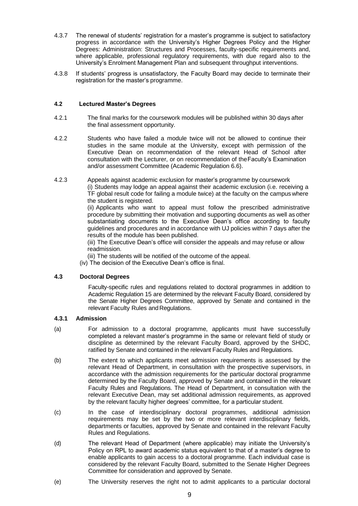- 4.3.7 The renewal of students' registration for a master's programme is subject to satisfactory progress in accordance with the University's Higher Degrees Policy and the Higher Degrees: Administration: Structures and Processes, faculty-specific requirements and, where applicable, professional regulatory requirements, with due regard also to the University's Enrolment Management Plan and subsequent throughput interventions.
- 4.3.8 If students' progress is unsatisfactory, the Faculty Board may decide to terminate their registration for the master's programme.

#### **4.2 Lectured Master's Degrees**

- 4.2.1 The final marks for the coursework modules will be published within 30 days after the final assessment opportunity.
- 4.2.2 Students who have failed a module twice will not be allowed to continue their studies in the same module at the University, except with permission of the Executive Dean on recommendation of the relevant Head of School after consultation with the Lecturer, or on recommendation of theFaculty's Examination and/or assessment Committee (Academic Regulation 6.6).
- 4.2.3 Appeals against academic exclusion for master's programme by coursework (i) Students may lodge an appeal against their academic exclusion (i.e. receiving a TF global result code for failing a module twice) at the faculty on the campus where the student is registered. (ii) Applicants who want to appeal must follow the prescribed administrative

procedure by submitting their motivation and supporting documents as well as other substantiating documents to the Executive Dean's office according to faculty guidelines and procedures and in accordance with UJ policies within 7 days after the results of the module has been published.

(iii) The Executive Dean's office will consider the appeals and may refuse or allow readmission.

(iii) The students will be notified of the outcome of the appeal.

(iv) The decision of the Executive Dean's office is final.

#### **4.3 Doctoral Degrees**

Faculty-specific rules and regulations related to doctoral programmes in addition to Academic Regulation 15 are determined by the relevant Faculty Board, considered by the Senate Higher Degrees Committee, approved by Senate and contained in the relevant Faculty Rules and Regulations.

#### **4.3.1 Admission**

- (a) For admission to a doctoral programme, applicants must have successfully completed a relevant master's programme in the same or relevant field of study or discipline as determined by the relevant Faculty Board, approved by the SHDC, ratified by Senate and contained in the relevant Faculty Rules and Regulations.
- (b) The extent to which applicants meet admission requirements is assessed by the relevant Head of Department, in consultation with the prospective supervisors, in accordance with the admission requirements for the particular doctoral programme determined by the Faculty Board, approved by Senate and contained in the relevant Faculty Rules and Regulations. The Head of Department, in consultation with the relevant Executive Dean, may set additional admission requirements, as approved by the relevant faculty higher degrees' committee, for a particular student.
- (c) In the case of interdisciplinary doctoral programmes, additional admission requirements may be set by the two or more relevant interdisciplinary fields, departments or faculties, approved by Senate and contained in the relevant Faculty Rules and Regulations.
- (d) The relevant Head of Department (where applicable) may initiate the University's Policy on RPL to award academic status equivalent to that of a master's degree to enable applicants to gain access to a doctoral programme. Each individual case is considered by the relevant Faculty Board, submitted to the Senate Higher Degrees Committee for consideration and approved by Senate.
- (e) The University reserves the right not to admit applicants to a particular doctoral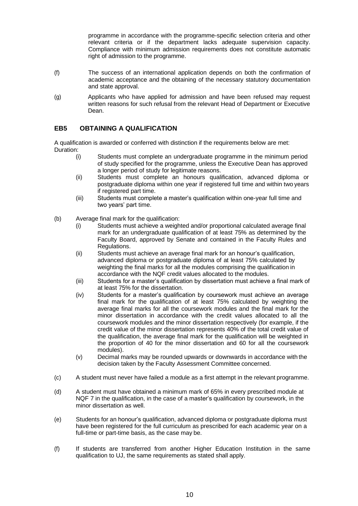programme in accordance with the programme-specific selection criteria and other relevant criteria or if the department lacks adequate supervision capacity. Compliance with minimum admission requirements does not constitute automatic right of admission to the programme.

- (f) The success of an international application depends on both the confirmation of academic acceptance and the obtaining of the necessary statutory documentation and state approval.
- (g) Applicants who have applied for admission and have been refused may request written reasons for such refusal from the relevant Head of Department or Executive Dean.

#### <span id="page-9-0"></span>**EB5 OBTAINING A QUALIFICATION**

A qualification is awarded or conferred with distinction if the requirements below are met: Duration:

- (i) Students must complete an undergraduate programme in the minimum period of study specified for the programme, unless the Executive Dean has approved a longer period of study for legitimate reasons.
- (ii) Students must complete an honours qualification, advanced diploma or postgraduate diploma within one year if registered full time and within two years if registered part time.
- (iii) Students must complete a master's qualification within one-year full time and two years' part time.
- (b) Average final mark for the qualification:
	- (i) Students must achieve a weighted and/or proportional calculated average final mark for an undergraduate qualification of at least 75% as determined by the Faculty Board, approved by Senate and contained in the Faculty Rules and Regulations.
	- (ii) Students must achieve an average final mark for an honour's qualification, advanced diploma or postgraduate diploma of at least 75% calculated by weighting the final marks for all the modules comprising the qualification in accordance with the NQF credit values allocated to the modules.
	- (iii) Students for a master's qualification by dissertation must achieve a final mark of at least 75% for the dissertation.
	- (iv) Students for a master's qualification by coursework must achieve an average final mark for the qualification of at least 75% calculated by weighting the average final marks for all the coursework modules and the final mark for the minor dissertation in accordance with the credit values allocated to all the coursework modules and the minor dissertation respectively (for example, if the credit value of the minor dissertation represents 40% of the total credit value of the qualification, the average final mark for the qualification will be weighted in the proportion of 40 for the minor dissertation and 60 for all the coursework modules).
	- (v) Decimal marks may be rounded upwards or downwards in accordance with the decision taken by the Faculty Assessment Committee concerned.
- (c) A student must never have failed a module as a first attempt in the relevant programme.
- (d) A student must have obtained a minimum mark of 65% in every prescribed module at NQF 7 in the qualification, in the case of a master's qualification by coursework, in the minor dissertation as well
- (e) Students for an honour's qualification, advanced diploma or postgraduate diploma must have been registered for the full curriculum as prescribed for each academic year on a full-time or part-time basis, as the case may be.
- (f) If students are transferred from another Higher Education Institution in the same qualification to UJ, the same requirements as stated shall apply.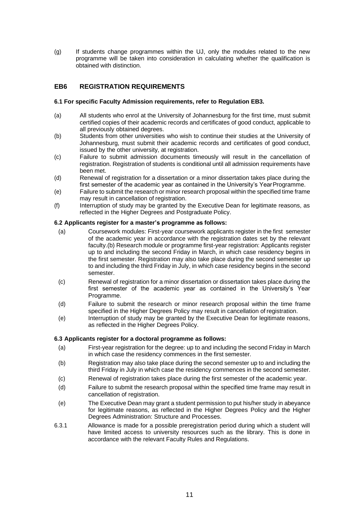(g) If students change programmes within the UJ, only the modules related to the new programme will be taken into consideration in calculating whether the qualification is obtained with distinction.

#### <span id="page-10-0"></span>**EB6 REGISTRATION REQUIREMENTS**

#### **6.1 For specific Faculty Admission requirements, refer to Regulation EB3.**

- (a) All students who enrol at the University of Johannesburg for the first time, must submit certified copies of their academic records and certificates of good conduct, applicable to all previously obtained degrees.
- (b) Students from other universities who wish to continue their studies at the University of Johannesburg, must submit their academic records and certificates of good conduct, issued by the other university, at registration.
- (c) Failure to submit admission documents timeously will result in the cancellation of registration. Registration of students is conditional until all admission requirements have been met.
- (d) Renewal of registration for a dissertation or a minor dissertation takes place during the first semester of the academic year as contained in the University's Year Programme.
- (e) Failure to submit the research or minor research proposal within the specified time frame may result in cancellation of registration.
- (f) Interruption of study may be granted by the Executive Dean for legitimate reasons, as reflected in the Higher Degrees and Postgraduate Policy.

#### **6.2 Applicants register for a master's programme as follows:**

- (a) Coursework modules: First-year coursework applicants register in the first semester of the academic year in accordance with the registration dates set by the relevant faculty.(b) Research module or programme first-year registration: Applicants register up to and including the second Friday in March, in which case residency begins in the first semester. Registration may also take place during the second semester up to and including the third Friday in July, in which case residency begins in the second semester.
- (c) Renewal of registration for a minor dissertation or dissertation takes place during the first semester of the academic year as contained in the University's Year Programme.
- (d) Failure to submit the research or minor research proposal within the time frame specified in the Higher Degrees Policy may result in cancellation of registration.
- (e) Interruption of study may be granted by the Executive Dean for legitimate reasons, as reflected in the Higher Degrees Policy.

#### **6.3 Applicants register for a doctoral programme as follows:**

- (a) First-year registration for the degree: up to and including the second Friday in March in which case the residency commences in the first semester.
- (b) Registration may also take place during the second semester up to and including the third Friday in July in which case the residency commences in the second semester.
- (c) Renewal of registration takes place during the first semester of the academic year.
- (d) Failure to submit the research proposal within the specified time frame may result in cancellation of registration.
- (e) The Executive Dean may grant a student permission to put his/her study in abeyance for legitimate reasons, as reflected in the Higher Degrees Policy and the Higher Degrees Administration: Structure and Processes.
- 6.3.1 Allowance is made for a possible preregistration period during which a student will have limited access to university resources such as the library. This is done in accordance with the relevant Faculty Rules and Regulations.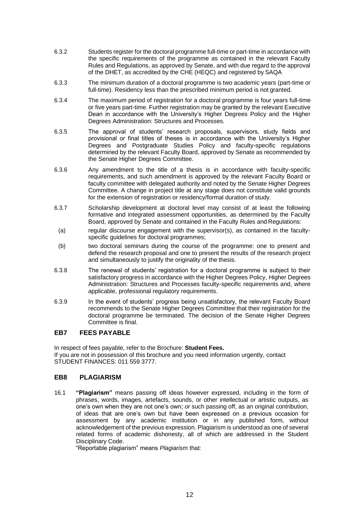- 6.3.2 Students register for the doctoral programme full-time or part-time in accordance with the specific requirements of the programme as contained in the relevant Faculty Rules and Regulations, as approved by Senate, and with due regard to the approval of the DHET, as accredited by the CHE (HEQC) and registered by SAQA
- 6.3.3 The minimum duration of a doctoral programme is two academic years (part-time or full-time). Residency less than the prescribed minimum period is not granted.
- 6.3.4 The maximum period of registration for a doctoral programme is four years full-time or five years part-time. Further registration may be granted by the relevant Executive Dean in accordance with the University's Higher Degrees Policy and the Higher Degrees Administration: Structures and Processes.
- 6.3.5 The approval of students' research proposals, supervisors, study fields and provisional or final titles of theses is in accordance with the University's Higher Degrees and Postgraduate Studies Policy and faculty-specific regulations determined by the relevant Faculty Board, approved by Senate as recommended by the Senate Higher Degrees Committee.
- 6.3.6 Any amendment to the title of a thesis is in accordance with faculty-specific requirements, and such amendment is approved by the relevant Faculty Board or faculty committee with delegated authority and noted by the Senate Higher Degrees Committee. A change in project title at any stage does not constitute valid grounds for the extension of registration or residency/formal duration of study.
- 6.3.7 Scholarship development at doctoral level may consist of at least the following formative and integrated assessment opportunities, as determined by the Faculty Board, approved by Senate and contained in the Faculty Rules and Regulations:
- (a) regular discourse engagement with the supervisor(s), as contained in the facultyspecific guidelines for doctoral programmes;
- (b) two doctoral seminars during the course of the programme: one to present and defend the research proposal and one to present the results of the research project and simultaneously to justify the originality of the thesis.
- 6.3.8 The renewal of students' registration for a doctoral programme is subject to their satisfactory progress in accordance with the Higher Degrees Policy, Higher Degrees Administration: Structures and Processes faculty-specific requirements and, where applicable, professional regulatory requirements.
- 6.3.9 In the event of students' progress being unsatisfactory, the relevant Faculty Board recommends to the Senate Higher Degrees Committee that their registration for the doctoral programme be terminated. The decision of the Senate Higher Degrees Committee is final.

#### <span id="page-11-0"></span>**EB7 FEES PAYABLE**

In respect of fees payable, refer to the Brochure: **Student Fees.** If you are not in possession of this brochure and you need information urgently, contact STUDENT FINANCES: 011 559 3777.

### **EB8 PLAGIARISM**

16.1 **"Plagiarism"** means passing off ideas however expressed, including in the form of phrases, words, images, artefacts, sounds, or other intellectual or artistic outputs, as one's own when they are not one's own; *or* such passing off, as an original contribution, of ideas that are one's own but have been expressed on a previous occasion for assessment by any academic institution or in any published form, without acknowledgement of the previous expression. Plagiarism is understood as one of several related forms of academic dishonesty, all of which are addressed in the Student Disciplinary Code.

"Reportable plagiarism" means *Plagiarism* that: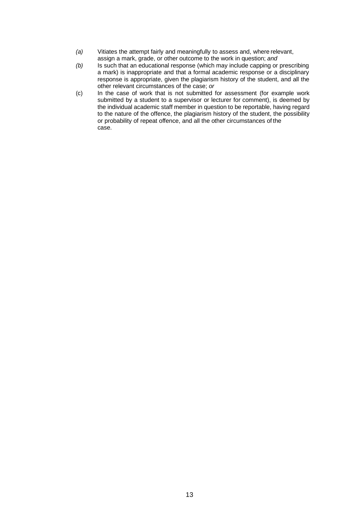- *(a)* Vitiates the attempt fairly and meaningfully to assess and, where relevant, assign a mark, grade, or other outcome to the work in question; *and*
- *(b)* Is such that an educational response (which may include capping or prescribing a mark) is inappropriate and that a formal academic response or a disciplinary response is appropriate, given the plagiarism history of the student, and all the other relevant circumstances of the case; *or*
- (c) In the case of work that is not submitted for assessment (for example work submitted by a student to a supervisor or lecturer for comment), is deemed by the individual academic staff member in question to be reportable, having regard to the nature of the offence, the plagiarism history of the student, the possibility or probability of repeat offence, and all the other circumstances of the case.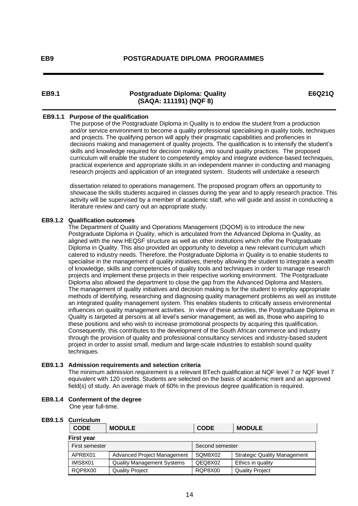#### **EB9.1 Postgraduate Diploma: Quality (SAQA: 111191) (NQF 8)**

#### **E6Q21Q**

#### **EB9.1.1 Purpose of the qualification**

 The purpose of the Postgraduate Diploma in Quality is to endow the student from a production and/or service environment to become a quality professional specialising in quality tools, techniques and projects. The qualifying person will apply their pragmatic capabilities and profiencies in decisions making and management of quality projects. The qualification is to intensify the student's skills and knowledge required for decision making, into sound quality practices. The proposed curriculum will enable the student to competently employ and integrate evidence-based techniques, practical experience and appropriate skills in an independent manner in conducting and managing research projects and application of an integrated system. Students will undertake a research

 dissertation related to operations management. The proposed program offers an opportunity to showcase the skills students acquired in classes during the year and to apply research practice. This activity will be supervised by a member of academic staff, who will guide and assist in conducting a literature review and carry out an appropriate study.

#### **EB9.1.2 Qualification outcomes**

 The Department of Quality and Operations Management (DQOM) is to introduce the new Postgraduate Diploma in Quality, which is articulated from the Advanced Diploma in Quality, as aligned with the new HEQSF structure as well as other institutions which offer the Postgraduate Diploma in Quality. This also provided an opportunity to develop a new relevant curriculum which catered to industry needs. Therefore, the Postgraduate Diploma in Quality is to enable students to specialise in the management of quality initiatives, thereby allowing the student to integrate a wealth of knowledge, skills and competencies of quality tools and techniques in order to manage research projects and implement these projects in their respective working environment. The Postgraduate Diploma also allowed the department to close the gap from the Advanced Diploma and Masters. The management of quality initiatives and decision making is for the student to employ appropriate methods of identifying, researching and diagnosing quality management problems as well as institute an integrated quality management system. This enables students to critically assess environmental influences on quality management activities. In view of these activities, the Postgraduate Diploma in Quality is targeted at persons at all level's senior management, as well as, those who aspiring to these positions and who wish to increase promotional prospects by acquiring this qualification. Consequently, this contributes to the development of the South African commerce and industry through the provision of quality and professional consultancy services and industry-based student project in order to assist small, medium and large-scale industries to establish sound quality techniques.

#### **EB9.1.3 Admission requirements and selection criteria**

 The minimum admission requirement is a relevant BTech qualification at NQF level 7 or NQF level 7 equivalent with 120 credits. Students are selected on the basis of academic merit and an approved field(s) of study. An average mark of 60% in the previous degree qualification is required.

#### **EB9.1.4 Conferment of the degree** One year full-time.

## **EB9.1.5 Curriculum**

| <b>CODE</b>       | <b>MODULE</b>                     | <b>CODE</b>     | <b>MODULE</b>                       |
|-------------------|-----------------------------------|-----------------|-------------------------------------|
| <b>First year</b> |                                   |                 |                                     |
| First semester    |                                   | Second semester |                                     |
| APR8X01           | Advanced Project Management       | SQM8X02         | <b>Strategic Quality Management</b> |
| IMS8X01           | <b>Quality Management Systems</b> | QEQ8X02         | Ethics in quality                   |
| RQP8X00           | <b>Quality Project</b>            | RQP8X00         | <b>Quality Project</b>              |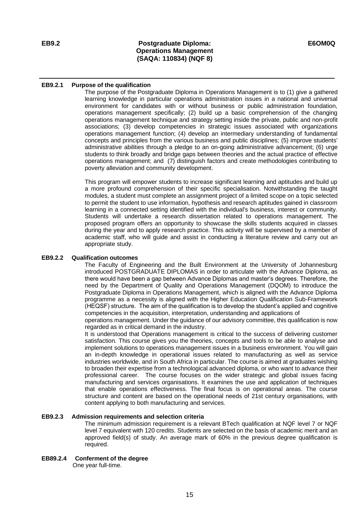#### **EB9.2 Postgraduate Diploma: Operations Management (SAQA: 110834) (NQF 8)**

#### **EB9.2.1 Purpose of the qualification**

The purpose of the Postgraduate Diploma in Operations Management is to (1) give a gathered learning knowledge in particular operations administration issues in a national and universal environment for candidates with or without business or public administration foundation, operations management specifically; (2) build up a basic comprehension of the changing operations management technique and strategy setting inside the private, public and non-profit associations; (3) develop competencies in strategic issues associated with organizations operations management function; (4) develop an intermediary understanding of fundamental concepts and principles from the various business and public disciplines; (5) improve students' administrative abilities through a pledge to an on-going administrative advancement; (6) urge students to think broadly and bridge gaps between theories and the actual practice of effective operations management; and (7) distinguish factors and create methodologies contributing to poverty alleviation and community development.

This program will empower students to increase significant learning and aptitudes and build up a more profound comprehension of their specific specialisation. Notwithstanding the taught modules, a student must complete an assignment project of a limited scope on a topic selected to permit the student to use information, hypothesis and research aptitudes gained in classroom learning in a connected setting identified with the individual's business, interest or community. Students will undertake a research dissertation related to operations management. The proposed program offers an opportunity to showcase the skills students acquired in classes during the year and to apply research practice. This activity will be supervised by a member of academic staff, who will guide and assist in conducting a literature review and carry out an appropriate study.

#### **EB9.2.2 Qualification outcomes**

The Faculty of Engineering and the Built Environment at the University of Johannesburg introduced POSTGRADUATE DIPLOMAS in order to articulate with the Advance Diploma, as there would have been a gap between Advance Diplomas and master's degrees. Therefore, the need by the Department of Quality and Operations Management (DQOM) to introduce the Postgraduate Diploma in Operations Management, which is aligned with the Advance Diploma programme as a necessity is aligned with the Higher Education Qualification Sub-Framework (HEQSF) structure. The aim of the qualification is to develop the student's applied and cognitive competencies in the acquisition, interpretation, understanding and applications of

operations management. Under the guidance of our advisory committee, this qualification is now regarded as in critical demand in the industry.

It is understood that Operations management is critical to the success of delivering customer satisfaction. This course gives you the theories, concepts and tools to be able to analyse and implement solutions to operations management issues in a business environment. You will gain an in-depth knowledge in operational issues related to manufacturing as well as service industries worldwide, and in South Africa in particular. The course is aimed at graduates wishing to broaden their expertise from a technological advanced diploma, or who want to advance their professional career. The course focuses on the wider strategic and global issues facing manufacturing and services organisations. It examines the use and application of techniques that enable operations effectiveness. The final focus is on operational areas. The course structure and content are based on the operational needs of 21st century organisations, with content applying to both manufacturing and services.

#### **EB9.2.3 Admission requirements and selection criteria**

The minimum admission requirement is a relevant BTech qualification at NQF level 7 or NQF level 7 equivalent with 120 credits. Students are selected on the basis of academic merit and an approved field(s) of study. An average mark of 60% in the previous degree qualification is required.

#### **EB89.2.4 Conferment of the degree** One year full-time.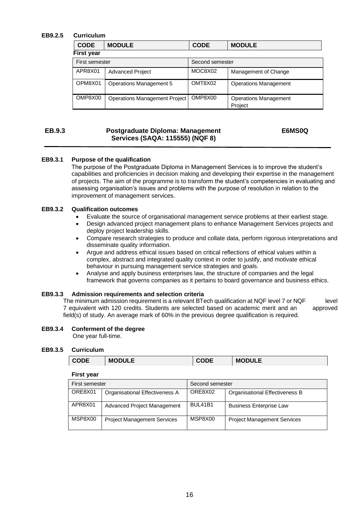#### **EB9.2.5 Curriculum**

| <b>CODE</b>       | <b>MODULE</b>                  | <b>CODE</b>     | <b>MODULE</b>                           |
|-------------------|--------------------------------|-----------------|-----------------------------------------|
| <b>First year</b> |                                |                 |                                         |
| First semester    |                                | Second semester |                                         |
| APR8X01           | <b>Advanced Project</b>        | MOC8X02         | Management of Change                    |
| OPM8X01           | <b>Operations Management 5</b> | OMT8X02         | <b>Operations Management</b>            |
| OMP8X00           | Operations Management Project  | OMP8X00         | <b>Operations Management</b><br>Project |

#### **EB.9.3 Postgraduate Diploma: Management Services (SAQA: 115555) (NQF 8)**

#### **E6MS0Q**

#### **EB9.3.1 Purpose of the qualification**

The purpose of the Postgraduate Diploma in Management Services is to improve the student's capabilities and proficiencies in decision making and developing their expertise in the management of projects. The aim of the programme is to transform the student's competencies in evaluating and assessing organisation's issues and problems with the purpose of resolution in relation to the improvement of management services.

#### **EB9.3.2 Qualification outcomes**

- Evaluate the source of organisational management service problems at their earliest stage.
- Design advanced project management plans to enhance Management Services projects and deploy project leadership skills.
- Compare research strategies to produce and collate data, perform rigorous interpretations and disseminate quality information.
- Argue and address ethical issues based on critical reflections of ethical values within a complex, abstract and integrated quality context in order to justify, and motivate ethical behaviour in pursuing management service strategies and goals.
- Analyse and apply business enterprises law, the structure of companies and the legal framework that governs companies as it pertains to board governance and business ethics.

#### **EB9.3.3 Admission requirements and selection criteria**

The minimum admission requirement is a relevant BTech qualification at NQF level 7 or NQF level 7 equivalent with 120 credits. Students are selected based on academic merit and an approved field(s) of study. An average mark of 60% in the previous degree qualification is required.

#### **EB9.3.4 Conferment of the degree**

One year full-time.

#### **EB9.3.5 Curriculum**

#### **First year**

| First semester |                                    | Second semester |                                    |
|----------------|------------------------------------|-----------------|------------------------------------|
| ORE8X01        | Organisational Effectiveness A     | ORE8X02         | Organisational Effectiveness B     |
| APR8X01        | Advanced Project Management        | <b>BUL41B1</b>  | <b>Business Enterprise Law</b>     |
| MSP8X00        | <b>Project Management Services</b> | MSP8X00         | <b>Project Management Services</b> |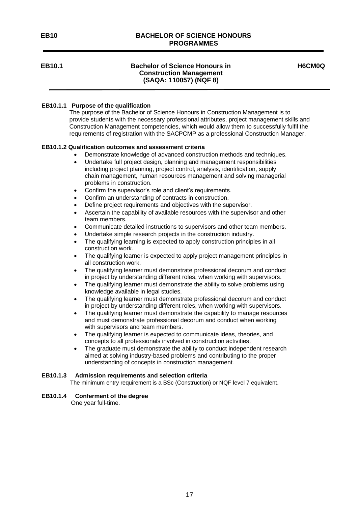#### **EB10 BACHELOR OF SCIENCE HONOURS PROGRAMMES**

#### **EB10.1 Bachelor of Science Honours in Construction Management (SAQA: 110057) (NQF 8)**

**H6CM0Q**

#### **EB10.1.1 Purpose of the qualification**

 The purpose of the Bachelor of Science Honours in Construction Management is to provide students with the necessary professional attributes, project management skills and Construction Management competencies, which would allow them to successfully fulfil the requirements of registration with the SACPCMP as a professional Construction Manager.

#### **EB10.1.2 Qualification outcomes and assessment criteria**

- Demonstrate knowledge of advanced construction methods and techniques.
- Undertake full project design, planning and management responsibilities including project planning, project control, analysis, identification, supply chain management, human resources management and solving managerial problems in construction.
- Confirm the supervisor's role and client's requirements.
- Confirm an understanding of contracts in construction.
- Define project requirements and objectives with the supervisor.
- Ascertain the capability of available resources with the supervisor and other team members.
- Communicate detailed instructions to supervisors and other team members.
- Undertake simple research projects in the construction industry.
- The qualifying learning is expected to apply construction principles in all construction work.
- The qualifying learner is expected to apply project management principles in all construction work.
- The qualifying learner must demonstrate professional decorum and conduct in project by understanding different roles, when working with supervisors.
- The qualifying learner must demonstrate the ability to solve problems using knowledge available in legal studies.
- The qualifying learner must demonstrate professional decorum and conduct in project by understanding different roles, when working with supervisors.
- The qualifying learner must demonstrate the capability to manage resources and must demonstrate professional decorum and conduct when working with supervisors and team members.
- The qualifying learner is expected to communicate ideas, theories, and concepts to all professionals involved in construction activities.
- The graduate must demonstrate the ability to conduct independent research aimed at solving industry-based problems and contributing to the proper understanding of concepts in construction management.

#### **EB10.1.3 Admission requirements and selection criteria**

The minimum entry requirement is a BSc (Construction) or NQF level 7 equivalent.

#### **EB10.1.4 Conferment of the degree**

One year full-time.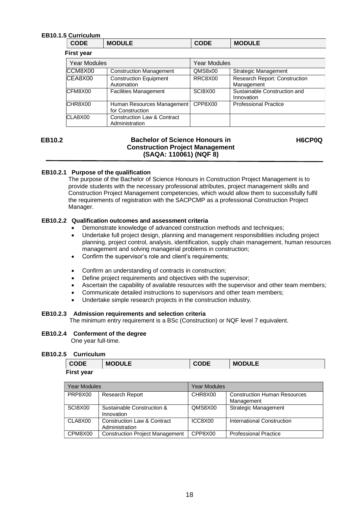#### **EB10.1.5 Curriculum**

|                   | <b>CODE</b> | <b>MODULE</b> | <b>CODE</b> | <b>MODULE</b> |
|-------------------|-------------|---------------|-------------|---------------|
| <b>First year</b> |             |               |             |               |

| Year Modules |                                                          | <b>Year Modules</b> |                                                    |
|--------------|----------------------------------------------------------|---------------------|----------------------------------------------------|
| CCM8X00      | <b>Construction Management</b>                           | QMS8x00             | <b>Strategic Management</b>                        |
| CEA8X00      | <b>Construction Equipment</b><br>Automation              | RRC8X00             | <b>Research Report: Construction</b><br>Management |
| CFM8X00      | <b>Facilities Management</b>                             | SCI8X00             | Sustainable Construction and<br>Innovation         |
| CHR8X00      | Human Resources Management<br>for Construction           | CPP8X00             | <b>Professional Practice</b>                       |
| CLA8X00      | <b>Construction Law &amp; Contract</b><br>Administration |                     |                                                    |

#### **EB10.2 Bachelor of Science Honours in Construction Project Management (SAQA: 110061) (NQF 8)**

<span id="page-17-0"></span>**H6CP0Q**

#### **EB10.2.1 Purpose of the qualification**

 The purpose of the Bachelor of Science Honours in Construction Project Management is to provide students with the necessary professional attributes, project management skills and Construction Project Management competencies, which would allow them to successfully fulfil the requirements of registration with the SACPCMP as a professional Construction Project Manager.

#### **EB10.2.2 Qualification outcomes and assessment criteria**

- Demonstrate knowledge of advanced construction methods and techniques;
- Undertake full project design, planning and management responsibilities including project planning, project control, analysis, identification, supply chain management, human resources management and solving managerial problems in construction;
- Confirm the supervisor's role and client's requirements;
- Confirm an understanding of contracts in construction;
- Define project requirements and objectives with the supervisor;
- Ascertain the capability of available resources with the supervisor and other team members;
- Communicate detailed instructions to supervisors and other team members;
- Undertake simple research projects in the construction industry.

#### **EB10.2.3 Admission requirements and selection criteria**

The minimum entry requirement is a BSc (Construction) or NQF level 7 equivalent.

#### **EB10.2.4 Conferment of the degree**

One year full-time.

#### **EB10.2.5 Curriculum**

| <b>CODE</b> | <b>MODULE</b> | <b>CODE</b> | <b>MODULE</b> |
|-------------|---------------|-------------|---------------|
| First year  |               |             |               |

| <b>Year Modules</b> |                                               | <b>Year Modules</b> |                                                   |
|---------------------|-----------------------------------------------|---------------------|---------------------------------------------------|
| PRP8X00             | <b>Research Report</b>                        | CHR8X00             | <b>Construction Human Resources</b><br>Management |
| SCI8X00             | Sustainable Construction &<br>Innovation      | QMS8X00             | <b>Strategic Management</b>                       |
| CLA8X00             | Construction Law & Contract<br>Administration | ICC8X00             | International Construction                        |
| CPM8X00             | <b>Construction Project Management</b>        | CPP8X00             | <b>Professional Practice</b>                      |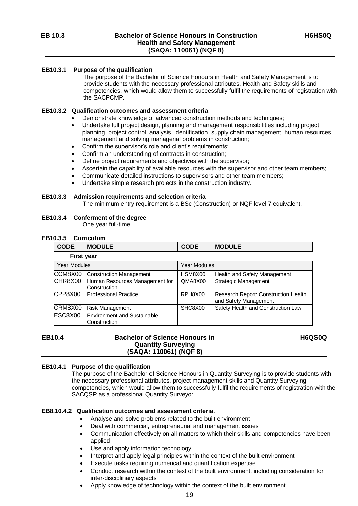#### **EB10.3.1 Purpose of the qualification**

 The purpose of the Bachelor of Science Honours in Health and Safety Management is to provide students with the necessary professional attributes, Health and Safety skills and competencies, which would allow them to successfully fulfil the requirements of registration with the SACPCMP.

#### **EB10.3.2 Qualification outcomes and assessment criteria**

- Demonstrate knowledge of advanced construction methods and techniques;
- Undertake full project design, planning and management responsibilities including project planning, project control, analysis, identification, supply chain management, human resources management and solving managerial problems in construction;
- Confirm the supervisor's role and client's requirements;
- Confirm an understanding of contracts in construction;
- Define project requirements and objectives with the supervisor;
- Ascertain the capability of available resources with the supervisor and other team members;
- Communicate detailed instructions to supervisors and other team members;
- Undertake simple research projects in the construction industry.

#### **EB10.3.3 Admission requirements and selection criteria**

The minimum entry requirement is a BSc (Construction) or NQF level 7 equivalent.

#### **EB10.3.4 Conferment of the degree**

One year full-time.

#### **EB10.3.5 Curriculum**

| <b>CODE</b> | <b>MODULE</b> | <b>CODE</b> | <b>MODULE</b> |
|-------------|---------------|-------------|---------------|
|             | First vear    |             |               |

| Year Modules |                                    | <b>Year Modules</b> |                                      |  |
|--------------|------------------------------------|---------------------|--------------------------------------|--|
|              |                                    |                     |                                      |  |
| CCM8X00      | <b>Construction Management</b>     | HSM8X00             | Health and Safety Management         |  |
| CHR8X00      | Human Resources Management for     | QMA8X00             | <b>Strategic Management</b>          |  |
|              | Construction                       |                     |                                      |  |
| CPP8X00      | <b>Professional Practice</b>       | RPH8X00             | Research Report: Construction Health |  |
|              |                                    |                     | and Safety Management                |  |
| CRM8X00      | <b>Risk Management</b>             | SHC8X00             | Safety Health and Construction Law   |  |
| ESC8X00      | <b>Environment and Sustainable</b> |                     |                                      |  |
|              | Construction                       |                     |                                      |  |

## **EB10.4 Bachelor of Science Honours in Quantity Surveying (SAQA: 110061) (NQF 8)**

<span id="page-18-0"></span> **H6QS0Q**

#### **EB10.4.1 Purpose of the qualification**

The purpose of the Bachelor of Science Honours in Quantity Surveying is to provide students with the necessary professional attributes, project management skills and Quantity Surveying competencies, which would allow them to successfully fulfil the requirements of registration with the SACQSP as a professional Quantity Surveyor.

#### **EB8.10.4.2 Qualification outcomes and assessment criteria.**

- Analyse and solve problems related to the built environment
- Deal with commercial, entrepreneurial and management issues
- Communication effectively on all matters to which their skills and competencies have been applied
- Use and apply information technology
- Interpret and apply legal principles within the context of the built environment
- Execute tasks requiring numerical and quantification expertise
- Conduct research within the context of the built environment, including consideration for inter-disciplinary aspects
- Apply knowledge of technology within the context of the built environment.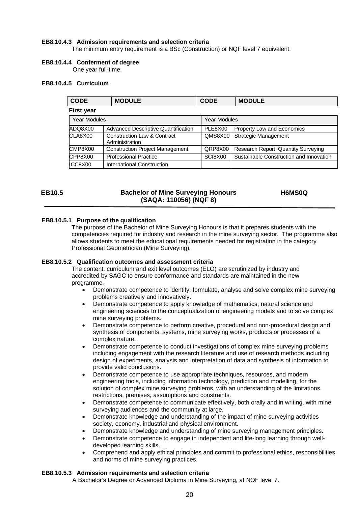#### **EB8.10.4.3 Admission requirements and selection criteria**

The minimum entry requirement is a BSc (Construction) or NQF level 7 equivalent.

#### **EB8.10.4.4 Conferment of degree**

One year full-time.

#### **EB8.10.4.5 Curriculum**

| <b>CODE</b>         | <b>MODULE</b>                                            | <b>CODE</b>  | <b>MODULE</b>                              |
|---------------------|----------------------------------------------------------|--------------|--------------------------------------------|
| <b>First year</b>   |                                                          |              |                                            |
| <b>Year Modules</b> |                                                          | Year Modules |                                            |
| ADQ8X00             | <b>Advanced Descriptive Quantification</b>               | PLE8X00      | <b>Property Law and Economics</b>          |
| CLA8X00             | <b>Construction Law &amp; Contract</b><br>Administration | QMS8X00      | <b>Strategic Management</b>                |
| CMP8X00             | <b>Construction Project Management</b>                   | QRP8X00      | <b>Research Report: Quantity Surveying</b> |
| CPP8X00             | <b>Professional Practice</b>                             | SCI8X00      | Sustainable Construction and Innovation    |
| ICC8X00             | International Construction                               |              |                                            |

#### **EB10.5 Bachelor of Mine Surveying Honours (SAQA: 110056) (NQF 8) H6MS0Q**

#### **EB8.10.5.1 Purpose of the qualification**

<span id="page-19-0"></span> The purpose of the Bachelor of Mine Surveying Honours is that it prepares students with the competencies required for industry and research in the mine surveying sector. The programme also allows students to meet the educational requirements needed for registration in the category Professional Geometrician (Mine Surveying).

#### **EB8.10.5.2 Qualification outcomes and assessment criteria**

The content, curriculum and exit level outcomes (ELO) are scrutinized by industry and accredited by SAGC to ensure conformance and standards are maintained in the new programme.

- Demonstrate competence to identify, formulate, analyse and solve complex mine surveying problems creatively and innovatively.
- Demonstrate competence to apply knowledge of mathematics, natural science and engineering sciences to the conceptualization of engineering models and to solve complex mine surveying problems.
- Demonstrate competence to perform creative, procedural and non-procedural design and synthesis of components, systems, mine surveying works, products or processes of a complex nature.
- Demonstrate competence to conduct investigations of complex mine surveying problems including engagement with the research literature and use of research methods including design of experiments, analysis and interpretation of data and synthesis of information to provide valid conclusions.
- Demonstrate competence to use appropriate techniques, resources, and modern engineering tools, including information technology, prediction and modelling, for the solution of complex mine surveying problems, with an understanding of the limitations, restrictions, premises, assumptions and constraints.
- Demonstrate competence to communicate effectively, both orally and in writing, with mine surveying audiences and the community at large.
- Demonstrate knowledge and understanding of the impact of mine surveying activities society, economy, industrial and physical environment.
- Demonstrate knowledge and understanding of mine surveying management principles.
- Demonstrate competence to engage in independent and life-long learning through welldeveloped learning skills.
- Comprehend and apply ethical principles and commit to professional ethics, responsibilities and norms of mine surveying practices.

#### **EB8.10.5.3 Admission requirements and selection criteria**

A Bachelor's Degree or Advanced Diploma in Mine Surveying, at NQF level 7.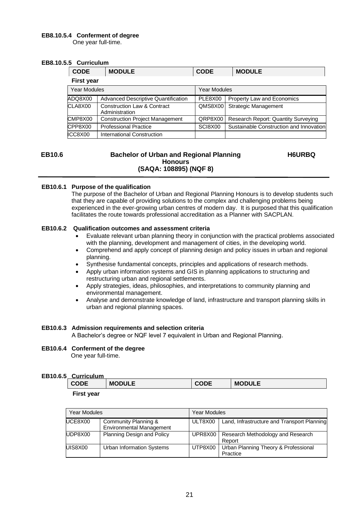#### **EB8.10.5.4 Conferment of degree**

One year full-time.

#### **EB8.10.5.5 Curriculum**

| <b>CODE</b>         | <b>MODULE</b>                                 | <b>CODE</b>  | <b>MODULE</b>                           |
|---------------------|-----------------------------------------------|--------------|-----------------------------------------|
| <b>First year</b>   |                                               |              |                                         |
| <b>Year Modules</b> |                                               | Year Modules |                                         |
| ADQ8X00             | <b>Advanced Descriptive Quantification</b>    | PLE8X00      | Property Law and Economics              |
| CLA8X00             | Construction Law & Contract<br>Administration | QMS8X00      | <b>Strategic Management</b>             |
| CMP8X00             | <b>Construction Project Management</b>        | QRP8X00      | Research Report: Quantity Surveying     |
| CPP8X00             | <b>Professional Practice</b>                  | SCI8X00      | Sustainable Construction and Innovation |
| ICC8X00             | International Construction                    |              |                                         |

#### **EB10.6 Bachelor of Urban and Regional Planning Honours (SAQA: 108895) (NQF 8)**

**H6URBQ**

#### **EB10.6.1 Purpose of the qualification**

 The purpose of the Bachelor of Urban and Regional Planning Honours is to develop students such that they are capable of providing solutions to the complex and challenging problems being experienced in the ever-growing urban centres of modern day. It is purposed that this qualification facilitates the route towards professional accreditation as a Planner with SACPLAN.

#### **EB10.6.2 Qualification outcomes and assessment criteria**

- Evaluate relevant urban planning theory in conjunction with the practical problems associated with the planning, development and management of cities, in the developing world.
- Comprehend and apply concept of planning design and policy issues in urban and regional planning.
- Synthesise fundamental concepts, principles and applications of research methods.
- Apply urban information systems and GIS in planning applications to structuring and restructuring urban and regional settlements.
- Apply strategies, ideas, philosophies, and interpretations to community planning and environmental management.
- Analyse and demonstrate knowledge of land, infrastructure and transport planning skills in urban and regional planning spaces.

#### **EB10.6.3 Admission requirements and selection criteria**

A Bachelor's degree or NQF level 7 equivalent in Urban and Regional Planning.

#### **EB10.6.4 Conferment of the degree**

One year full-time.

#### **EB10.6.5 Curriculum**

| .<br><b>CODE</b> | <b>MODULE</b> | CODE | <b>MODULE</b> |
|------------------|---------------|------|---------------|
|                  |               |      |               |

 **First year**

| Year Modules |                                                         | <b>Year Modules</b> |                                                  |  |
|--------------|---------------------------------------------------------|---------------------|--------------------------------------------------|--|
| UCE8X00      | Community Planning &<br><b>Environmental Management</b> | ULT8X00             | Land, Infrastructure and Transport Planning      |  |
| UDP8X00      | Planning Design and Policy                              | UPR8X00             | Research Methodology and Research<br>Report      |  |
| UIS8X00      | Urban Information Systems                               | UTP8X00             | Urban Planning Theory & Professional<br>Practice |  |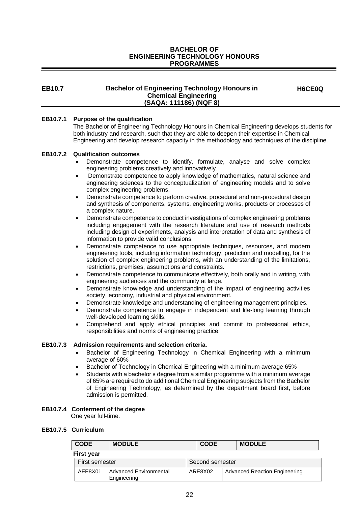#### **BACHELOR OF ENGINEERING TECHNOLOGY HONOURS PROGRAMMES**

#### **EB10.7 Bachelor of Engineering Technology Honours in Chemical Engineering (SAQA: 111186) (NQF 8)**

**H6CE0Q**

#### **EB10.7.1 Purpose of the qualification**

 The Bachelor of Engineering Technology Honours in Chemical Engineering develops students for both industry and research, such that they are able to deepen their expertise in Chemical Engineering and develop research capacity in the methodology and techniques of the discipline.

#### **EB10.7.2 Qualification outcomes**

- Demonstrate competence to identify, formulate, analyse and solve complex engineering problems creatively and innovatively.
- Demonstrate competence to apply knowledge of mathematics, natural science and engineering sciences to the conceptualization of engineering models and to solve complex engineering problems.
- Demonstrate competence to perform creative, procedural and non-procedural design and synthesis of components, systems, engineering works, products or processes of a complex nature.
- Demonstrate competence to conduct investigations of complex engineering problems including engagement with the research literature and use of research methods including design of experiments, analysis and interpretation of data and synthesis of information to provide valid conclusions.
- Demonstrate competence to use appropriate techniques, resources, and modern engineering tools, including information technology, prediction and modelling, for the solution of complex engineering problems, with an understanding of the limitations, restrictions, premises, assumptions and constraints.
- Demonstrate competence to communicate effectively, both orally and in writing, with engineering audiences and the community at large.
- Demonstrate knowledge and understanding of the impact of engineering activities society, economy, industrial and physical environment.
- Demonstrate knowledge and understanding of engineering management principles.
- Demonstrate competence to engage in independent and life-long learning through well-developed learning skills.
- Comprehend and apply ethical principles and commit to professional ethics, responsibilities and norms of engineering practice.

#### **EB10.7.3 Admission requirements and selection criteria**.

- Bachelor of Engineering Technology in Chemical Engineering with a minimum average of 60%
- Bachelor of Technology in Chemical Engineering with a minimum average 65%
- Students with a bachelor's degree from a similar programme with a minimum average of 65% are required to do additional Chemical Engineering subjects from the Bachelor of Engineering Technology, as determined by the department board first, before admission is permitted.

#### **EB10.7.4 Conferment of the degree**

One year full-time.

#### **EB10.7.5 Curriculum**

| <b>CODE</b>                                      | <b>MODULE</b> |  | <b>CODE</b>     |  | <b>MODULE</b>                        |
|--------------------------------------------------|---------------|--|-----------------|--|--------------------------------------|
| <b>First year</b>                                |               |  |                 |  |                                      |
| First semester                                   |               |  | Second semester |  |                                      |
| AEE8X01<br>Advanced Environmental<br>Engineering |               |  | ARE8X02         |  | <b>Advanced Reaction Engineering</b> |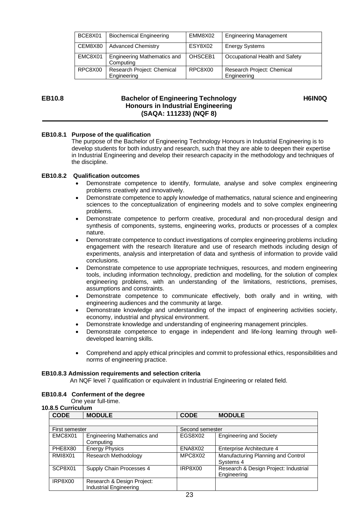| BCE8X01 | <b>Biochemical Engineering</b>            | EMM8X02 | <b>Engineering Management</b>             |
|---------|-------------------------------------------|---------|-------------------------------------------|
| CEM8X80 | <b>Advanced Chemistry</b>                 | ESY8X02 | <b>Energy Systems</b>                     |
| EMC8X01 | Engineering Mathematics and<br>Computing  | OHSCEB1 | Occupational Health and Safety            |
| RPC8X00 | Research Project: Chemical<br>Engineering | RPC8X00 | Research Project: Chemical<br>Engineering |

#### **EB10.8 Bachelor of Engineering Technology Honours in Industrial Engineering (SAQA: 111233) (NQF 8)**

 **H6IN0Q**

#### **EB10.8.1 Purpose of the qualification**

 The purpose of the Bachelor of Engineering Technology Honours in Industrial Engineering is to develop students for both industry and research, such that they are able to deepen their expertise in Industrial Engineering and develop their research capacity in the methodology and techniques of the discipline.

#### **EB10.8.2 Qualification outcomes**

- Demonstrate competence to identify, formulate, analyse and solve complex engineering problems creatively and innovatively.
- Demonstrate competence to apply knowledge of mathematics, natural science and engineering sciences to the conceptualization of engineering models and to solve complex engineering problems.
- Demonstrate competence to perform creative, procedural and non-procedural design and synthesis of components, systems, engineering works, products or processes of a complex nature.
- Demonstrate competence to conduct investigations of complex engineering problems including engagement with the research literature and use of research methods including design of experiments, analysis and interpretation of data and synthesis of information to provide valid conclusions.
- Demonstrate competence to use appropriate techniques, resources, and modern engineering tools, including information technology, prediction and modelling, for the solution of complex engineering problems, with an understanding of the limitations, restrictions, premises, assumptions and constraints.
- Demonstrate competence to communicate effectively, both orally and in writing, with engineering audiences and the community at large.
- Demonstrate knowledge and understanding of the impact of engineering activities society, economy, industrial and physical environment.
- Demonstrate knowledge and understanding of engineering management principles.
- Demonstrate competence to engage in independent and life-long learning through welldeveloped learning skills.
- Comprehend and apply ethical principles and commit to professional ethics, responsibilities and norms of engineering practice.

#### **EB10.8.3 Admission requirements and selection criteria**

An NQF level 7 qualification or equivalent in Industrial Engineering or related field.

#### **EB10.8.4 Conferment of the degree**

One year full-time.

#### **10.8.5 Curriculum**

| <b>CODE</b>    | <b>MODULE</b>                                        | <b>CODE</b>     | <b>MODULE</b>                                        |
|----------------|------------------------------------------------------|-----------------|------------------------------------------------------|
|                |                                                      |                 |                                                      |
| First semester |                                                      | Second semester |                                                      |
| EMC8X01        | <b>Engineering Mathematics and</b><br>Computing      | EGS8X02         | <b>Engineering and Society</b>                       |
| PHE8X80        | <b>Energy Physics</b>                                | ENA8X02         | Enterprise Architecture 4                            |
| <b>RMI8X01</b> | Research Methodology                                 | MPC8X02         | Manufacturing Planning and Control<br>Systems 4      |
| SCP8X01        | Supply Chain Processes 4                             | IRP8X00         | Research & Design Project: Industrial<br>Engineering |
| IRP8X00        | Research & Design Project:<br>Industrial Engineering |                 |                                                      |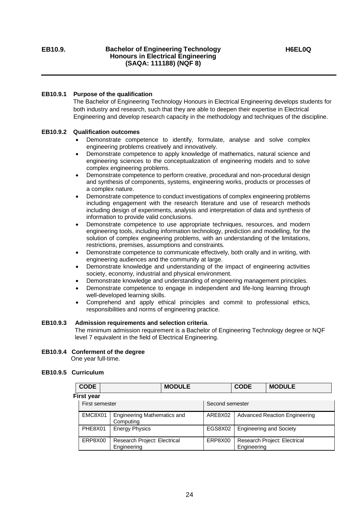#### **EB10.9.1 Purpose of the qualification**

 The Bachelor of Engineering Technology Honours in Electrical Engineering develops students for both industry and research, such that they are able to deepen their expertise in Electrical Engineering and develop research capacity in the methodology and techniques of the discipline.

#### **EB10.9.2 Qualification outcomes**

- Demonstrate competence to identify, formulate, analyse and solve complex engineering problems creatively and innovatively.
- Demonstrate competence to apply knowledge of mathematics, natural science and engineering sciences to the conceptualization of engineering models and to solve complex engineering problems.
- Demonstrate competence to perform creative, procedural and non-procedural design and synthesis of components, systems, engineering works, products or processes of a complex nature.
- Demonstrate competence to conduct investigations of complex engineering problems including engagement with the research literature and use of research methods including design of experiments, analysis and interpretation of data and synthesis of information to provide valid conclusions.
- Demonstrate competence to use appropriate techniques, resources, and modern engineering tools, including information technology, prediction and modelling, for the solution of complex engineering problems, with an understanding of the limitations, restrictions, premises, assumptions and constraints.
- Demonstrate competence to communicate effectively, both orally and in writing, with engineering audiences and the community at large.
- Demonstrate knowledge and understanding of the impact of engineering activities society, economy, industrial and physical environment.
- Demonstrate knowledge and understanding of engineering management principles.
- Demonstrate competence to engage in independent and life-long learning through well-developed learning skills.
- Comprehend and apply ethical principles and commit to professional ethics, responsibilities and norms of engineering practice.

#### **EB10.9.3 Admission requirements and selection criteria**.

 The minimum admission requirement is a Bachelor of Engineering Technology degree or NQF level 7 equivalent in the field of Electrical Engineering.

**EB10.9.4 Conferment of the degree**

One year full-time.

#### **EB10.9.5 Curriculum**

| <b>CODE</b>       | <b>MODULE</b>                                   |         | <b>CODE</b>     | <b>MODULE</b>                        |
|-------------------|-------------------------------------------------|---------|-----------------|--------------------------------------|
| <b>First year</b> |                                                 |         |                 |                                      |
| First semester    |                                                 |         | Second semester |                                      |
| EMC8X01           | <b>Engineering Mathematics and</b><br>Computing | ARE8X02 |                 | <b>Advanced Reaction Engineering</b> |
| PHE8X01           | <b>Energy Physics</b>                           | EGS8X02 |                 | <b>Engineering and Society</b>       |
| ERP8X00           | Research Project: Electrical<br>Engineering     | ERP8X00 | Engineering     | Research Project: Electrical         |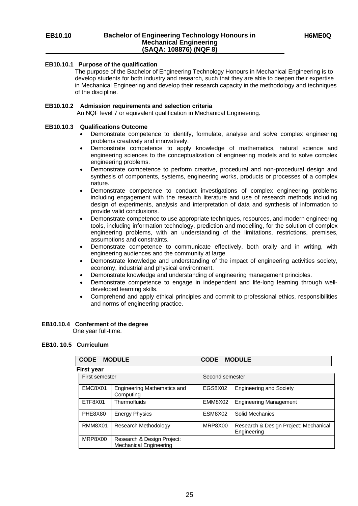#### **EB10.10.1 Purpose of the qualification**

 The purpose of the Bachelor of Engineering Technology Honours in Mechanical Engineering is to develop students for both industry and research, such that they are able to deepen their expertise in Mechanical Engineering and develop their research capacity in the methodology and techniques of the discipline.

#### **EB10.10.2 Admission requirements and selection criteria**

An NQF level 7 or equivalent qualification in Mechanical Engineering.

#### **EB10.10.3 Qualifications Outcome**

- Demonstrate competence to identify, formulate, analyse and solve complex engineering problems creatively and innovatively.
- Demonstrate competence to apply knowledge of mathematics, natural science and engineering sciences to the conceptualization of engineering models and to solve complex engineering problems.
- Demonstrate competence to perform creative, procedural and non-procedural design and synthesis of components, systems, engineering works, products or processes of a complex nature.
- Demonstrate competence to conduct investigations of complex engineering problems including engagement with the research literature and use of research methods including design of experiments, analysis and interpretation of data and synthesis of information to provide valid conclusions.
- Demonstrate competence to use appropriate techniques, resources, and modern engineering tools, including information technology, prediction and modelling, for the solution of complex engineering problems, with an understanding of the limitations, restrictions, premises, assumptions and constraints.
- Demonstrate competence to communicate effectively, both orally and in writing, with engineering audiences and the community at large.
- Demonstrate knowledge and understanding of the impact of engineering activities society, economy, industrial and physical environment.
- Demonstrate knowledge and understanding of engineering management principles.
- Demonstrate competence to engage in independent and life-long learning through welldeveloped learning skills.
- Comprehend and apply ethical principles and commit to professional ethics, responsibilities and norms of engineering practice.

#### **EB10.10.4 Conferment of the degree**

One year full-time.

#### **EB10. 10.5 Curriculum**

| <b>CODE</b>       | <b>MODULE</b>                                               | <b>CODE</b>     | <b>MODULE</b>                                        |
|-------------------|-------------------------------------------------------------|-----------------|------------------------------------------------------|
| <b>First year</b> |                                                             |                 |                                                      |
| First semester    |                                                             | Second semester |                                                      |
| EMC8X01           | <b>Engineering Mathematics and</b><br>Computing             | EGS8X02         | <b>Engineering and Society</b>                       |
| ETF8X01           | Thermofluids                                                | EMM8X02         | <b>Engineering Management</b>                        |
| PHE8X80           | <b>Energy Physics</b>                                       | ESM8X02         | Solid Mechanics                                      |
| RMM8X01           | Research Methodology                                        | MRP8X00         | Research & Design Project: Mechanical<br>Engineering |
| MRP8X00           | Research & Design Project:<br><b>Mechanical Engineering</b> |                 |                                                      |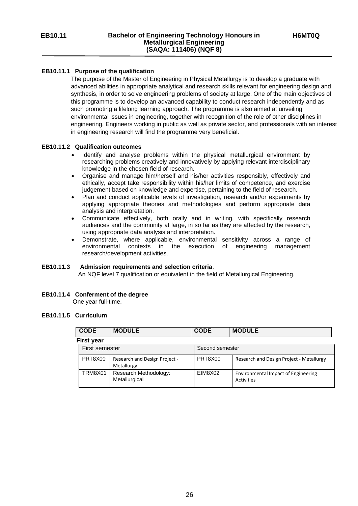#### **EB10.11.1 Purpose of the qualification**

 The purpose of the Master of Engineering in Physical Metallurgy is to develop a graduate with advanced abilities in appropriate analytical and research skills relevant for engineering design and synthesis, in order to solve engineering problems of society at large. One of the main objectives of this programme is to develop an advanced capability to conduct research independently and as such promoting a lifelong learning approach. The programme is also aimed at unveiling environmental issues in engineering, together with recognition of the role of other disciplines in engineering. Engineers working in public as well as private sector, and professionals with an interest in engineering research will find the programme very beneficial.

#### **EB10.11.2 Qualification outcomes**

- Identify and analyse problems within the physical metallurgical environment by researching problems creatively and innovatively by applying relevant interdisciplinary knowledge in the chosen field of research.
- Organise and manage him/herself and his/her activities responsibly, effectively and ethically, accept take responsibility within his/her limits of competence, and exercise judgement based on knowledge and expertise, pertaining to the field of research.
- Plan and conduct applicable levels of investigation, research and/or experiments by applying appropriate theories and methodologies and perform appropriate data analysis and interpretation.
- Communicate effectively, both orally and in writing, with specifically research audiences and the community at large, in so far as they are affected by the research, using appropriate data analysis and interpretation.
- Demonstrate, where applicable, environmental sensitivity across a range of environmental contexts in the execution of engineering management research/development activities.

#### **EB10.11.3 Admission requirements and selection criteria**.

An NQF level 7 qualification or equivalent in the field of Metallurgical Engineering.

#### **EB10.11.4 Conferment of the degree**

One year full-time.

#### **EB10.11.5 Curriculum**

| <b>CODE</b>       | <b>MODULE</b>                               | <b>CODE</b>     | <b>MODULE</b>                                     |
|-------------------|---------------------------------------------|-----------------|---------------------------------------------------|
| <b>First year</b> |                                             |                 |                                                   |
| First semester    |                                             | Second semester |                                                   |
| PRT8X00           | Research and Design Project -<br>Metallurgy | PRT8X00         | Research and Design Project - Metallurgy          |
| TRM8X01           | Research Methodology:<br>Metallurgical      | EIM8X02         | Environmental Impact of Engineering<br>Activities |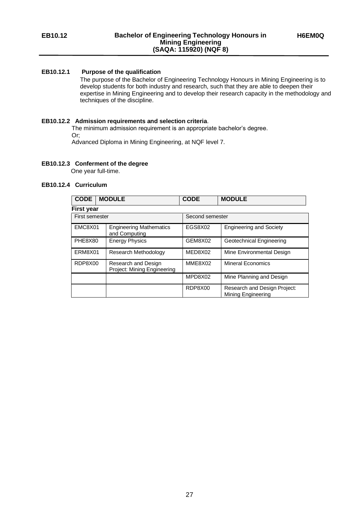The purpose of the Bachelor of Engineering Technology Honours in Mining Engineering is to develop students for both industry and research, such that they are able to deepen their expertise in Mining Engineering and to develop their research capacity in the methodology and techniques of the discipline.

#### **EB10.12.2 Admission requirements and selection criteria**.

 The minimum admission requirement is an appropriate bachelor's degree. Or;

Advanced Diploma in Mining Engineering, at NQF level 7.

#### **EB10.12.3 Conferment of the degree**

One year full-time.

#### **EB10.12.4 Curriculum**

| <b>CODE</b>       | <b>MODULE</b>                                      | <b>CODE</b>     | <b>MODULE</b>                                             |
|-------------------|----------------------------------------------------|-----------------|-----------------------------------------------------------|
| <b>First year</b> |                                                    |                 |                                                           |
| First semester    |                                                    | Second semester |                                                           |
| EMC8X01           | <b>Engineering Mathematics</b><br>and Computing    | EGS8X02         | <b>Engineering and Society</b>                            |
| PHE8X80           | <b>Energy Physics</b>                              | GEM8X02         | <b>Geotechnical Engineering</b>                           |
| ERM8X01           | <b>Research Methodology</b>                        | MED8X02         | Mine Environmental Design                                 |
| RDP8X00           | Research and Design<br>Project: Mining Engineering | MME8X02         | <b>Mineral Economics</b>                                  |
|                   |                                                    | MPD8X02         | Mine Planning and Design                                  |
|                   |                                                    | RDP8X00         | Research and Design Project:<br><b>Mining Engineering</b> |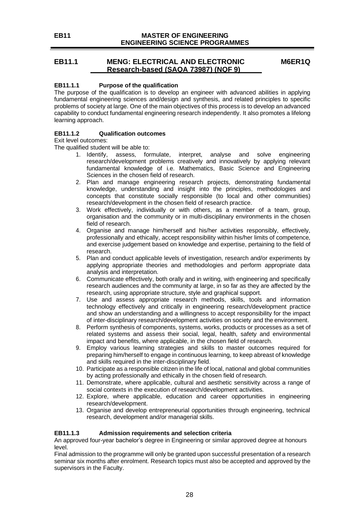**EB11 MASTER OF ENGINEERING ENGINEERING SCIENCE PROGRAMMES**

#### **EB11.1 MENG: ELECTRICAL AND ELECTRONIC Research-based (SAQA 73987) (NQF 9)**

<span id="page-27-0"></span>**M6ER1Q**

#### **EB11.1.1 Purpose of the qualification**

The purpose of the qualification is to develop an engineer with advanced abilities in applying fundamental engineering sciences and/design and synthesis, and related principles to specific problems of society at large. One of the main objectives of this process is to develop an advanced capability to conduct fundamental engineering research independently. It also promotes a lifelong learning approach.

#### **EB11.1.2 Qualification outcomes**

Exit level outcomes:

The qualified student will be able to:

- 1. Identify, assess, formulate, interpret, analyse and solve engineering research/development problems creatively and innovatively by applying relevant fundamental knowledge of i.e. Mathematics, Basic Science and Engineering Sciences in the chosen field of research.
- 2. Plan and manage engineering research projects, demonstrating fundamental knowledge, understanding and insight into the principles, methodologies and concepts that constitute socially responsible (to local and other communities) research/development in the chosen field of research practice.
- 3. Work effectively, individually or with others, as a member of a team, group, organisation and the community or in multi-disciplinary environments in the chosen field of research.
- 4. Organise and manage him/herself and his/her activities responsibly, effectively, professionally and ethically, accept responsibility within his/her limits of competence, and exercise judgement based on knowledge and expertise, pertaining to the field of research.
- 5. Plan and conduct applicable levels of investigation, research and/or experiments by applying appropriate theories and methodologies and perform appropriate data analysis and interpretation.
- 6. Communicate effectively, both orally and in writing, with engineering and specifically research audiences and the community at large, in so far as they are affected by the research, using appropriate structure, style and graphical support.
- 7. Use and assess appropriate research methods, skills, tools and information technology effectively and critically in engineering research/development practice and show an understanding and a willingness to accept responsibility for the impact of inter-disciplinary research/development activities on society and the environment.
- 8. Perform synthesis of components, systems, works, products or processes as a set of related systems and assess their social, legal, health, safety and environmental impact and benefits, where applicable, in the chosen field of research.
- 9. Employ various learning strategies and skills to master outcomes required for preparing him/herself to engage in continuous learning, to keep abreast of knowledge and skills required in the inter-disciplinary field.
- 10. Participate as a responsible citizen in the life of local, national and global communities by acting professionally and ethically in the chosen field of research.
- 11. Demonstrate, where applicable, cultural and aesthetic sensitivity across a range of social contexts in the execution of research/development activities.
- 12. Explore, where applicable, education and career opportunities in engineering research/development.
- 13. Organise and develop entrepreneurial opportunities through engineering, technical research, development and/or managerial skills.

#### **EB11.1.3 Admission requirements and selection criteria**

An approved four-year bachelor's degree in Engineering or similar approved degree at honours level.

Final admission to the programme will only be granted upon successful presentation of a research seminar six months after enrolment. Research topics must also be accepted and approved by the supervisors in the Faculty.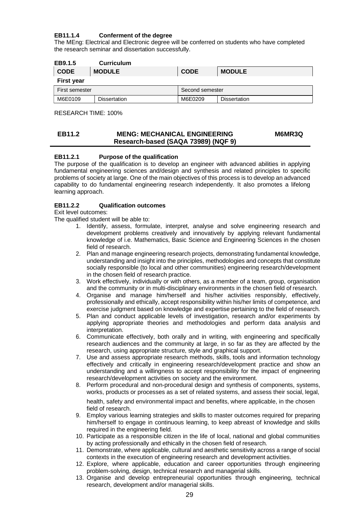#### **EB11.1.4 Conferment of the degree**

The MEng: Electrical and Electronic degree will be conferred on students who have completed the research seminar and dissertation successfully.

| EB9.1.5           | <b>Curriculum</b>   |                 |                     |
|-------------------|---------------------|-----------------|---------------------|
| <b>CODE</b>       | <b>MODULE</b>       | <b>CODE</b>     | <b>MODULE</b>       |
| <b>First year</b> |                     |                 |                     |
| First semester    |                     | Second semester |                     |
| M6E0109           | <b>Dissertation</b> | M6E0209         | <b>Dissertation</b> |

RESEARCH TIME: 100%

#### <span id="page-28-0"></span>**EB11.2 MENG: MECHANICAL ENGINEERING Research-based (SAQA 73989) (NQF 9) M6MR3Q**

#### **EB11.2.1 Purpose of the qualification**

The purpose of the qualification is to develop an engineer with advanced abilities in applying fundamental engineering sciences and/design and synthesis and related principles to specific problems of society at large. One of the main objectives of this process is to develop an advanced capability to do fundamental engineering research independently. It also promotes a lifelong learning approach.

#### **EB11.2.2 Qualification outcomes**

Exit level outcomes:

The qualified student will be able to:

- 1. Identify, assess, formulate, interpret, analyse and solve engineering research and development problems creatively and innovatively by applying relevant fundamental knowledge of i.e. Mathematics, Basic Science and Engineering Sciences in the chosen field of research.
- 2. Plan and manage engineering research projects, demonstrating fundamental knowledge, understanding and insight into the principles, methodologies and concepts that constitute socially responsible (to local and other communities) engineering research/development in the chosen field of research practice.
- 3. Work effectively, individually or with others, as a member of a team, group, organisation and the community or in multi-disciplinary environments in the chosen field of research.
- 4. Organise and manage him/herself and his/her activities responsibly, effectively, professionally and ethically, accept responsibility within his/her limits of competence, and exercise judgment based on knowledge and expertise pertaining to the field of research.
- 5. Plan and conduct applicable levels of investigation, research and/or experiments by applying appropriate theories and methodologies and perform data analysis and interpretation.
- 6. Communicate effectively, both orally and in writing, with engineering and specifically research audiences and the community at large, in so far as they are affected by the research, using appropriate structure, style and graphical support.
- 7. Use and assess appropriate research methods, skills, tools and information technology effectively and critically in engineering research/development practice and show an understanding and a willingness to accept responsibility for the impact of engineering research/development activities on society and the environment.
- 8. Perform procedural and non-procedural design and synthesis of components, systems, works, products or processes as a set of related systems, and assess their social, legal,

health, safety and environmental impact and benefits, where applicable, in the chosen field of research.

- 9. Employ various learning strategies and skills to master outcomes required for preparing him/herself to engage in continuous learning, to keep abreast of knowledge and skills required in the engineering field.
- 10. Participate as a responsible citizen in the life of local, national and global communities by acting professionally and ethically in the chosen field of research.
- 11. Demonstrate, where applicable, cultural and aesthetic sensitivity across a range of social contexts in the execution of engineering research and development activities.
- 12. Explore, where applicable, education and career opportunities through engineering problem-solving, design, technical research and managerial skills.
- 13. Organise and develop entrepreneurial opportunities through engineering, technical research, development and/or managerial skills.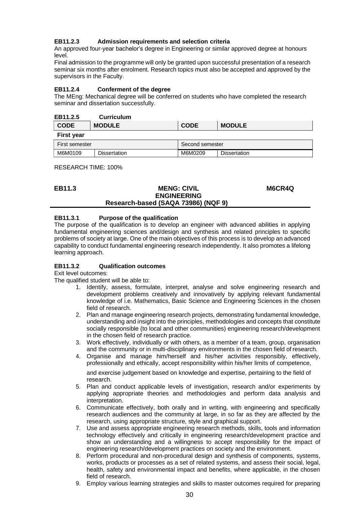#### **EB11.2.3 Admission requirements and selection criteria**

An approved four-year bachelor's degree in Engineering or similar approved degree at honours level.

Final admission to the programme will only be granted upon successful presentation of a research seminar six months after enrolment. Research topics must also be accepted and approved by the supervisors in the Faculty.

#### **EB11.2.4 Conferment of the degree**

The MEng: Mechanical degree will be conferred on students who have completed the research seminar and dissertation successfully.

| EB11.2.5 | <b>Curriculum</b> |
|----------|-------------------|
|          |                   |

| <b>CODE</b>       | <b>MODULE</b> | <b>CODE</b>     | <b>MODULE</b>       |
|-------------------|---------------|-----------------|---------------------|
| <b>First year</b> |               |                 |                     |
| First semester    |               | Second semester |                     |
| M6M0109           | Dissertation  | M6M0209         | <b>Dissertation</b> |

#### RESEARCH TIME: 100%

<span id="page-29-0"></span>

| EB11.3 | <b>MENG: CIVIL</b>                  | M6CR4Q |
|--------|-------------------------------------|--------|
|        | <b>ENGINEERING</b>                  |        |
|        | Research-based (SAQA 73986) (NQF 9) |        |

#### **EB11.3.1 Purpose of the qualification**

The purpose of the qualification is to develop an engineer with advanced abilities in applying fundamental engineering sciences and/design and synthesis and related principles to specific problems of society at large. One of the main objectives of this process is to develop an advanced capability to conduct fundamental engineering research independently. It also promotes a lifelong learning approach.

#### **EB11.3.2 Qualification outcomes**

Exit level outcomes:

The qualified student will be able to:

- 1. Identify, assess, formulate, interpret, analyse and solve engineering research and development problems creatively and innovatively by applying relevant fundamental knowledge of i.e. Mathematics, Basic Science and Engineering Sciences in the chosen field of research.
- 2. Plan and manage engineering research projects, demonstrating fundamental knowledge, understanding and insight into the principles, methodologies and concepts that constitute socially responsible (to local and other communities) engineering research/development in the chosen field of research practice.
- 3. Work effectively, individually or with others, as a member of a team, group, organisation and the community or in multi-disciplinary environments in the chosen field of research.
- 4. Organise and manage him/herself and his/her activities responsibly, effectively, professionally and ethically, accept responsibility within his/her limits of competence,

and exercise judgement based on knowledge and expertise, pertaining to the field of research.

- 5. Plan and conduct applicable levels of investigation, research and/or experiments by applying appropriate theories and methodologies and perform data analysis and interpretation.
- 6. Communicate effectively, both orally and in writing, with engineering and specifically research audiences and the community at large, in so far as they are affected by the research, using appropriate structure, style and graphical support.
- 7. Use and assess appropriate engineering research methods, skills, tools and information technology effectively and critically in engineering research/development practice and show an understanding and a willingness to accept responsibility for the impact of engineering research/development practices on society and the environment.
- 8. Perform procedural and non-procedural design and synthesis of components, systems, works, products or processes as a set of related systems, and assess their social, legal, health, safety and environmental impact and benefits, where applicable, in the chosen field of research.
- 9. Employ various learning strategies and skills to master outcomes required for preparing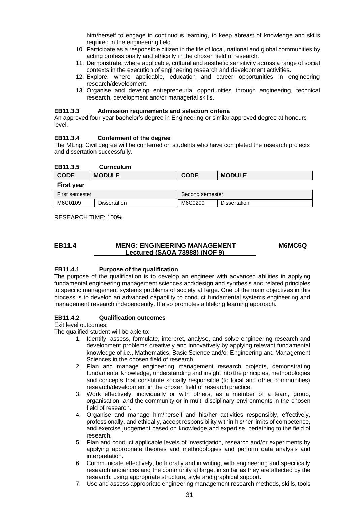him/herself to engage in continuous learning, to keep abreast of knowledge and skills required in the engineering field.

- 10. Participate as a responsible citizen in the life of local, national and global communities by acting professionally and ethically in the chosen field of research.
- 11. Demonstrate, where applicable, cultural and aesthetic sensitivity across a range of social contexts in the execution of engineering research and development activities.
- 12. Explore, where applicable, education and career opportunities in engineering research/development.
- 13. Organise and develop entrepreneurial opportunities through engineering, technical research, development and/or managerial skills.

#### **EB11.3.3 Admission requirements and selection criteria**

An approved four-year bachelor's degree in Engineering or similar approved degree at honours level.

#### **EB11.3.4 Conferment of the degree**

The MEng: Civil degree will be conferred on students who have completed the research projects and dissertation successfully.

| EB11.3.5          | <b>Curriculum</b> |                 |             |                     |
|-------------------|-------------------|-----------------|-------------|---------------------|
| <b>CODE</b>       | <b>MODULE</b>     |                 | <b>CODE</b> | <b>MODULE</b>       |
| <b>First year</b> |                   |                 |             |                     |
| First semester    |                   | Second semester |             |                     |
| M6C0109           | Dissertation      |                 | M6C0209     | <b>Dissertation</b> |

RESEARCH TIME: 100%

#### <span id="page-30-0"></span>**EB11.4 MENG: ENGINEERING MANAGEMENT Lectured (SAQA 73988) (NQF 9) M6MC5Q**

#### **EB11.4.1 Purpose of the qualification**

The purpose of the qualification is to develop an engineer with advanced abilities in applying fundamental engineering management sciences and/design and synthesis and related principles to specific management systems problems of society at large. One of the main objectives in this process is to develop an advanced capability to conduct fundamental systems engineering and management research independently. It also promotes a lifelong learning approach.

#### **EB11.4.2 Qualification outcomes**

Exit level outcomes:

The qualified student will be able to:

- 1. Identify, assess, formulate, interpret, analyse, and solve engineering research and development problems creatively and innovatively by applying relevant fundamental knowledge of i.e., Mathematics, Basic Science and/or Engineering and Management Sciences in the chosen field of research.
- 2. Plan and manage engineering management research projects, demonstrating fundamental knowledge, understanding and insight into the principles, methodologies and concepts that constitute socially responsible (to local and other communities) research/development in the chosen field of research practice.
- 3. Work effectively, individually or with others, as a member of a team, group, organisation, and the community or in multi-disciplinary environments in the chosen field of research.
- 4. Organise and manage him/herself and his/her activities responsibly, effectively, professionally, and ethically, accept responsibility within his/her limits of competence, and exercise judgement based on knowledge and expertise, pertaining to the field of research.
- 5. Plan and conduct applicable levels of investigation, research and/or experiments by applying appropriate theories and methodologies and perform data analysis and interpretation.
- 6. Communicate effectively, both orally and in writing, with engineering and specifically research audiences and the community at large, in so far as they are affected by the research, using appropriate structure, style and graphical support.
- 7. Use and assess appropriate engineering management research methods, skills, tools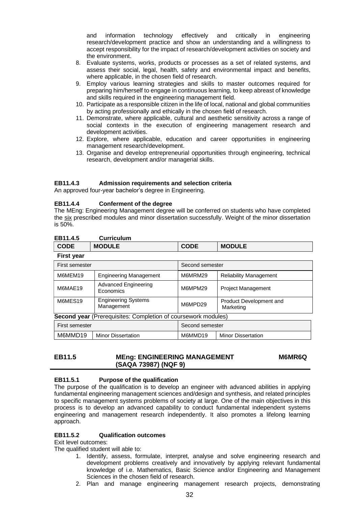and information technology effectively and critically in engineering research/development practice and show an understanding and a willingness to accept responsibility for the impact of research/development activities on society and the environment.

- 8. Evaluate systems, works, products or processes as a set of related systems, and assess their social, legal, health, safety and environmental impact and benefits, where applicable, in the chosen field of research.
- 9. Employ various learning strategies and skills to master outcomes required for preparing him/herself to engage in continuous learning, to keep abreast of knowledge and skills required in the engineering management field.
- 10. Participate as a responsible citizen in the life of local, national and global communities by acting professionally and ethically in the chosen field of research.
- 11. Demonstrate, where applicable, cultural and aesthetic sensitivity across a range of social contexts in the execution of engineering management research and development activities.
- 12. Explore, where applicable, education and career opportunities in engineering management research/development.
- 13. Organise and develop entrepreneurial opportunities through engineering, technical research, development and/or managerial skills.

#### **EB11.4.3 Admission requirements and selection criteria**

An approved four-year bachelor's degree in Engineering.

#### **EB11.4.4 Conferment of the degree**

The MEng: Engineering Management degree will be conferred on students who have completed the six prescribed modules and minor dissertation successfully. Weight of the minor dissertation is 50%.

| EB11.4.5 | <b>Curriculum</b> |
|----------|-------------------|
|          |                   |

| --------    | .             |             |               |
|-------------|---------------|-------------|---------------|
| <b>CODE</b> | <b>MODULE</b> | <b>CODE</b> | <b>MODULE</b> |
| Eiret voor  |               |             |               |

| ι ποι γσαι                                          |                                                                      |                 |                                      |  |
|-----------------------------------------------------|----------------------------------------------------------------------|-----------------|--------------------------------------|--|
| First semester                                      |                                                                      | Second semester |                                      |  |
| M6MEM19<br><b>Engineering Management</b>            |                                                                      | M6MRM29         | <b>Reliability Management</b>        |  |
| M6MAE19                                             | <b>Advanced Engineering</b><br>Economics                             | M6MPM29         | Project Management                   |  |
| <b>Engineering Systems</b><br>M6MES19<br>Management |                                                                      | M6MPD29         | Product Development and<br>Marketing |  |
|                                                     | <b>Second year</b> (Prerequisites: Completion of coursework modules) |                 |                                      |  |
| First semester                                      |                                                                      | Second semester |                                      |  |
| M6MMD19                                             | <b>Minor Dissertation</b>                                            | M6MMD19         | <b>Minor Dissertation</b>            |  |

<span id="page-31-0"></span>

| EB11.5 | <b>MEng: ENGINEERING MANAGEMENT</b> | <b>M6MR6Q</b> |
|--------|-------------------------------------|---------------|
|        | (SAQA 73987) (NQF 9)                |               |

#### **EB11.5.1 Purpose of the qualification**

The purpose of the qualification is to develop an engineer with advanced abilities in applying fundamental engineering management sciences and/design and synthesis, and related principles to specific management systems problems of society at large. One of the main objectives in this process is to develop an advanced capability to conduct fundamental independent systems engineering and management research independently. It also promotes a lifelong learning approach.

#### **EB11.5.2 Qualification outcomes**

Exit level outcomes:

The qualified student will able to:

- 1. Identify, assess, formulate, interpret, analyse and solve engineering research and development problems creatively and innovatively by applying relevant fundamental knowledge of i.e. Mathematics, Basic Science and/or Engineering and Management Sciences in the chosen field of research.
- 2. Plan and manage engineering management research projects, demonstrating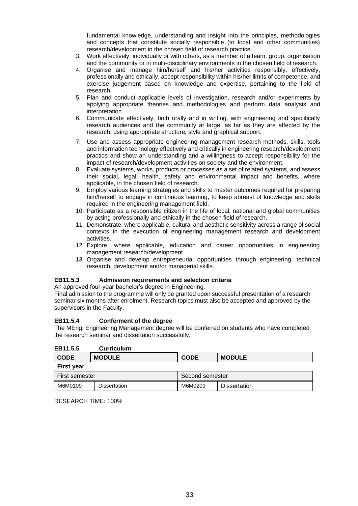fundamental knowledge, understanding and insight into the principles, methodologies and concepts that constitute socially responsible (to local and other communities) research/development in the chosen field of research practice.

- 3. Work effectively, individually or with others, as a member of a team, group, organisation and the community or in multi-disciplinary environments in the chosen field of research.
- 4. Organise and manage him/herself and his/her activities responsibly, effectively, professionally and ethically, accept responsibility within his/her limits of competence, and exercise judgement based on knowledge and expertise, pertaining to the field of research.
- 5. Plan and conduct applicable levels of investigation, research and/or experiments by applying appropriate theories and methodologies and perform data analysis and interpretation.
- 6. Communicate effectively, both orally and in writing, with engineering and specifically research audiences and the community at large, as far as they are affected by the research, using appropriate structure, style and graphical support.
- 7. Use and assess appropriate engineering management research methods, skills, tools and information technology effectively and critically in engineering research/development practice and show an understanding and a willingness to accept responsibility for the impact of research/development activities on society and the environment.
- 8. Evaluate systems, works, products or processes as a set of related systems, and assess their social, legal, health, safety and environmental impact and benefits, where applicable, in the chosen field of research.
- 9. Employ various learning strategies and skills to master outcomes required for preparing him/herself to engage in continuous learning, to keep abreast of knowledge and skills required in the engineering management field.
- 10. Participate as a responsible citizen in the life of local, national and global communities by acting professionally and ethically in the chosen field of research.
- 11. Demonstrate, where applicable, cultural and aesthetic sensitivity across a range of social contexts in the execution of engineering management research and development activities.
- 12. Explore, where applicable, education and career opportunities in engineering management research/development.
- 13. Organise and develop entrepreneurial opportunities through engineering, technical research, development and/or managerial skills.

#### **EB11.5.3 Admission requirements and selection criteria**

An approved four-year bachelor's degree in Engineering.

Final admission to the programme will only be granted upon successful presentation of a research seminar six months after enrolment. Research topics must also be accepted and approved by the supervisors in the Faculty.

#### **EB11.5.4 Conferment of the degree**

The MEng: Engineering Management degree will be conferred on students who have completed the research seminar and dissertation successfully.

| EB11.5.5          | <b>Curriculum</b>   |                 |                     |
|-------------------|---------------------|-----------------|---------------------|
| <b>CODE</b>       | <b>MODULE</b>       | <b>CODE</b>     | <b>MODULE</b>       |
| <b>First year</b> |                     |                 |                     |
| First semester    |                     | Second semester |                     |
| M6M0109           | <b>Dissertation</b> | M6M0209         | <b>Dissertation</b> |

RESEARCH TIME: 100%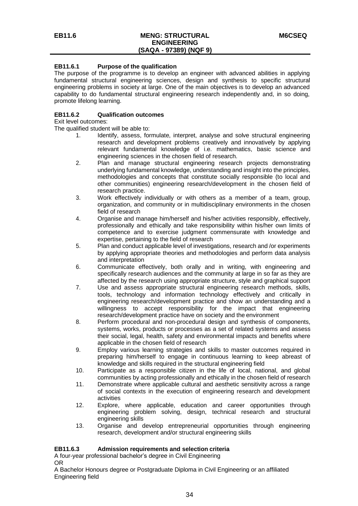#### **EB11.6.1 Purpose of the qualification**

The purpose of the programme is to develop an engineer with advanced abilities in applying fundamental structural engineering sciences, design and synthesis to specific structural engineering problems in society at large. One of the main objectives is to develop an advanced capability to do fundamental structural engineering research independently and, in so doing, promote lifelong learning.

#### **EB11.6.2 Qualification outcomes**

Exit level outcomes:

The qualified student will be able to:

- 1. Identify, assess, formulate, interpret, analyse and solve structural engineering research and development problems creatively and innovatively by applying relevant fundamental knowledge of i.e. mathematics, basic science and engineering sciences in the chosen field of research.
- 2. Plan and manage structural engineering research projects demonstrating underlying fundamental knowledge, understanding and insight into the principles, methodologies and concepts that constitute socially responsible (to local and other communities) engineering research/development in the chosen field of research practice.
- 3. Work effectively individually or with others as a member of a team, group, organization, and community or in multidisciplinary environments in the chosen field of research
- 4. Organise and manage him/herself and his/her activities responsibly, effectively, professionally and ethically and take responsibility within his/her own limits of competence and to exercise judgment commensurate with knowledge and expertise, pertaining to the field of research
- 5. Plan and conduct applicable level of investigations, research and /or experiments by applying appropriate theories and methodologies and perform data analysis and interpretation
- 6. Communicate effectively, both orally and in writing, with engineering and specifically research audiences and the community at large in so far as they are affected by the research using appropriate structure, style and graphical support
- 7. Use and assess appropriate structural engineering research methods, skills, tools, technology and information technology effectively and critically in engineering research/development practice and show an understanding and a willingness to accept responsibility for the impact that engineering research/development practice have on society and the environment
- 8. Perform procedural and non-procedural design and synthesis of components, systems, works, products or processes as a set of related systems and assess their social, legal, health, safety and environmental impacts and benefits where applicable in the chosen field of research
- 9. Employ various learning strategies and skills to master outcomes required in preparing him/herself to engage in continuous learning to keep abreast of knowledge and skills required in the structural engineering field
- 10. Participate as a responsible citizen in the life of local, national, and global communities by acting professionally and ethically in the chosen field of research
- 11. Demonstrate where applicable cultural and aesthetic sensitivity across a range of social contexts in the execution of engineering research and development activities
- 12. Explore, where applicable, education and career opportunities through engineering problem solving, design, technical research and structural engineering skills
- 13. Organise and develop entrepreneurial opportunities through engineering research, development and/or structural engineering skills

#### **EB11.6.3 Admission requirements and selection criteria**

A four-year professional bachelor's degree in Civil Engineering OR

A Bachelor Honours degree or Postgraduate Diploma in Civil Engineering or an affiliated Engineering field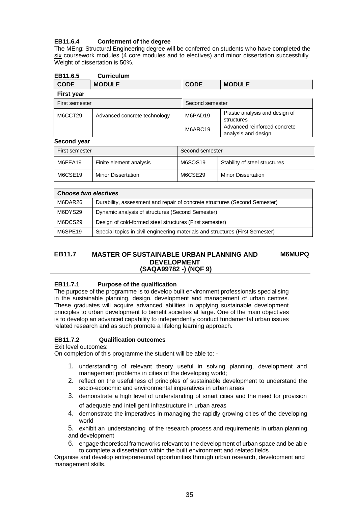## **EB11.6.4 Conferment of the degree**

The MEng: Structural Engineering degree will be conferred on students who have completed the six coursework modules (4 core modules and to electives) and minor dissertation successfully. Weight of dissertation is 50%.

| EB11.6.5          | <b>Curriculum</b> |             |               |
|-------------------|-------------------|-------------|---------------|
| <b>CODE</b>       | <b>MODULE</b>     | <b>CODE</b> | <b>MODULE</b> |
| <b>First year</b> |                   |             |               |

| .              |                              |                 |                                                     |
|----------------|------------------------------|-----------------|-----------------------------------------------------|
| First semester |                              | Second semester |                                                     |
| M6CCT29        | Advanced concrete technology | M6PAD19         | Plastic analysis and design of<br>structures        |
|                |                              | M6ARC19         | Advanced reinforced concrete<br>analysis and design |

#### **Second year**

| Second semester<br>First semester |                           |         |                               |
|-----------------------------------|---------------------------|---------|-------------------------------|
| M6FEA19                           | Finite element analysis   | M6SOS19 | Stability of steel structures |
| M6CSE19                           | <b>Minor Dissertation</b> | M6CSE29 | <b>Minor Dissertation</b>     |

| Choose two electives |                                                                               |  |
|----------------------|-------------------------------------------------------------------------------|--|
| M6DAR26              | Durability, assessment and repair of concrete structures (Second Semester)    |  |
| M6DYS29              | Dynamic analysis of structures (Second Semester)                              |  |
| M6DCS29              | Design of cold-formed steel structures (First semester)                       |  |
| M6SPE19              | Special topics in civil engineering materials and structures (First Semester) |  |

#### **EB11.7 MASTER OF SUSTAINABLE URBAN PLANNING AND DEVELOPMENT (SAQA99782 -) (NQF 9) M6MUPQ**

#### **EB11.7.1 Purpose of the qualification**

The purpose of the programme is to develop built environment professionals specialising in the sustainable planning, design, development and management of urban centres. These graduates will acquire advanced abilities in applying sustainable development principles to urban development to benefit societies at large. One of the main objectives is to develop an advanced capability to independently conduct fundamental urban issues related research and as such promote a lifelong learning approach.

## **EB11.7.2 Qualification outcomes**

Exit level outcomes:

On completion of this programme the student will be able to: -

- 1. understanding of relevant theory useful in solving planning, development and management problems in cities of the developing world;
- 2. reflect on the usefulness of principles of sustainable development to understand the socio‐economic and environmental imperatives in urban areas
- 3. demonstrate a high level of understanding of smart cities and the need for provision of adequate and intelligent infrastructure in urban areas
- 4. demonstrate the imperatives in managing the rapidly growing cities of the developing world

5. exhibit an understanding of the research process and requirements in urban planning and development

6. engage theoretical frameworks relevant to the development of urban space and be able to complete a dissertation within the built environment and related fields

Organise and develop entrepreneurial opportunities through urban research, development and management skills.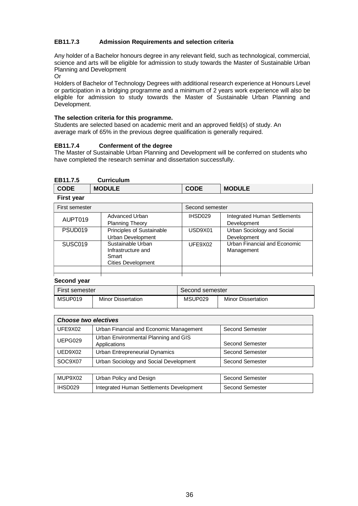#### **EB11.7.3 Admission Requirements and selection criteria**

Any holder of a Bachelor honours degree in any relevant field, such as technological, commercial, science and arts will be eligible for admission to study towards the Master of Sustainable Urban Planning and Development

Or

Holders of Bachelor of Technology Degrees with additional research experience at Honours Level or participation in a bridging programme and a minimum of 2 years work experience will also be eligible for admission to study towards the Master of Sustainable Urban Planning and Development.

#### **The selection criteria for this programme.**

Students are selected based on academic merit and an approved field(s) of study. An average mark of 65% in the previous degree qualification is generally required.

#### **EB11.7.4 Conferment of the degree**

The Master of Sustainable Urban Planning and Development will be conferred on students who have completed the research seminar and dissertation successfully.

| <b>Curriculum</b>                                                             |             |                                                    |
|-------------------------------------------------------------------------------|-------------|----------------------------------------------------|
| <b>MODULE</b>                                                                 | <b>CODE</b> | <b>MODULE</b>                                      |
|                                                                               |             |                                                    |
| First semester<br>Second semester                                             |             |                                                    |
| Advanced Urban<br><b>Planning Theory</b>                                      | IHSD029     | <b>Integrated Human Settlements</b><br>Development |
| Principles of Sustainable<br>Urban Development                                | USD9X01     | Urban Sociology and Social<br>Development          |
| Sustainable Urban<br>Infrastructure and<br>Smart<br><b>Cities Development</b> | UFE9X02     | Urban Financial and Economic<br>Management         |
|                                                                               |             |                                                    |

**Second year**

| First semester |                           | Second semester     |                           |
|----------------|---------------------------|---------------------|---------------------------|
| MSUP019        | <b>Minor Dissertation</b> | MSUP <sub>029</sub> | <b>Minor Dissertation</b> |

| <b>Choose two electives</b> |                                                      |                        |
|-----------------------------|------------------------------------------------------|------------------------|
| UFE9X02                     | Urban Financial and Economic Management              | <b>Second Semester</b> |
| UEPG029                     | Urban Environmental Planning and GIS<br>Applications | <b>Second Semester</b> |
| UED9X02                     | Urban Entrepreneurial Dynamics                       | Second Semester        |
| SOC9X07                     | Urban Sociology and Social Development               | <b>Second Semester</b> |

| MUP9X02 | Urban Policy and Design                  | Second Semester |
|---------|------------------------------------------|-----------------|
| IHSD029 | Integrated Human Settlements Development | Second Semester |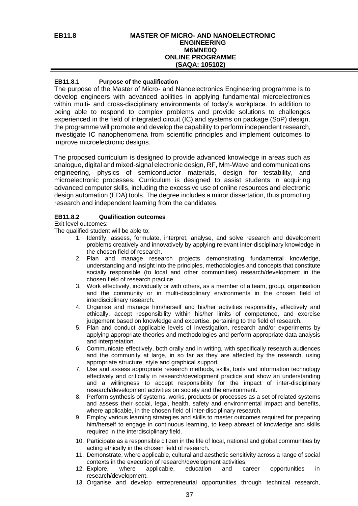#### **EB11.8 MASTER OF MICRO- AND NANOELECTRONIC ENGINEERING M6MNE0Q ONLINE PROGRAMME (SAQA: 105102)**

#### **EB11.8.1 Purpose of the qualification**

The purpose of the Master of Micro- and Nanoelectronics Engineering programme is to develop engineers with advanced abilities in applying fundamental microelectronics within multi- and cross-disciplinary environments of today's workplace. In addition to being able to respond to complex problems and provide solutions to challenges experienced in the field of integrated circuit (IC) and systems on package (SoP) design, the programme will promote and develop the capability to perform independent research, investigate IC nanophenomena from scientific principles and implement outcomes to improve microelectronic designs.

The proposed curriculum is designed to provide advanced knowledge in areas such as analogue, digital and mixed-signal electronic design, RF, Mm-Wave and communications engineering, physics of semiconductor materials, design for testability, and microelectronic processes. Curriculum is designed to assist students in acquiring advanced computer skills, including the excessive use of online resources and electronic design automation (EDA) tools. The degree includes a minor dissertation, thus promoting research and independent learning from the candidates.

#### **EB11.8.2 Qualification outcomes**

Exit level outcomes:

- 1. Identify, assess, formulate, interpret, analyse, and solve research and development problems creatively and innovatively by applying relevant inter-disciplinary knowledge in the chosen field of research.
- 2. Plan and manage research projects demonstrating fundamental knowledge, understanding and insight into the principles, methodologies and concepts that constitute socially responsible (to local and other communities) research/development in the chosen field of research practice.
- 3. Work effectively, individually or with others, as a member of a team, group, organisation and the community or in multi-disciplinary environments in the chosen field of interdisciplinary research.
- 4. Organise and manage him/herself and his/her activities responsibly, effectively and ethically, accept responsibility within his/her limits of competence, and exercise judgement based on knowledge and expertise, pertaining to the field of research.
- 5. Plan and conduct applicable levels of investigation, research and/or experiments by applying appropriate theories and methodologies and perform appropriate data analysis and interpretation.
- 6. Communicate effectively, both orally and in writing, with specifically research audiences and the community at large, in so far as they are affected by the research, using appropriate structure, style and graphical support.
- 7. Use and assess appropriate research methods, skills, tools and information technology effectively and critically in research/development practice and show an understanding and a willingness to accept responsibility for the impact of inter-disciplinary research/development activities on society and the environment.
- 8. Perform synthesis of systems, works, products or processes as a set of related systems and assess their social, legal, health, safety and environmental impact and benefits, where applicable, in the chosen field of inter-disciplinary research.
- 9. Employ various learning strategies and skills to master outcomes required for preparing him/herself to engage in continuous learning, to keep abreast of knowledge and skills required in the interdisciplinary field.
- 10. Participate as a responsible citizen in the life of local, national and global communities by acting ethically in the chosen field of research.
- 11. Demonstrate, where applicable, cultural and aesthetic sensitivity across a range of social contexts in the execution of research/development activities.
- 12. Explore, where applicable, education and career opportunities in research/development.
- 13. Organise and develop entrepreneurial opportunities through technical research,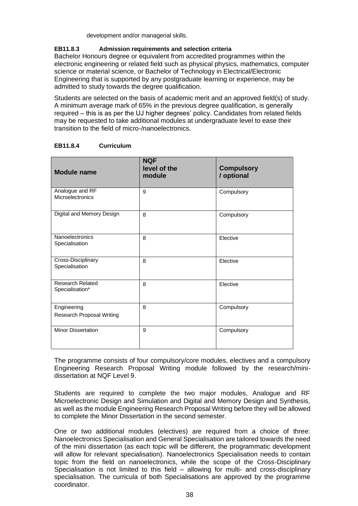development and/or managerial skills.

# **EB11.8.3 Admission requirements and selection criteria**

Bachelor Honours degree or equivalent from accredited programmes within the electronic engineering or related field such as physical physics, mathematics, computer science or material science, or Bachelor of Technology in Electrical/Electronic Engineering that is supported by any postgraduate learning or experience, may be admitted to study towards the degree qualification.

Students are selected on the basis of academic merit and an approved field(s) of study. A minimum average mark of 65% in the previous degree qualification, is generally required – this is as per the UJ higher degrees' policy. Candidates from related fields may be requested to take additional modules at undergraduate level to ease their transition to the field of micro-/nanoelectronics.

| <b>Module name</b>                         | <b>NQF</b><br>level of the<br>module | <b>Compulsory</b><br>/ optional |
|--------------------------------------------|--------------------------------------|---------------------------------|
| Analogue and RF<br>Microelectronics        | 9                                    | Compulsory                      |
| Digital and Memory Design                  | 8                                    | Compulsory                      |
| Nanoelectronics<br>Specialisation          | 8                                    | Elective                        |
| Cross-Disciplinary<br>Specialisation       | 8                                    | Elective                        |
| <b>Research Related</b><br>Specialisation* | 8                                    | Elective                        |
| Engineering<br>Research Proposal Writing   | 8                                    | Compulsory                      |
| <b>Minor Dissertation</b>                  | 9                                    | Compulsory                      |

# **EB11.8.4 Curriculum**

The programme consists of four compulsory/core modules, electives and a compulsory Engineering Research Proposal Writing module followed by the research/minidissertation at NQF Level 9.

Students are required to complete the two major modules, Analogue and RF Microelectronic Design and Simulation and Digital and Memory Design and Synthesis, as well as the module Engineering Research Proposal Writing before they will be allowed to complete the Minor Dissertation in the second semester.

One or two additional modules (electives) are required from a choice of three: Nanoelectronics Specialisation and General Specialisation are tailored towards the need of the mini dissertation (as each topic will be different, the programmatic development will allow for relevant specialisation). Nanoelectronics Specialisation needs to contain topic from the field on nanoelectronics, while the scope of the Cross-Disciplinary Specialisation is not limited to this field – allowing for multi- and cross-disciplinary specialisation. The curricula of both Specialisations are approved by the programme coordinator.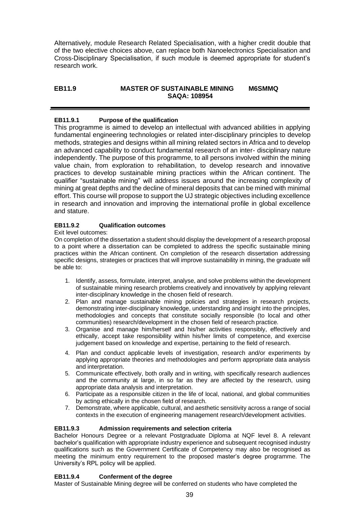Alternatively, module Research Related Specialisation, with a higher credit double that of the two elective choices above, can replace both Nanoelectronics Specialisation and Cross-Disciplinary Specialisation, if such module is deemed appropriate for student's research work.

# **EB11.9 MASTER OF SUSTAINABLE MINING M6SMMQ SAQA: 108954**

# **EB11.9.1 Purpose of the qualification**

This programme is aimed to develop an intellectual with advanced abilities in applying fundamental engineering technologies or related inter-disciplinary principles to develop methods, strategies and designs within all mining related sectors in Africa and to develop an advanced capability to conduct fundamental research of an inter- disciplinary nature independently. The purpose of this programme, to all persons involved within the mining value chain, from exploration to rehabilitation, to develop research and innovative practices to develop sustainable mining practices within the African continent. The qualifier "sustainable mining" will address issues around the increasing complexity of mining at great depths and the decline of mineral deposits that can be mined with minimal effort. This course will propose to support the UJ strategic objectives including excellence in research and innovation and improving the international profile in global excellence and stature.

# **EB11.9.2 Qualification outcomes**

#### Exit level outcomes:

On completion of the dissertation a student should display the development of a research proposal to a point where a dissertation can be completed to address the specific sustainable mining practices within the African continent. On completion of the research dissertation addressing specific designs, strategies or practices that will improve sustainability in mining, the graduate will be able to:

- 1. Identify, assess, formulate, interpret, analyse, and solve problems within the development of sustainable mining research problems creatively and innovatively by applying relevant inter-disciplinary knowledge in the chosen field of research.
- 2. Plan and manage sustainable mining policies and strategies in research projects, demonstrating inter-disciplinary knowledge, understanding and insight into the principles, methodologies and concepts that constitute socially responsible (to local and other communities) research/development in the chosen field of research practice.
- 3. Organise and manage him/herself and his/her activities responsibly, effectively and ethically, accept take responsibility within his/her limits of competence, and exercise judgement based on knowledge and expertise, pertaining to the field of research.
- 4. Plan and conduct applicable levels of investigation, research and/or experiments by applying appropriate theories and methodologies and perform appropriate data analysis and interpretation.
- 5. Communicate effectively, both orally and in writing, with specifically research audiences and the community at large, in so far as they are affected by the research, using appropriate data analysis and interpretation.
- 6. Participate as a responsible citizen in the life of local, national, and global communities by acting ethically in the chosen field of research.
- 7. Demonstrate, where applicable, cultural, and aesthetic sensitivity across a range of social contexts in the execution of engineering management research/development activities.

#### **EB11.9.3 Admission requirements and selection criteria**

Bachelor Honours Degree or a relevant Postgraduate Diploma at NQF level 8. A relevant bachelor's qualification with appropriate industry experience and subsequent recognised industry qualifications such as the Government Certificate of Competency may also be recognised as meeting the minimum entry requirement to the proposed master's degree programme. The University's RPL policy will be applied.

#### **EB11.9.4 Conferment of the degree**

Master of Sustainable Mining degree will be conferred on students who have completed the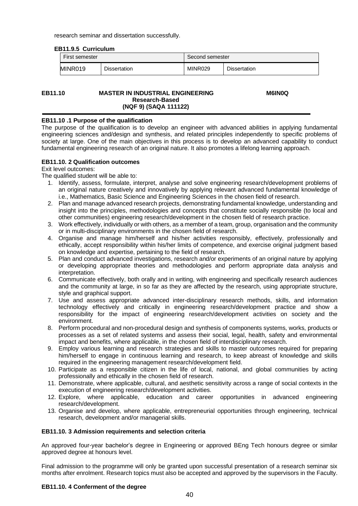research seminar and dissertation successfully.

| EDII.J.J VUIIIVUIUIII |                     |                 |                     |  |  |
|-----------------------|---------------------|-----------------|---------------------|--|--|
| First semester        |                     | Second semester |                     |  |  |
| MINR019               | <b>Dissertation</b> | MINR029         | <b>Dissertation</b> |  |  |

#### **EB11.10 MASTER IN INDUSTRIAL ENGINEERING Research-Based (NQF 9) (SAQA 111122)**

 **M6IN0Q**

#### **EB11.10 .1 Purpose of the qualification**

**EB11.9.5 Curriculum**

The purpose of the qualification is to develop an engineer with advanced abilities in applying fundamental engineering sciences and/design and synthesis, and related principles independently to specific problems of society at large. One of the main objectives in this process is to develop an advanced capability to conduct fundamental engineering research of an original nature. It also promotes a lifelong learning approach.

# **EB11.10. 2 Qualification outcomes**

Exit level outcomes:

The qualified student will be able to:

- 1. Identify, assess, formulate, interpret, analyse and solve engineering research/development problems of an original nature creatively and innovatively by applying relevant advanced fundamental knowledge of i.e., Mathematics, Basic Science and Engineering Sciences in the chosen field of research.
- 2. Plan and manage advanced research projects, demonstrating fundamental knowledge, understanding and insight into the principles, methodologies and concepts that constitute socially responsible (to local and other communities) engineering research/development in the chosen field of research practice.
- 3. Work effectively, individually or with others, as a member of a team, group, organisation and the community or in multi-disciplinary environments in the chosen field of research.
- 4. Organise and manage him/herself and his/her activities responsibly, effectively, professionally and ethically, accept responsibility within his/her limits of competence, and exercise original judgment based on knowledge and expertise, pertaining to the field of research.
- 5. Plan and conduct advanced investigations, research and/or experiments of an original nature by applying or developing appropriate theories and methodologies and perform appropriate data analysis and interpretation.
- 6. Communicate effectively, both orally and in writing, with engineering and specifically research audiences and the community at large, in so far as they are affected by the research, using appropriate structure, style and graphical support.
- 7. Use and assess appropriate advanced inter-disciplinary research methods, skills, and information technology effectively and critically in engineering research/development practice and show a responsibility for the impact of engineering research/development activities on society and the environment.
- 8. Perform procedural and non-procedural design and synthesis of components systems, works, products or processes as a set of related systems and assess their social, legal, health, safety and environmental impact and benefits, where applicable, in the chosen field of interdisciplinary research.
- 9. Employ various learning and research strategies and skills to master outcomes required for preparing him/herself to engage in continuous learning and research, to keep abreast of knowledge and skills required in the engineering management research/development field.
- 10. Participate as a responsible citizen in the life of local, national, and global communities by acting professionally and ethically in the chosen field of research.
- 11. Demonstrate, where applicable, cultural, and aesthetic sensitivity across a range of social contexts in the execution of engineering research/development activities.
- 12. Explore, where applicable, education and career opportunities in advanced engineering research/development.
- 13. Organise and develop, where applicable, entrepreneurial opportunities through engineering, technical research, development and/or managerial skills.

#### **EB11.10. 3 Admission requirements and selection criteria**

An approved four-year bachelor's degree in Engineering or approved BEng Tech honours degree or similar approved degree at honours level.

Final admission to the programme will only be granted upon successful presentation of a research seminar six months after enrolment. Research topics must also be accepted and approved by the supervisors in the Faculty.

#### **EB11.10. 4 Conferment of the degree**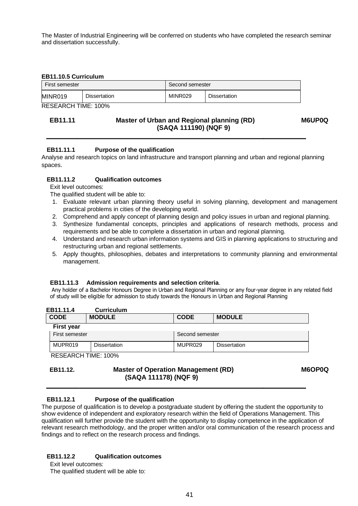The Master of Industrial Engineering will be conferred on students who have completed the research seminar and dissertation successfully.

#### **EB11.10.5 Curriculum**

| First semester |                     | Second semester |                     |
|----------------|---------------------|-----------------|---------------------|
| MINR019        | <b>Dissertation</b> | MINR029         | <b>Dissertation</b> |

RESEARCH TIME: 100%

# **EB11.11 Master of Urban and Regional planning (RD) M6UP0Q (SAQA 111190) (NQF 9)**

# **EB11.11.1 Purpose of the qualification**

Analyse and research topics on land infrastructure and transport planning and urban and regional planning spaces.

#### **EB11.11.2 Qualification outcomes**

Exit level outcomes:

The qualified student will be able to:

- 1. Evaluate relevant urban planning theory useful in solving planning, development and management practical problems in cities of the developing world.
- 2. Comprehend and apply concept of planning design and policy issues in urban and regional planning.
- 3. Synthesize fundamental concepts, principles and applications of research methods, process and requirements and be able to complete a dissertation in urban and regional planning.
- 4. Understand and research urban information systems and GIS in planning applications to structuring and restructuring urban and regional settlements.
- 5. Apply thoughts, philosophies, debates and interpretations to community planning and environmental management.

#### **EB11.11.3 Admission requirements and selection criteria**.

Any holder of a Bachelor Honours Degree in Urban and Regional Planning or any four-year degree in any related field of study will be eligible for admission to study towards the Honours in Urban and Regional Planning

| EB11.11.4             | <b>Curriculum</b>   |                     |                     |
|-----------------------|---------------------|---------------------|---------------------|
| <b>CODE</b>           | <b>MODULE</b>       | <b>CODE</b>         | <b>MODULE</b>       |
| <b>First year</b>     |                     |                     |                     |
| <b>First semester</b> |                     | Second semester     |                     |
| MUPR019               | <b>Dissertation</b> | MUPR <sub>029</sub> | <b>Dissertation</b> |
| DECEADOU TIME 4000/   |                     |                     |                     |

RESEARCH TIME: 100%

**EB11.12. Master of Operation Management (RD) M6OP0Q (SAQA 111178) (NQF 9)**

#### **EB11.12.1 Purpose of the qualification**

The purpose of qualification is to develop a postgraduate student by offering the student the opportunity to show evidence of independent and exploratory research within the field of Operations Management. This qualification will further provide the student with the opportunity to display competence in the application of relevant research methodology, and the proper written and/or oral communication of the research process and findings and to reflect on the research process and findings.

# **EB11.12.2 Qualification outcomes**

Exit level outcomes: The qualified student will be able to: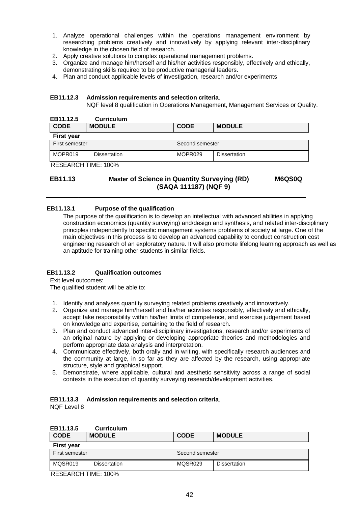- 1. Analyze operational challenges within the operations management environment by researching problems creatively and innovatively by applying relevant inter-disciplinary knowledge in the chosen field of research.
- 2. Apply creative solutions to complex operational management problems.
- 3. Organize and manage him/herself and his/her activities responsibly, effectively and ethically, demonstrating skills required to be productive managerial leaders.
- 4. Plan and conduct applicable levels of investigation, research and/or experiments

#### **EB11.12.3 Admission requirements and selection criteria**.

NQF level 8 qualification in Operations Management, Management Services or Quality.

| EB11.12.5           | <b>Curriculum</b>   |                     |                     |  |
|---------------------|---------------------|---------------------|---------------------|--|
| <b>CODE</b>         | <b>MODULE</b>       | <b>CODE</b>         | <b>MODULE</b>       |  |
| <b>First year</b>   |                     |                     |                     |  |
| First semester      |                     | Second semester     |                     |  |
| MOPR019             | <b>Dissertation</b> | MOPR <sub>029</sub> | <b>Dissertation</b> |  |
| RESEARCH TIME: 100% |                     |                     |                     |  |

# **EB11.13 Master of Science in Quantity Surveying (RD) M6QS0Q (SAQA 111187) (NQF 9)**

# **EB11.13.1 Purpose of the qualification**

The purpose of the qualification is to develop an intellectual with advanced abilities in applying construction economics (quantity surveying) and/design and synthesis, and related inter-disciplinary principles independently to specific management systems problems of society at large. One of the main objectives in this process is to develop an advanced capability to conduct construction cost engineering research of an exploratory nature. It will also promote lifelong learning approach as well as an aptitude for training other students in similar fields.

#### **EB11.13.2 Qualification outcomes**

Exit level outcomes:

The qualified student will be able to:

- 1. Identify and analyses quantity surveying related problems creatively and innovatively.
- 2. Organize and manage him/herself and his/her activities responsibly, effectively and ethically, accept take responsibility within his/her limits of competence, and exercise judgement based on knowledge and expertise, pertaining to the field of research.
- 3. Plan and conduct advanced inter-disciplinary investigations, research and/or experiments of an original nature by applying or developing appropriate theories and methodologies and perform appropriate data analysis and interpretation.
- 4. Communicate effectively, both orally and in writing, with specifically research audiences and the community at large, in so far as they are affected by the research, using appropriate structure, style and graphical support.
- 5. Demonstrate, where applicable, cultural and aesthetic sensitivity across a range of social contexts in the execution of quantity surveying research/development activities.

#### **EB11.13.3 Admission requirements and selection criteria**.

NQF Level 8

| EB11.13.5         | <b>Curriculum</b>   |                 |             |                     |  |
|-------------------|---------------------|-----------------|-------------|---------------------|--|
| <b>CODE</b>       | <b>MODULE</b>       |                 | <b>CODE</b> | <b>MODULE</b>       |  |
| <b>First year</b> |                     |                 |             |                     |  |
| First semester    |                     | Second semester |             |                     |  |
| MQSR019           | <b>Dissertation</b> |                 | MQSR029     | <b>Dissertation</b> |  |
|                   |                     |                 |             |                     |  |

RESEARCH TIME: 100%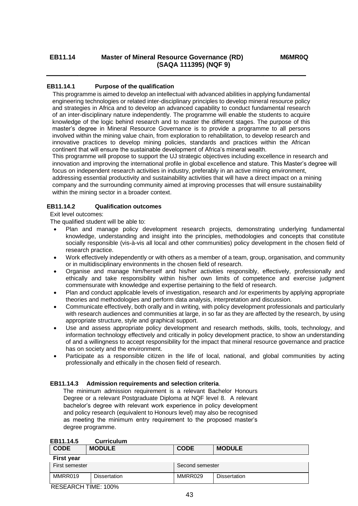# **EB11.14.1 Purpose of the qualification**

 This programme is aimed to develop an intellectual with advanced abilities in applying fundamental engineering technologies or related inter-disciplinary principles to develop mineral resource policy and strategies in Africa and to develop an advanced capability to conduct fundamental research of an inter-disciplinary nature independently. The programme will enable the students to acquire knowledge of the logic behind research and to master the different stages. The purpose of this master's degree in Mineral Resource Governance is to provide a programme to all persons involved within the mining value chain, from exploration to rehabilitation, to develop research and innovative practices to develop mining policies, standards and practices within the African continent that will ensure the sustainable development of Africa's mineral wealth.

This programme will propose to support the UJ strategic objectives including excellence in research and innovation and improving the international profile in global excellence and stature. This Master's degree will focus on independent research activities in industry, preferably in an active mining environment,

addressing essential productivity and sustainability activities that will have a direct impact on a mining company and the surrounding community aimed at improving processes that will ensure sustainability within the mining sector in a broader context.

#### **EB11.14.2 Qualification outcomes**

Exit level outcomes:

The qualified student will be able to:

- Plan and manage policy development research projects, demonstrating underlying fundamental knowledge, understanding and insight into the principles, methodologies and concepts that constitute socially responsible (vis-à-vis all local and other communities) policy development in the chosen field of research practice.
- Work effectively independently or with others as a member of a team, group, organisation, and community or in multidisciplinary environments in the chosen field of research.
- Organise and manage him/herself and his/her activities responsibly, effectively, professionally and ethically and take responsibility within his/her own limits of competence and exercise judgment commensurate with knowledge and expertise pertaining to the field of research.
- Plan and conduct applicable levels of investigation, research and /or experiments by applying appropriate theories and methodologies and perform data analysis, interpretation and discussion.
- Communicate effectively, both orally and in writing, with policy development professionals and particularly with research audiences and communities at large, in so far as they are affected by the research, by using appropriate structure, style and graphical support.
- Use and assess appropriate policy development and research methods, skills, tools, technology, and information technology effectively and critically in policy development practice, to show an understanding of and a willingness to accept responsibility for the impact that mineral resource governance and practice has on society and the environment.
- Participate as a responsible citizen in the life of local, national, and global communities by acting professionally and ethically in the chosen field of research.

#### **EB11.14.3 Admission requirements and selection criteria**.

The minimum admission requirement is a relevant Bachelor Honours Degree or a relevant Postgraduate Diploma at NQF level 8. A relevant bachelor's degree with relevant work experience in policy development and policy research (equivalent to Honours level) may also be recognised as meeting the minimum entry requirement to the proposed master's degree programme.

| <b>CODE</b>       | <b>MODULE</b> | <b>CODE</b>     | <b>MODULE</b>       |
|-------------------|---------------|-----------------|---------------------|
| <b>First year</b> |               |                 |                     |
| First semester    |               | Second semester |                     |
| MMRR019           | Dissertation  | MMRR029         | <b>Dissertation</b> |

#### **EB11.14.5 Curriculum**

RESEARCH TIME: 100%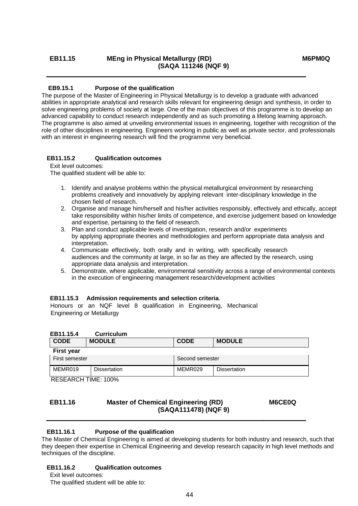# EB11.15 **MEng in Physical Metallurgy (RD)** M6PM0Q **(SAQA 111246 (NQF 9)**

# **EB9.15.1 Purpose of the qualification**

The purpose of the Master of Engineering in Physical Metallurgy is to develop a graduate with advanced abilities in appropriate analytical and research skills relevant for engineering design and synthesis, in order to solve engineering problems of society at large. One of the main objectives of this programme is to develop an advanced capability to conduct research independently and as such promoting a lifelong learning approach. The programme is also aimed at unveiling environmental issues in engineering, together with recognition of the role of other disciplines in engineering. Engineers working in public as well as private sector, and professionals with an interest in engineering research will find the programme very beneficial.

# **EB11.15.2 Qualification outcomes**

Exit level outcomes:

The qualified student will be able to:

- 1. Identify and analyse problems within the physical metallurgical environment by researching problems creatively and innovatively by applying relevant inter-disciplinary knowledge in the chosen field of research.
- 2. Organise and manage him/herself and his/her activities responsibly, effectively and ethically, accept take responsibility within his/her limits of competence, and exercise judgement based on knowledge and expertise, pertaining to the field of research.
- 3. Plan and conduct applicable levels of investigation, research and/or experiments by applying appropriate theories and methodologies and perform appropriate data analysis and interpretation.
- 4. Communicate effectively, both orally and in writing, with specifically research audiences and the community at large, in so far as they are affected by the research, using appropriate data analysis and interpretation.
- 5. Demonstrate, where applicable, environmental sensitivity across a range of environmental contexts in the execution of engineering management research/development activities

#### **EB11.15.3 Admission requirements and selection criteria**.

Honours or an NQF level 8 qualification in Engineering, Mechanical Engineering or Metallurgy

| EB11.15.4 | <b>Curriculum</b> |
|-----------|-------------------|
|           |                   |

| <b>CODE</b>       | <b>MODULE</b> | <b>CODE</b>     | <b>MODULE</b>       |  |
|-------------------|---------------|-----------------|---------------------|--|
| <b>First year</b> |               |                 |                     |  |
| First semester    |               | Second semester |                     |  |
| MEMR019           | Dissertation  | MEMR029         | <b>Dissertation</b> |  |

RESEARCH TIME: 100%

# **EB11.16 Master of Chemical Engineering (RD) M6CE0Q (SAQA111478) (NQF 9)**

# **EB11.16.1 Purpose of the qualification**

The Master of Chemical Engineering is aimed at developing students for both industry and research, such that they deepen their expertise in Chemical Engineering and develop research capacity in high level methods and techniques of the discipline.

# **EB11.16.2 Qualification outcomes**

Exit level outcomes: The qualified student will be able to: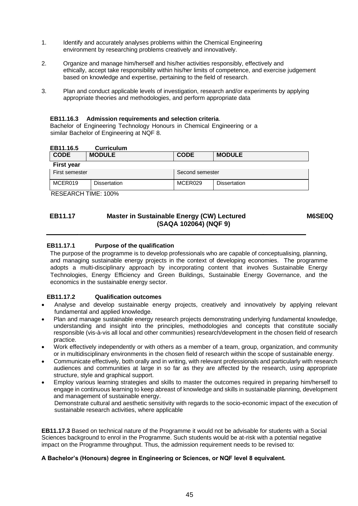- 1. Identify and accurately analyses problems within the Chemical Engineering environment by researching problems creatively and innovatively.
- 2. Organize and manage him/herself and his/her activities responsibly, effectively and ethically, accept take responsibility within his/her limits of competence, and exercise judgement based on knowledge and expertise, pertaining to the field of research.
- 3. Plan and conduct applicable levels of investigation, research and/or experiments by applying appropriate theories and methodologies, and perform appropriate data

#### **EB11.16.3 Admission requirements and selection criteria**.

Bachelor of Engineering Technology Honours in Chemical Engineering or a similar Bachelor of Engineering at NQF 8.

#### **EB11.16.5 Curriculum**

| <b>CODE</b>       | <b>MODULE</b> | <b>CODE</b>     | <b>MODULE</b> |  |
|-------------------|---------------|-----------------|---------------|--|
| <b>First year</b> |               |                 |               |  |
| First semester    |               | Second semester |               |  |
| MCER019           | Dissertation  | MCER029         | Dissertation  |  |

RESEARCH TIME: 100%

# **EB11.17 Master in Sustainable Energy (CW) Lectured M6SE0Q (SAQA 102064) (NQF 9)**

# **EB11.17.1 Purpose of the qualification**

The purpose of the programme is to develop professionals who are capable of conceptualising, planning, and managing sustainable energy projects in the context of developing economies. The programme adopts a multi-disciplinary approach by incorporating content that involves Sustainable Energy Technologies, Energy Efficiency and Green Buildings, Sustainable Energy Governance, and the economics in the sustainable energy sector.

#### **EB11.17.2 Qualification outcomes**

- Analyse and develop sustainable energy projects, creatively and innovatively by applying relevant fundamental and applied knowledge.
- Plan and manage sustainable energy research projects demonstrating underlying fundamental knowledge, understanding and insight into the principles, methodologies and concepts that constitute socially responsible (vis-à-vis all local and other communities) research/development in the chosen field of research practice.
- Work effectively independently or with others as a member of a team, group, organization, and community or in multidisciplinary environments in the chosen field of research within the scope of sustainable energy.
- Communicate effectively, both orally and in writing, with relevant professionals and particularly with research audiences and communities at large in so far as they are affected by the research, using appropriate structure, style and graphical support.
- Employ various learning strategies and skills to master the outcomes required in preparing him/herself to engage in continuous learning to keep abreast of knowledge and skills in sustainable planning, development and management of sustainable energy.

Demonstrate cultural and aesthetic sensitivity with regards to the socio-economic impact of the execution of sustainable research activities, where applicable

**EB11.17.3** Based on technical nature of the Programme it would not be advisable for students with a Social Sciences background to enrol in the Programme. Such students would be at-risk with a potential negative impact on the Programme throughput. Thus, the admission requirement needs to be revised to:

#### **A Bachelor's (Honours) degree in Engineering or Sciences, or NQF level 8 equivalent.**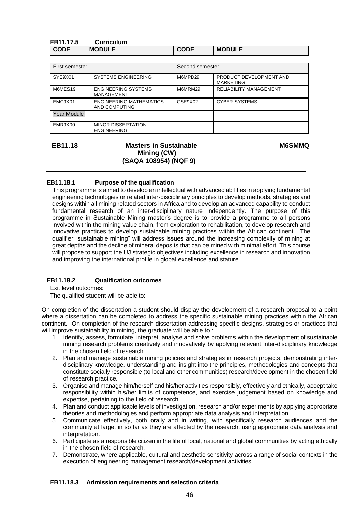| EB11.17.5   | Curriculum    |             |               |  |
|-------------|---------------|-------------|---------------|--|
| <b>CODE</b> | <b>MODULE</b> | <b>CODE</b> | <b>MODULE</b> |  |

| First semester |                                                  | Second semester |                                      |
|----------------|--------------------------------------------------|-----------------|--------------------------------------|
| SYE9X01        | <b>SYSTEMS ENGINEERING</b>                       | M6MPD29         | PRODUCT DEVELOPMENT AND<br>MARKETING |
| M6MES19        | ENGINEERING SYSTEMS<br><b>MANAGEMENT</b>         | M6MRM29         | <b>RELIABILITY MANAGEMENT</b>        |
| EMC9X01        | ENGINEERING MATHEMATICS<br>AND COMPUTING         | CSE9X02         | <b>CYBER SYSTEMS</b>                 |
| Year Module    |                                                  |                 |                                      |
| EMR9X00        | <b>MINOR DISSERTATION:</b><br><b>ENGINEERING</b> |                 |                                      |

#### **EB11.18 Masters in Sustainable M6SMMQ Mining (CW) (SAQA 108954) (NQF 9)**

# **EB11.18.1 Purpose of the qualification**

 This programme is aimed to develop an intellectual with advanced abilities in applying fundamental engineering technologies or related inter-disciplinary principles to develop methods, strategies and designs within all mining related sectors in Africa and to develop an advanced capability to conduct fundamental research of an inter-disciplinary nature independently. The purpose of this programme in Sustainable Mining master's degree is to provide a programme to all persons involved within the mining value chain, from exploration to rehabilitation, to develop research and innovative practices to develop sustainable mining practices within the African continent. The qualifier "sustainable mining" will address issues around the increasing complexity of mining at great depths and the decline of mineral deposits that can be mined with minimal effort. This course will propose to support the UJ strategic objectives including excellence in research and innovation and improving the international profile in global excellence and stature.

#### **EB11.18.2 Qualification outcomes**

Exit level outcomes:

The qualified student will be able to:

On completion of the dissertation a student should display the development of a research proposal to a point where a dissertation can be completed to address the specific sustainable mining practices within the African continent. On completion of the research dissertation addressing specific designs, strategies or practices that will improve sustainability in mining, the graduate will be able to:

- 1. Identify, assess, formulate, interpret, analyse and solve problems within the development of sustainable mining research problems creatively and innovatively by applying relevant inter-disciplinary knowledge in the chosen field of research.
- 2. Plan and manage sustainable mining policies and strategies in research projects, demonstrating interdisciplinary knowledge, understanding and insight into the principles, methodologies and concepts that constitute socially responsible (to local and other communities) research/development in the chosen field of research practice.
- 3. Organise and manage him/herself and his/her activities responsibly, effectively and ethically, accept take responsibility within his/her limits of competence, and exercise judgement based on knowledge and expertise, pertaining to the field of research.
- 4. Plan and conduct applicable levels of investigation, research and/or experiments by applying appropriate theories and methodologies and perform appropriate data analysis and interpretation.
- 5. Communicate effectively, both orally and in writing, with specifically research audiences and the community at large, in so far as they are affected by the research, using appropriate data analysis and interpretation.
- 6. Participate as a responsible citizen in the life of local, national and global communities by acting ethically in the chosen field of research.
- 7. Demonstrate, where applicable, cultural and aesthetic sensitivity across a range of social contexts in the execution of engineering management research/development activities.

#### **EB11.18.3 Admission requirements and selection criteria**.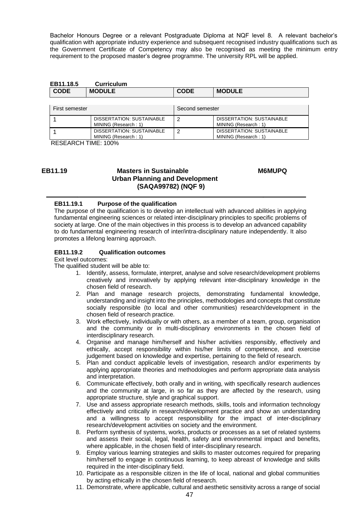Bachelor Honours Degree or a relevant Postgraduate Diploma at NQF level 8. A relevant bachelor's qualification with appropriate industry experience and subsequent recognised industry qualifications such as the Government Certificate of Competency may also be recognised as meeting the minimum entry requirement to the proposed master's degree programme. The university RPL will be applied.

| EB11.18.5   | <b>Curriculum</b> |             |               |
|-------------|-------------------|-------------|---------------|
| <b>CODE</b> | <b>MODULE</b>     | <b>CODE</b> | <b>MODULE</b> |

| First semester |                                                   | Second semester |                                                   |
|----------------|---------------------------------------------------|-----------------|---------------------------------------------------|
|                | DISSERTATION: SUSTAINABLE<br>MINING (Research: 1) |                 | DISSERTATION: SUSTAINABLE<br>MINING (Research: 1) |
|                | DISSERTATION: SUSTAINABLE<br>MINING (Research: 1) |                 | DISSERTATION: SUSTAINABLE<br>MINING (Research: 1) |

RESEARCH TIME: 100%

# **EB11.19 Masters in Sustainable M6MUPQ Urban Planning and Development (SAQA99782) (NQF 9)**

#### **EB11.19.1 Purpose of the qualification**

The purpose of the qualification is to develop an intellectual with advanced abilities in applying fundamental engineering sciences or related inter-disciplinary principles to specific problems of society at large. One of the main objectives in this process is to develop an advanced capability to do fundamental engineering research of inter/intra-disciplinary nature independently. It also promotes a lifelong learning approach.

#### **EB11.19.2 Qualification outcomes**

Exit level outcomes:

- 1. Identify, assess, formulate, interpret, analyse and solve research/development problems creatively and innovatively by applying relevant inter-disciplinary knowledge in the chosen field of research.
- 2. Plan and manage research projects, demonstrating fundamental knowledge, understanding and insight into the principles, methodologies and concepts that constitute socially responsible (to local and other communities) research/development in the chosen field of research practice.
- 3. Work effectively, individually or with others, as a member of a team, group, organisation and the community or in multi-disciplinary environments in the chosen field of interdisciplinary research.
- 4. Organise and manage him/herself and his/her activities responsibly, effectively and ethically, accept responsibility within his/her limits of competence, and exercise judgement based on knowledge and expertise, pertaining to the field of research.
- 5. Plan and conduct applicable levels of investigation, research and/or experiments by applying appropriate theories and methodologies and perform appropriate data analysis and interpretation.
- 6. Communicate effectively, both orally and in writing, with specifically research audiences and the community at large, in so far as they are affected by the research, using appropriate structure, style and graphical support.
- 7. Use and assess appropriate research methods, skills, tools and information technology effectively and critically in research/development practice and show an understanding and a willingness to accept responsibility for the impact of inter-disciplinary research/development activities on society and the environment.
- 8. Perform synthesis of systems, works, products or processes as a set of related systems and assess their social, legal, health, safety and environmental impact and benefits, where applicable, in the chosen field of inter-disciplinary research.
- 9. Employ various learning strategies and skills to master outcomes required for preparing him/herself to engage in continuous learning, to keep abreast of knowledge and skills required in the inter-disciplinary field.
- 10. Participate as a responsible citizen in the life of local, national and global communities by acting ethically in the chosen field of research.
- 11. Demonstrate, where applicable, cultural and aesthetic sensitivity across a range of social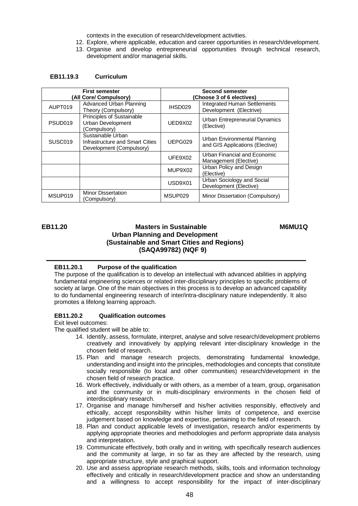contexts in the execution of research/development activities.

- 12. Explore, where applicable, education and career opportunities in research/development.
- 13. Organise and develop entrepreneurial opportunities through technical research, development and/or managerial skills.

#### **EB11.19.3 Curriculum**

| <b>First semester</b><br>(All Core/ Compulsory) |                                                                                  | Second semester<br>(Choose 3 of 6 electives) |                                                                 |
|-------------------------------------------------|----------------------------------------------------------------------------------|----------------------------------------------|-----------------------------------------------------------------|
| AUPT019                                         | Advanced Urban Planning<br>Theory (Compulsory)                                   | IHSD029                                      | <b>Integrated Human Settlements</b><br>Development (Electrive)  |
| PSUD <sub>019</sub>                             | Principles of Sustainable<br>Urban Development<br>(Compulsory)                   | UED9X02                                      | Urban Entrepreneurial Dynamics<br>(Elective)                    |
| SUSC <sub>019</sub>                             | Sustainable Urban<br>Infrastructure and Smart Cities<br>Development (Compulsory) | UEPG029                                      | Urban Environmental Planning<br>and GIS Applications (Elective) |
|                                                 |                                                                                  | UFE9X02                                      | Urban Financial and Economic<br>Management (Elective)           |
|                                                 |                                                                                  | MUP9X02                                      | Urban Policy and Design<br>(Elective)                           |
|                                                 |                                                                                  | USD9X01                                      | Urban Sociology and Social<br>Development (Elective)            |
| MSUP019                                         | <b>Minor Dissertation</b><br>(Compulsory)                                        | MSUP029                                      | Minor Dissertation (Compulsory)                                 |

# **EB11.20 Masters in Sustainable M6MU1Q Urban Planning and Development (Sustainable and Smart Cities and Regions) (SAQA99782) (NQF 9)**

#### **EB11.20.1 Purpose of the qualification**

The purpose of the qualification is to develop an intellectual with advanced abilities in applying fundamental engineering sciences or related inter-disciplinary principles to specific problems of society at large. One of the main objectives in this process is to develop an advanced capability to do fundamental engineering research of inter/intra-disciplinary nature independently. It also promotes a lifelong learning approach.

#### **EB11.20.2 Qualification outcomes**

Exit level outcomes:

- 14. Identify, assess, formulate, interpret, analyse and solve research/development problems creatively and innovatively by applying relevant inter-disciplinary knowledge in the chosen field of research.
- 15. Plan and manage research projects, demonstrating fundamental knowledge, understanding and insight into the principles, methodologies and concepts that constitute socially responsible (to local and other communities) research/development in the chosen field of research practice.
- 16. Work effectively, individually or with others, as a member of a team, group, organisation and the community or in multi-disciplinary environments in the chosen field of interdisciplinary research.
- 17. Organise and manage him/herself and his/her activities responsibly, effectively and ethically, accept responsibility within his/her limits of competence, and exercise judgement based on knowledge and expertise, pertaining to the field of research.
- 18. Plan and conduct applicable levels of investigation, research and/or experiments by applying appropriate theories and methodologies and perform appropriate data analysis and interpretation.
- 19. Communicate effectively, both orally and in writing, with specifically research audiences and the community at large, in so far as they are affected by the research, using appropriate structure, style and graphical support.
- 20. Use and assess appropriate research methods, skills, tools and information technology effectively and critically in research/development practice and show an understanding and a willingness to accept responsibility for the impact of inter-disciplinary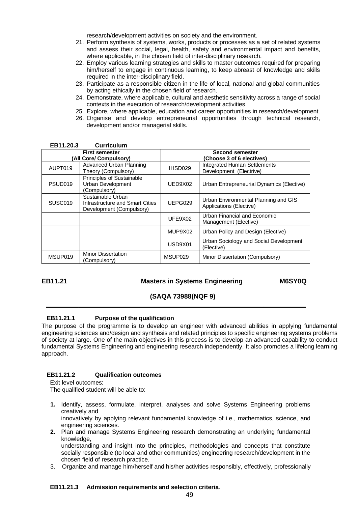research/development activities on society and the environment.

- 21. Perform synthesis of systems, works, products or processes as a set of related systems and assess their social, legal, health, safety and environmental impact and benefits, where applicable, in the chosen field of inter-disciplinary research.
- 22. Employ various learning strategies and skills to master outcomes required for preparing him/herself to engage in continuous learning, to keep abreast of knowledge and skills required in the inter-disciplinary field.
- 23. Participate as a responsible citizen in the life of local, national and global communities by acting ethically in the chosen field of research.
- 24. Demonstrate, where applicable, cultural and aesthetic sensitivity across a range of social contexts in the execution of research/development activities.
- 25. Explore, where applicable, education and career opportunities in research/development.
- 26. Organise and develop entrepreneurial opportunities through technical research, development and/or managerial skills.

| <b>First semester</b>  |                                                                                  |                     | Second semester                                                 |  |
|------------------------|----------------------------------------------------------------------------------|---------------------|-----------------------------------------------------------------|--|
| (All Core/ Compulsory) |                                                                                  |                     | (Choose 3 of 6 electives)                                       |  |
| AUPT019                | Advanced Urban Planning<br>Theory (Compulsory)                                   | IHSD029             | <b>Integrated Human Settlements</b><br>Development (Electrive)  |  |
| PSUD <sub>019</sub>    | Principles of Sustainable<br>Urban Development<br>(Compulsory)                   | UED9X02             | Urban Entrepreneurial Dynamics (Elective)                       |  |
| SUSC <sub>019</sub>    | Sustainable Urban<br>Infrastructure and Smart Cities<br>Development (Compulsory) | UEPG029             | Urban Environmental Planning and GIS<br>Applications (Elective) |  |
|                        |                                                                                  | UFE9X02             | Urban Financial and Economic<br>Management (Elective)           |  |
|                        |                                                                                  | MUP9X02             | Urban Policy and Design (Elective)                              |  |
|                        |                                                                                  | USD9X01             | Urban Sociology and Social Development<br>(Elective)            |  |
| MSUP019                | <b>Minor Dissertation</b><br>(Compulsory)                                        | MSUP <sub>029</sub> | Minor Dissertation (Compulsory)                                 |  |

#### **EB11.20.3 Curriculum**

#### **EB11.21 Masters in Systems Engineering M6SY0Q**

# **(SAQA 73988(NQF 9)**

#### **EB11.21.1 Purpose of the qualification**

The purpose of the programme is to develop an engineer with advanced abilities in applying fundamental engineering sciences and/design and synthesis and related principles to specific engineering systems problems of society at large. One of the main objectives in this process is to develop an advanced capability to conduct fundamental Systems Engineering and engineering research independently. It also promotes a lifelong learning approach.

#### **EB11.21.2 Qualification outcomes**

Exit level outcomes: The qualified student will be able to:

- **1.** Identify, assess, formulate, interpret, analyses and solve Systems Engineering problems creatively and innovatively by applying relevant fundamental knowledge of i.e., mathematics, science, and engineering sciences.
- **2.** Plan and manage Systems Engineering research demonstrating an underlying fundamental knowledge, understanding and insight into the principles, methodologies and concepts that constitute

socially responsible (to local and other communities) engineering research/development in the chosen field of research practice.

3. Organize and manage him/herself and his/her activities responsibly, effectively, professionally

#### **EB11.21.3 Admission requirements and selection criteria**.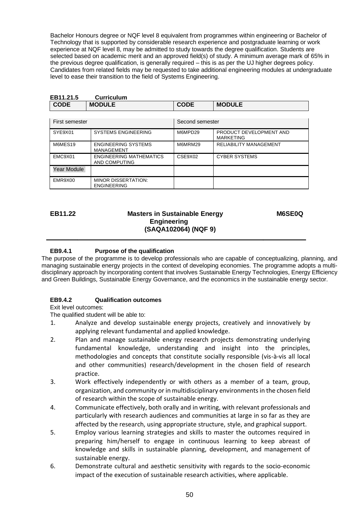Bachelor Honours degree or NQF level 8 equivalent from programmes within engineering or Bachelor of Technology that is supported by considerable research experience and postgraduate learning or work experience at NQF level 8, may be admitted to study towards the degree qualification. Students are selected based on academic merit and an approved field(s) of study. A minimum average mark of 65% in the previous degree qualification, is generally required – this is as per the UJ higher degrees policy. Candidates from related fields may be requested to take additional engineering modules at undergraduate level to ease their transition to the field of Systems Engineering.

| <b>Curriculum</b><br>EB11.21.5 |                                                 |                 |                                             |
|--------------------------------|-------------------------------------------------|-----------------|---------------------------------------------|
| <b>CODE</b>                    | <b>MODULE</b>                                   | <b>CODE</b>     | <b>MODULE</b>                               |
|                                |                                                 |                 |                                             |
| First semester                 |                                                 | Second semester |                                             |
| SYE9X01                        | <b>SYSTEMS ENGINEERING</b>                      | M6MPD29         | PRODUCT DEVELOPMENT AND<br><b>MARKETING</b> |
| M6MES19                        | <b>ENGINEERING SYSTEMS</b><br><b>MANAGEMENT</b> | M6MRM29         | <b>RELIABILITY MANAGEMENT</b>               |
| EMC9X01                        | <b>ENGINEERING MATHEMATICS</b><br>AND COMPUTING | CSE9X02         | <b>CYBER SYSTEMS</b>                        |
| Year Module                    |                                                 |                 |                                             |
| EMR9X00                        | MINOR DISSERTATION:<br><b>ENGINEERING</b>       |                 |                                             |

# **EB11.22 Masters in Sustainable Energy M6SE0Q Engineering (SAQA102064) (NQF 9)**

# **EB9.4.1 Purpose of the qualification**

The purpose of the programme is to develop professionals who are capable of conceptualizing, planning, and managing sustainable energy projects in the context of developing economies. The programme adopts a multidisciplinary approach by incorporating content that involves Sustainable Energy Technologies, Energy Efficiency and Green Buildings, Sustainable Energy Governance, and the economics in the sustainable energy sector.

# **EB9.4.2 Qualification outcomes**

Exit level outcomes:

- 1. Analyze and develop sustainable energy projects, creatively and innovatively by applying relevant fundamental and applied knowledge.
- 2. Plan and manage sustainable energy research projects demonstrating underlying fundamental knowledge, understanding and insight into the principles, methodologies and concepts that constitute socially responsible (vis-à-vis all local and other communities) research/development in the chosen field of research practice.
- 3. Work effectively independently or with others as a member of a team, group, organization, and community or in multidisciplinary environments in the chosen field of research within the scope of sustainable energy.
- 4. Communicate effectively, both orally and in writing, with relevant professionals and particularly with research audiences and communities at large in so far as they are affected by the research, using appropriate structure, style, and graphical support.
- 5. Employ various learning strategies and skills to master the outcomes required in preparing him/herself to engage in continuous learning to keep abreast of knowledge and skills in sustainable planning, development, and management of sustainable energy.
- 6. Demonstrate cultural and aesthetic sensitivity with regards to the socio-economic impact of the execution of sustainable research activities, where applicable.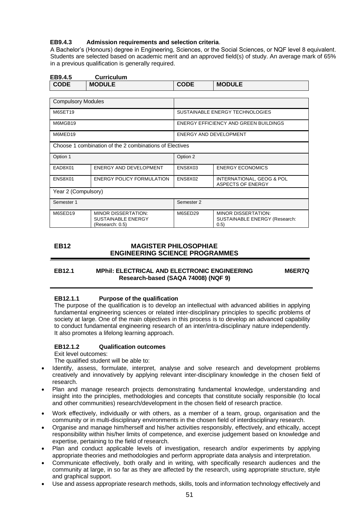#### **EB9.4.3 Admission requirements and selection criteria**.

A Bachelor's (Honours) degree in Engineering, Sciences, or the Social Sciences, or NQF level 8 equivalent. Students are selected based on academic merit and an approved field(s) of study. An average mark of 65% in a previous qualification is generally required.

| EB9.4.5                   | <b>Curriculum</b>                                                          |                        |                                                                     |
|---------------------------|----------------------------------------------------------------------------|------------------------|---------------------------------------------------------------------|
| <b>CODE</b>               | <b>MODULE</b>                                                              | <b>CODE</b>            | <b>MODULE</b>                                                       |
|                           |                                                                            |                        |                                                                     |
| <b>Compulsory Modules</b> |                                                                            |                        |                                                                     |
| M6SET19                   |                                                                            |                        | SUSTAINABLE ENERGY TECHNOLOGIES                                     |
| M6MGB19                   |                                                                            |                        | ENERGY EFFICIENCY AND GREEN BUILDINGS                               |
| M6MED19                   |                                                                            | ENERGY AND DEVELOPMENT |                                                                     |
|                           | Choose 1 combination of the 2 combinations of Electives                    |                        |                                                                     |
| Option 1                  |                                                                            | Option 2               |                                                                     |
| EAD8X01                   | ENERGY AND DEVELOPMENT                                                     | ENS8X03                | <b>ENERGY ECONOMICS</b>                                             |
| ENS8X01                   | <b>ENERGY POLICY FORMULATION</b>                                           | ENS8X02                | INTERNATIONAL, GEOG & POL<br><b>ASPECTS OF ENERGY</b>               |
| Year 2 (Compulsory)       |                                                                            |                        |                                                                     |
| Semester 1                |                                                                            | Semester 2             |                                                                     |
| M6SED19                   | <b>MINOR DISSERTATION:</b><br><b>SUSTAINABLE ENERGY</b><br>(Research: 0.5) | M6SED29                | <b>MINOR DISSERTATION:</b><br>SUSTAINABLE ENERGY (Research:<br>0.5) |

#### **EB12 MAGISTER PHILOSOPHIAE ENGINEERING SCIENCE PROGRAMMES**

#### **EB12.1 MPhil: ELECTRICAL AND ELECTRONIC ENGINEERING Research-based (SAQA 74008) (NQF 9)**

**M6ER7Q**

#### **EB12.1.1 Purpose of the qualification**

The purpose of the qualification is to develop an intellectual with advanced abilities in applying fundamental engineering sciences or related inter-disciplinary principles to specific problems of society at large. One of the main objectives in this process is to develop an advanced capability to conduct fundamental engineering research of an inter/intra-disciplinary nature independently. It also promotes a lifelong learning approach.

#### **EB12.1.2 Qualification outcomes**

Exit level outcomes:

- Identify, assess, formulate, interpret, analyse and solve research and development problems creatively and innovatively by applying relevant inter-disciplinary knowledge in the chosen field of research.
- Plan and manage research projects demonstrating fundamental knowledge, understanding and insight into the principles, methodologies and concepts that constitute socially responsible (to local and other communities) research/development in the chosen field of research practice.
- Work effectively, individually or with others, as a member of a team, group, organisation and the community or in multi-disciplinary environments in the chosen field of interdisciplinary research.
- Organise and manage him/herself and his/her activities responsibly, effectively, and ethically, accept responsibility within his/her limits of competence, and exercise judgement based on knowledge and expertise, pertaining to the field of research.
- Plan and conduct applicable levels of investigation, research and/or experiments by applying appropriate theories and methodologies and perform appropriate data analysis and interpretation.
- Communicate effectively, both orally and in writing, with specifically research audiences and the community at large, in so far as they are affected by the research, using appropriate structure, style and graphical support.
- Use and assess appropriate research methods, skills, tools and information technology effectively and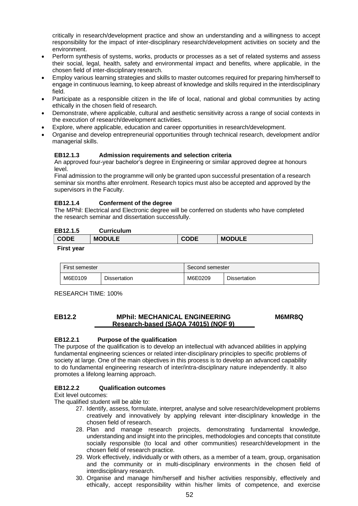critically in research/development practice and show an understanding and a willingness to accept responsibility for the impact of inter-disciplinary research/development activities on society and the environment.

- Perform synthesis of systems, works, products or processes as a set of related systems and assess their social, legal, health, safety and environmental impact and benefits, where applicable, in the chosen field of inter-disciplinary research.
- Employ various learning strategies and skills to master outcomes required for preparing him/herself to engage in continuous learning, to keep abreast of knowledge and skills required in the interdisciplinary field.
- Participate as a responsible citizen in the life of local, national and global communities by acting ethically in the chosen field of research.
- Demonstrate, where applicable, cultural and aesthetic sensitivity across a range of social contexts in the execution of research/development activities.
- Explore, where applicable, education and career opportunities in research/development.
- Organise and develop entrepreneurial opportunities through technical research, development and/or managerial skills.

# **EB12.1.3 Admission requirements and selection criteria**

An approved four-year bachelor's degree in Engineering or similar approved degree at honours level.

Final admission to the programme will only be granted upon successful presentation of a research seminar six months after enrolment. Research topics must also be accepted and approved by the supervisors in the Faculty.

#### **EB12.1.4 Conferment of the degree**

The MPhil: Electrical and Electronic degree will be conferred on students who have completed the research seminar and dissertation successfully.

#### **EB12.1.5 Curriculum**

| ---------   | ------------- |             |               |
|-------------|---------------|-------------|---------------|
| <b>CODE</b> | <b>MODULE</b> | <b>CODE</b> | <b>MODULE</b> |
| Eirot voor  |               |             |               |

#### **First year**

| First semester |                     | Second semester |                     |
|----------------|---------------------|-----------------|---------------------|
| M6E0109        | <b>Dissertation</b> | M6E0209         | <b>Dissertation</b> |

RESEARCH TIME: 100%

#### **EB12.2 MPhil: MECHANICAL ENGINEERING Research-based (SAQA 74015) (NQF 9) M6MR8Q**

#### **EB12.2.1 Purpose of the qualification**

The purpose of the qualification is to develop an intellectual with advanced abilities in applying fundamental engineering sciences or related inter-disciplinary principles to specific problems of society at large. One of the main objectives in this process is to develop an advanced capability to do fundamental engineering research of inter/intra-disciplinary nature independently. It also promotes a lifelong learning approach.

#### **EB12.2.2 Qualification outcomes**

Exit level outcomes:

- 27. Identify, assess, formulate, interpret, analyse and solve research/development problems creatively and innovatively by applying relevant inter-disciplinary knowledge in the chosen field of research.
- 28. Plan and manage research projects, demonstrating fundamental knowledge, understanding and insight into the principles, methodologies and concepts that constitute socially responsible (to local and other communities) research/development in the chosen field of research practice.
- 29. Work effectively, individually or with others, as a member of a team, group, organisation and the community or in multi-disciplinary environments in the chosen field of interdisciplinary research.
- 30. Organise and manage him/herself and his/her activities responsibly, effectively and ethically, accept responsibility within his/her limits of competence, and exercise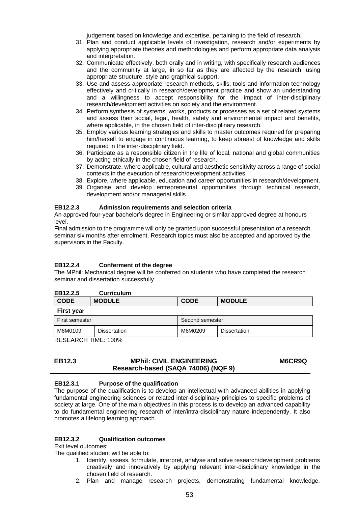judgement based on knowledge and expertise, pertaining to the field of research.

- 31. Plan and conduct applicable levels of investigation, research and/or experiments by applying appropriate theories and methodologies and perform appropriate data analysis and interpretation.
- 32. Communicate effectively, both orally and in writing, with specifically research audiences and the community at large, in so far as they are affected by the research, using appropriate structure, style and graphical support.
- 33. Use and assess appropriate research methods, skills, tools and information technology effectively and critically in research/development practice and show an understanding and a willingness to accept responsibility for the impact of inter-disciplinary research/development activities on society and the environment.
- 34. Perform synthesis of systems, works, products or processes as a set of related systems and assess their social, legal, health, safety and environmental impact and benefits, where applicable, in the chosen field of inter-disciplinary research.
- 35. Employ various learning strategies and skills to master outcomes required for preparing him/herself to engage in continuous learning, to keep abreast of knowledge and skills required in the inter-disciplinary field.
- 36. Participate as a responsible citizen in the life of local, national and global communities by acting ethically in the chosen field of research.
- 37. Demonstrate, where applicable, cultural and aesthetic sensitivity across a range of social contexts in the execution of research/development activities.
- 38. Explore, where applicable, education and career opportunities in research/development.
- 39. Organise and develop entrepreneurial opportunities through technical research, development and/or managerial skills.

#### **EB12.2.3 Admission requirements and selection criteria**

An approved four-year bachelor's degree in Engineering or similar approved degree at honours level.

Final admission to the programme will only be granted upon successful presentation of a research seminar six months after enrolment. Research topics must also be accepted and approved by the supervisors in the Faculty.

#### **EB12.2.4 Conferment of the degree**

The MPhil: Mechanical degree will be conferred on students who have completed the research seminar and dissertation successfully.

| EB12.2.5          | <b>Curriculum</b>   |                 |               |
|-------------------|---------------------|-----------------|---------------|
| <b>CODE</b>       | <b>MODULE</b>       | <b>CODE</b>     | <b>MODULE</b> |
| <b>First year</b> |                     |                 |               |
| First semester    |                     | Second semester |               |
| M6M0109           | <b>Dissertation</b> | M6M0209         | Dissertation  |

RESEARCH TIME: 100%

#### **EB12.3 MPhil: CIVIL ENGINEERING Research-based (SAQA 74006) (NQF 9) M6CR9Q**

#### **EB12.3.1 Purpose of the qualification**

The purpose of the qualification is to develop an intellectual with advanced abilities in applying fundamental engineering sciences or related inter-disciplinary principles to specific problems of society at large. One of the main objectives in this process is to develop an advanced capability to do fundamental engineering research of inter/intra-disciplinary nature independently. It also promotes a lifelong learning approach.

#### **EB12.3.2 Qualification outcomes**

Exit level outcomes:

- 1. Identify, assess, formulate, interpret, analyse and solve research/development problems creatively and innovatively by applying relevant inter-disciplinary knowledge in the chosen field of research.
- 2. Plan and manage research projects, demonstrating fundamental knowledge,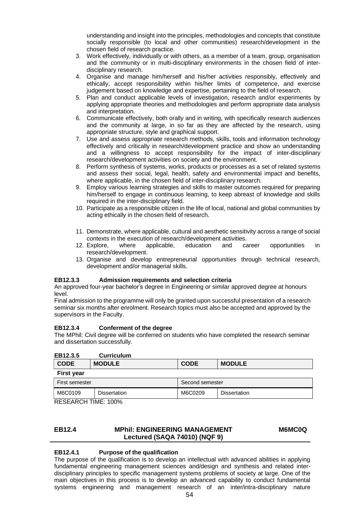understanding and insight into the principles, methodologies and concepts that constitute socially responsible (to local and other communities) research/development in the chosen field of research practice.

- 3. Work effectively, individually or with others, as a member of a team, group, organisation and the community or in multi-disciplinary environments in the chosen field of interdisciplinary research.
- 4. Organise and manage him/herself and his/her activities responsibly, effectively and ethically, accept responsibility within his/her limits of competence, and exercise judgement based on knowledge and expertise, pertaining to the field of research.
- 5. Plan and conduct applicable levels of investigation, research and/or experiments by applying appropriate theories and methodologies and perform appropriate data analysis and interpretation.
- 6. Communicate effectively, both orally and in writing, with specifically research audiences and the community at large, in so far as they are affected by the research, using appropriate structure, style and graphical support.
- 7. Use and assess appropriate research methods, skills, tools and information technology effectively and critically in research/development practice and show an understanding and a willingness to accept responsibility for the impact of inter-disciplinary research/development activities on society and the environment.
- 8. Perform synthesis of systems, works, products or processes as a set of related systems and assess their social, legal, health, safety and environmental impact and benefits, where applicable, in the chosen field of inter-disciplinary research.
- 9. Employ various learning strategies and skills to master outcomes required for preparing him/herself to engage in continuous learning, to keep abreast of knowledge and skills required in the inter-disciplinary field.
- 10. Participate as a responsible citizen in the life of local, national and global communities by acting ethically in the chosen field of research.
- 11. Demonstrate, where applicable, cultural and aesthetic sensitivity across a range of social contexts in the execution of research/development activities.
- 12. Explore, where applicable, education and career opportunities in research/development.
- 13. Organise and develop entrepreneurial opportunities through technical research, development and/or managerial skills.

#### **EB12.3.3 Admission requirements and selection criteria**

An approved four-year bachelor's degree in Engineering or similar approved degree at honours level.

Final admission to the programme will only be granted upon successful presentation of a research seminar six months after enrolment. Research topics must also be accepted and approved by the supervisors in the Faculty.

#### **EB12.3.4 Conferment of the degree**

The MPhil: Civil degree will be conferred on students who have completed the research seminar and dissertation successfully.

| EB12.3.5          | <b>Curriculum</b>   |                 |                     |
|-------------------|---------------------|-----------------|---------------------|
| <b>CODE</b>       | <b>MODULE</b>       | <b>CODE</b>     | <b>MODULE</b>       |
| <b>First year</b> |                     |                 |                     |
| First semester    |                     | Second semester |                     |
| M6C0109           | <b>Dissertation</b> | M6C0209         | <b>Dissertation</b> |

RESEARCH TIME: 100%

#### **EB12.4 MPhil: ENGINEERING MANAGEMENT Lectured (SAQA 74010) (NQF 9) M6MC0Q**

#### **EB12.4.1 Purpose of the qualification**

The purpose of the qualification is to develop an intellectual with advanced abilities in applying fundamental engineering management sciences and/design and synthesis and related interdisciplinary principles to specific management systems problems of society at large. One of the main objectives in this process is to develop an advanced capability to conduct fundamental systems engineering and management research of an inter/intra-disciplinary nature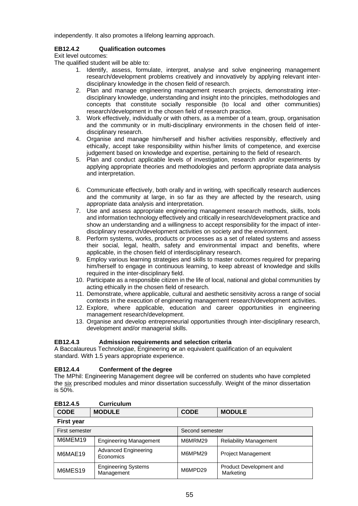independently. It also promotes a lifelong learning approach.

# **EB12.4.2 Qualification outcomes**

Exit level outcomes:

The qualified student will be able to:

- 1. Identify, assess, formulate, interpret, analyse and solve engineering management research/development problems creatively and innovatively by applying relevant interdisciplinary knowledge in the chosen field of research.
- 2. Plan and manage engineering management research projects, demonstrating interdisciplinary knowledge, understanding and insight into the principles, methodologies and concepts that constitute socially responsible (to local and other communities) research/development in the chosen field of research practice.
- 3. Work effectively, individually or with others, as a member of a team, group, organisation and the community or in multi-disciplinary environments in the chosen field of interdisciplinary research.
- 4. Organise and manage him/herself and his/her activities responsibly, effectively and ethically, accept take responsibility within his/her limits of competence, and exercise judgement based on knowledge and expertise, pertaining to the field of research.
- 5. Plan and conduct applicable levels of investigation, research and/or experiments by applying appropriate theories and methodologies and perform appropriate data analysis and interpretation.
- 6. Communicate effectively, both orally and in writing, with specifically research audiences and the community at large, in so far as they are affected by the research, using appropriate data analysis and interpretation.
- 7. Use and assess appropriate engineering management research methods, skills, tools and information technology effectively and critically in research/development practice and show an understanding and a willingness to accept responsibility for the impact of interdisciplinary research/development activities on society and the environment.
- 8. Perform systems, works, products or processes as a set of related systems and assess their social, legal, health, safety and environmental impact and benefits, where applicable, in the chosen field of interdisciplinary research.
- 9. Employ various learning strategies and skills to master outcomes required for preparing him/herself to engage in continuous learning, to keep abreast of knowledge and skills required in the inter-disciplinary field.
- 10. Participate as a responsible citizen in the life of local, national and global communities by acting ethically in the chosen field of research.
- 11. Demonstrate, where applicable, cultural and aesthetic sensitivity across a range of social contexts in the execution of engineering management research/development activities.
- 12. Explore, where applicable, education and career opportunities in engineering management research/development.
- 13. Organise and develop entrepreneurial opportunities through inter-disciplinary research, development and/or managerial skills.

#### **EB12.4.3 Admission requirements and selection criteria**

A Baccalaureus Technologiae, Engineering **or** an equivalent qualification of an equivalent standard. With 1.5 years appropriate experience.

#### **EB12.4.4 Conferment of the degree**

The MPhil: Engineering Management degree will be conferred on students who have completed the six prescribed modules and minor dissertation successfully. Weight of the minor dissertation is  $50\%$ .

| ------      | <b>VUITIVUIUIT</b> |             |               |
|-------------|--------------------|-------------|---------------|
| <b>CODE</b> | <b>MODULE</b>      | <b>CODE</b> | <b>MODULE</b> |
| First vear  |                    |             |               |

| First semester |                                          | Second semester |                                             |
|----------------|------------------------------------------|-----------------|---------------------------------------------|
| M6MEM19        | <b>Engineering Management</b>            | M6MRM29         | <b>Reliability Management</b>               |
| M6MAE19        | <b>Advanced Engineering</b><br>Economics | M6MPM29         | <b>Project Management</b>                   |
| M6MES19        | <b>Engineering Systems</b><br>Management | M6MPD29         | <b>Product Development and</b><br>Marketing |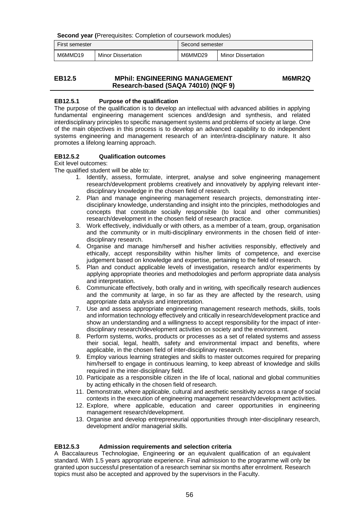**Second year (**Prerequisites: Completion of coursework modules)

| First semester |                           | Second semester |                           |
|----------------|---------------------------|-----------------|---------------------------|
| M6MMD19        | <b>Minor Dissertation</b> | M6MMD29         | <b>Minor Dissertation</b> |

#### **EB12.5 MPhil: ENGINEERING MANAGEMENT Research-based (SAQA 74010) (NQF 9) M6MR2Q**

# **EB12.5.1 Purpose of the qualification**

The purpose of the qualification is to develop an intellectual with advanced abilities in applying fundamental engineering management sciences and/design and synthesis, and related interdisciplinary principles to specific management systems and problems of society at large. One of the main objectives in this process is to develop an advanced capability to do independent systems engineering and management research of an inter/intra-disciplinary nature. It also promotes a lifelong learning approach.

# **EB12.5.2 Qualification outcomes**

Exit level outcomes:

The qualified student will be able to:

- 1. Identify, assess, formulate, interpret, analyse and solve engineering management research/development problems creatively and innovatively by applying relevant interdisciplinary knowledge in the chosen field of research.
- 2. Plan and manage engineering management research projects, demonstrating interdisciplinary knowledge, understanding and insight into the principles, methodologies and concepts that constitute socially responsible (to local and other communities) research/development in the chosen field of research practice.
- 3. Work effectively, individually or with others, as a member of a team, group, organisation and the community or in multi-disciplinary environments in the chosen field of interdisciplinary research.
- 4. Organise and manage him/herself and his/her activities responsibly, effectively and ethically, accept responsibility within his/her limits of competence, and exercise judgement based on knowledge and expertise, pertaining to the field of research.
- 5. Plan and conduct applicable levels of investigation, research and/or experiments by applying appropriate theories and methodologies and perform appropriate data analysis and interpretation.
- 6. Communicate effectively, both orally and in writing, with specifically research audiences and the community at large, in so far as they are affected by the research, using appropriate data analysis and interpretation.
- 7. Use and assess appropriate engineering management research methods, skills, tools and information technology effectively and critically in research/development practice and show an understanding and a willingness to accept responsibility for the impact of interdisciplinary research/development activities on society and the environment.
- 8. Perform systems, works, products or processes as a set of related systems and assess their social, legal, health, safety and environmental impact and benefits, where applicable, in the chosen field of inter-disciplinary research.
- 9. Employ various learning strategies and skills to master outcomes required for preparing him/herself to engage in continuous learning, to keep abreast of knowledge and skills required in the inter-disciplinary field.
- 10. Participate as a responsible citizen in the life of local, national and global communities by acting ethically in the chosen field of research.
- 11. Demonstrate, where applicable, cultural and aesthetic sensitivity across a range of social contexts in the execution of engineering management research/development activities.
- 12. Explore, where applicable, education and career opportunities in engineering management research/development.
- 13. Organise and develop entrepreneurial opportunities through inter-disciplinary research, development and/or managerial skills.

#### **EB12.5.3 Admission requirements and selection criteria**

A Baccalaureus Technologiae, Engineering **or** an equivalent qualification of an equivalent standard. With 1.5 years appropriate experience. Final admission to the programme will only be granted upon successful presentation of a research seminar six months after enrolment. Research topics must also be accepted and approved by the supervisors in the Faculty.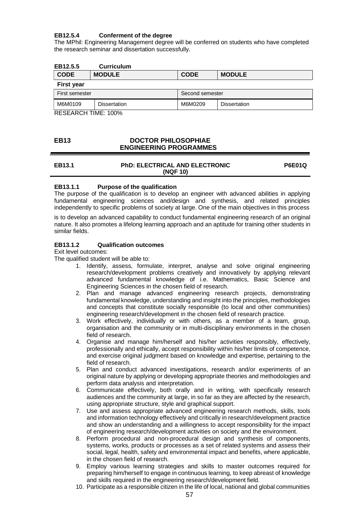# **EB12.5.4 Conferment of the degree**

The MPhil: Engineering Management degree will be conferred on students who have completed the research seminar and dissertation successfully.

#### **EB12.5.5 Curriculum**

| <b>CODE</b>       | <b>MODULE</b> | <b>CODE</b>     | <b>MODULE</b>       |
|-------------------|---------------|-----------------|---------------------|
| <b>First year</b> |               |                 |                     |
| First semester    |               | Second semester |                     |
| M6M0109           | Dissertation  | M6M0209         | <b>Dissertation</b> |

RESEARCH TIME: 100%

#### **EB13 DOCTOR PHILOSOPHIAE ENGINEERING PROGRAMMES**

#### **EB13.1 PhD: ELECTRICAL AND ELECTRONIC (NQF 10) P6E01Q**

#### **EB13.1.1 Purpose of the qualification**

The purpose of the qualification is to develop an engineer with advanced abilities in applying fundamental engineering sciences and/design and synthesis, and related principles independently to specific problems of society at large. One of the main objectives in this process

is to develop an advanced capability to conduct fundamental engineering research of an original nature. It also promotes a lifelong learning approach and an aptitude for training other students in similar fields.

#### **EB13.1.2 Qualification outcomes**

Exit level outcomes:

- 1. Identify, assess, formulate, interpret, analyse and solve original engineering research/development problems creatively and innovatively by applying relevant advanced fundamental knowledge of i.e. Mathematics, Basic Science and Engineering Sciences in the chosen field of research.
- 2. Plan and manage advanced engineering research projects, demonstrating fundamental knowledge, understanding and insight into the principles, methodologies and concepts that constitute socially responsible (to local and other communities) engineering research/development in the chosen field of research practice.
- 3. Work effectively, individually or with others, as a member of a team, group, organisation and the community or in multi-disciplinary environments in the chosen field of research.
- 4. Organise and manage him/herself and his/her activities responsibly, effectively, professionally and ethically, accept responsibility within his/her limits of competence, and exercise original judgment based on knowledge and expertise, pertaining to the field of research.
- 5. Plan and conduct advanced investigations, research and/or experiments of an original nature by applying or developing appropriate theories and methodologies and perform data analysis and interpretation.
- 6. Communicate effectively, both orally and in writing, with specifically research audiences and the community at large, in so far as they are affected by the research, using appropriate structure, style and graphical support.
- 7. Use and assess appropriate advanced engineering research methods, skills, tools and information technology effectively and critically in research/development practice and show an understanding and a willingness to accept responsibility for the impact of engineering research/development activities on society and the environment.
- 8. Perform procedural and non-procedural design and synthesis of components, systems, works, products or processes as a set of related systems and assess their social, legal, health, safety and environmental impact and benefits, where applicable, in the chosen field of research.
- 9. Employ various learning strategies and skills to master outcomes required for preparing him/herself to engage in continuous learning, to keep abreast of knowledge and skills required in the engineering research/development field.
- 10. Participate as a responsible citizen in the life of local, national and global communities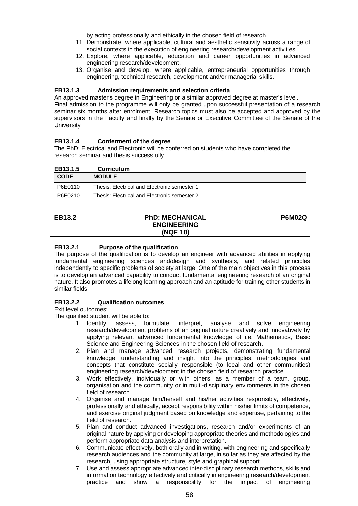by acting professionally and ethically in the chosen field of research.

- 11. Demonstrate, where applicable, cultural and aesthetic sensitivity across a range of social contexts in the execution of engineering research/development activities.
- 12. Explore, where applicable, education and career opportunities in advanced engineering research/development.
- 13. Organise and develop, where applicable, entrepreneurial opportunities through engineering, technical research, development and/or managerial skills.

#### **EB13.1.3 Admission requirements and selection criteria**

An approved master's degree in Engineering or a similar approved degree at master's level. Final admission to the programme will only be granted upon successful presentation of a research seminar six months after enrolment. Research topics must also be accepted and approved by the supervisors in the Faculty and finally by the Senate or Executive Committee of the Senate of the **University** 

#### **EB13.1.4 Conferment of the degree**

The PhD: Electrical and Electronic will be conferred on students who have completed the research seminar and thesis successfully.

| EB13.1.5    | <b>Curriculum</b>                            |
|-------------|----------------------------------------------|
| <b>CODE</b> | <b>MODULE</b>                                |
| P6E0110     | Thesis: Electrical and Electronic semester 1 |
| P6E0210     | Thesis: Electrical and Electronic semester 2 |

#### **EB13.2 PhD: MECHANICAL ENGINEERING (NQF 10) P6M02Q**

# **EB13.2.1 Purpose of the qualification**

The purpose of the qualification is to develop an engineer with advanced abilities in applying fundamental engineering sciences and/design and synthesis, and related principles independently to specific problems of society at large. One of the main objectives in this process is to develop an advanced capability to conduct fundamental engineering research of an original nature. It also promotes a lifelong learning approach and an aptitude for training other students in similar fields.

#### **EB13.2.2 Qualification outcomes**

Exit level outcomes:

- 1. Identify, assess, formulate, interpret, analyse and solve engineering research/development problems of an original nature creatively and innovatively by applying relevant advanced fundamental knowledge of i.e. Mathematics, Basic Science and Engineering Sciences in the chosen field of research.
- 2. Plan and manage advanced research projects, demonstrating fundamental knowledge, understanding and insight into the principles, methodologies and concepts that constitute socially responsible (to local and other communities) engineering research/development in the chosen field of research practice.
- 3. Work effectively, individually or with others, as a member of a team, group, organisation and the community or in multi-disciplinary environments in the chosen field of research.
- 4. Organise and manage him/herself and his/her activities responsibly, effectively, professionally and ethically, accept responsibility within his/her limits of competence, and exercise original judgment based on knowledge and expertise, pertaining to the field of research.
- 5. Plan and conduct advanced investigations, research and/or experiments of an original nature by applying or developing appropriate theories and methodologies and perform appropriate data analysis and interpretation.
- 6. Communicate effectively, both orally and in writing, with engineering and specifically research audiences and the community at large, in so far as they are affected by the research, using appropriate structure, style and graphical support.
- 7. Use and assess appropriate advanced inter-disciplinary research methods, skills and information technology effectively and critically in engineering research/development practice and show a responsibility for the impact of engineering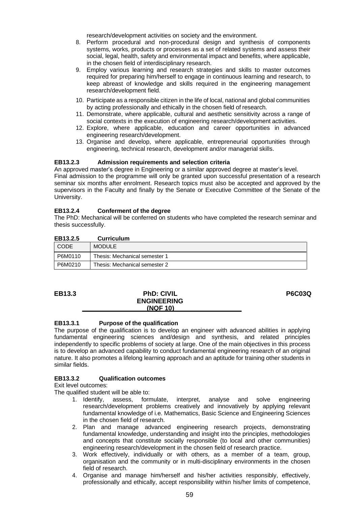research/development activities on society and the environment.

- 8. Perform procedural and non-procedural design and synthesis of components systems, works, products or processes as a set of related systems and assess their social, legal, health, safety and environmental impact and benefits, where applicable, in the chosen field of interdisciplinary research.
- 9. Employ various learning and research strategies and skills to master outcomes required for preparing him/herself to engage in continuous learning and research, to keep abreast of knowledge and skills required in the engineering management research/development field.
- 10. Participate as a responsible citizen in the life of local, national and global communities by acting professionally and ethically in the chosen field of research.
- 11. Demonstrate, where applicable, cultural and aesthetic sensitivity across a range of social contexts in the execution of engineering research/development activities.
- 12. Explore, where applicable, education and career opportunities in advanced engineering research/development.
- 13. Organise and develop, where applicable, entrepreneurial opportunities through engineering, technical research, development and/or managerial skills.

#### **EB13.2.3 Admission requirements and selection criteria**

An approved master's degree in Engineering or a similar approved degree at master's level. Final admission to the programme will only be granted upon successful presentation of a research seminar six months after enrolment. Research topics must also be accepted and approved by the supervisors in the Faculty and finally by the Senate or Executive Committee of the Senate of the University.

#### **EB13.2.4 Conferment of the degree**

The PhD: Mechanical will be conferred on students who have completed the research seminar and thesis successfully.

| EB13.2.5 | <b>Curriculum</b>             |
|----------|-------------------------------|
| CODE     | <b>MODULE</b>                 |
| P6M0110  | Thesis: Mechanical semester 1 |
| P6M0210  | Thesis: Mechanical semester 2 |

#### **EB13.3 PhD: CIVIL ENGINEERING (NQF 10)**

**P6C03Q**

#### **EB13.3.1 Purpose of the qualification**

The purpose of the qualification is to develop an engineer with advanced abilities in applying fundamental engineering sciences and/design and synthesis, and related principles independently to specific problems of society at large. One of the main objectives in this process is to develop an advanced capability to conduct fundamental engineering research of an original nature. It also promotes a lifelong learning approach and an aptitude for training other students in similar fields.

#### **EB13.3.2 Qualification outcomes**

Exit level outcomes:

- 1. Identify, assess, formulate, interpret, analyse and solve engineering research/development problems creatively and innovatively by applying relevant fundamental knowledge of i.e. Mathematics, Basic Science and Engineering Sciences in the chosen field of research.
- 2. Plan and manage advanced engineering research projects, demonstrating fundamental knowledge, understanding and insight into the principles, methodologies and concepts that constitute socially responsible (to local and other communities) engineering research/development in the chosen field of research practice.
- 3. Work effectively, individually or with others, as a member of a team, group, organisation and the community or in multi-disciplinary environments in the chosen field of research.
- 4. Organise and manage him/herself and his/her activities responsibly, effectively, professionally and ethically, accept responsibility within his/her limits of competence,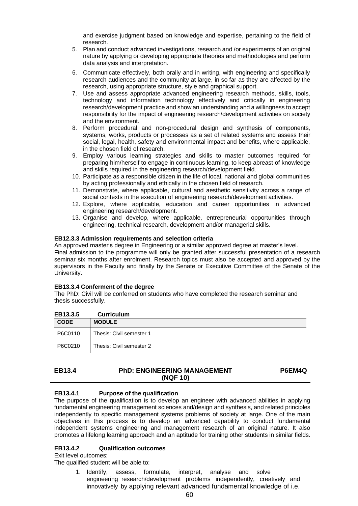and exercise judgment based on knowledge and expertise, pertaining to the field of research.

- 5. Plan and conduct advanced investigations, research and /or experiments of an original nature by applying or developing appropriate theories and methodologies and perform data analysis and interpretation.
- 6. Communicate effectively, both orally and in writing, with engineering and specifically research audiences and the community at large, in so far as they are affected by the research, using appropriate structure, style and graphical support.
- 7. Use and assess appropriate advanced engineering research methods, skills, tools, technology and information technology effectively and critically in engineering research/development practice and show an understanding and a willingness to accept responsibility for the impact of engineering research/development activities on society and the environment.
- 8. Perform procedural and non-procedural design and synthesis of components, systems, works, products or processes as a set of related systems and assess their social, legal, health, safety and environmental impact and benefits, where applicable, in the chosen field of research.
- 9. Employ various learning strategies and skills to master outcomes required for preparing him/herself to engage in continuous learning, to keep abreast of knowledge and skills required in the engineering research/development field.
- 10. Participate as a responsible citizen in the life of local, national and global communities by acting professionally and ethically in the chosen field of research.
- 11. Demonstrate, where applicable, cultural and aesthetic sensitivity across a range of social contexts in the execution of engineering research/development activities.
- 12. Explore, where applicable, education and career opportunities in advanced engineering research/development.
- 13. Organise and develop, where applicable, entrepreneurial opportunities through engineering, technical research, development and/or managerial skills.

#### **EB12.3.3 Admission requirements and selection criteria**

An approved master's degree in Engineering or a similar approved degree at master's level. Final admission to the programme will only be granted after successful presentation of a research seminar six months after enrolment. Research topics must also be accepted and approved by the supervisors in the Faculty and finally by the Senate or Executive Committee of the Senate of the University.

#### **EB13.3.4 Conferment of the degree**

The PhD: Civil will be conferred on students who have completed the research seminar and thesis successfully.

| EB13.3.5    | <b>Curriculum</b>        |
|-------------|--------------------------|
| <b>CODE</b> | <b>MODULE</b>            |
| P6C0110     | Thesis: Civil semester 1 |
| P6C0210     | Thesis: Civil semester 2 |

#### **EB13.4 PhD: ENGINEERING MANAGEMENT (NQF 10) P6EM4Q**

# **EB13.4.1 Purpose of the qualification**

The purpose of the qualification is to develop an engineer with advanced abilities in applying fundamental engineering management sciences and/design and synthesis, and related principles independently to specific management systems problems of society at large. One of the main objectives in this process is to develop an advanced capability to conduct fundamental independent systems engineering and management research of an original nature. It also promotes a lifelong learning approach and an aptitude for training other students in similar fields.

#### **EB13.4.2 Qualification outcomes**

Exit level outcomes:

The qualified student will be able to:

1. Identify, assess, formulate, interpret, analyse and solve engineering research/development problems independently, creatively and innovatively by applying relevant advanced fundamental knowledge of i.e.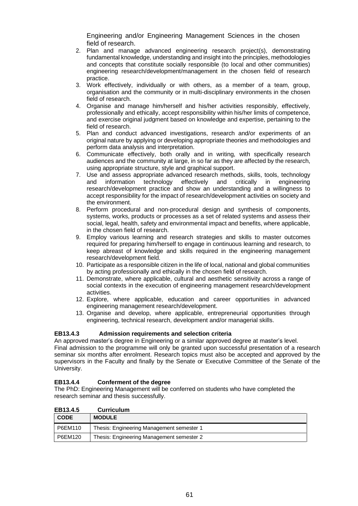Engineering and/or Engineering Management Sciences in the chosen field of research.

- 2. Plan and manage advanced engineering research project(s), demonstrating fundamental knowledge, understanding and insight into the principles, methodologies and concepts that constitute socially responsible (to local and other communities) engineering research/development/management in the chosen field of research practice.
- 3. Work effectively, individually or with others, as a member of a team, group, organisation and the community or in multi-disciplinary environments in the chosen field of research.
- 4. Organise and manage him/herself and his/her activities responsibly, effectively, professionally and ethically, accept responsibility within his/her limits of competence, and exercise original judgment based on knowledge and expertise, pertaining to the field of research.
- 5. Plan and conduct advanced investigations, research and/or experiments of an original nature by applying or developing appropriate theories and methodologies and perform data analysis and interpretation.
- 6. Communicate effectively, both orally and in writing, with specifically research audiences and the community at large, in so far as they are affected by the research, using appropriate structure, style and graphical support.
- 7. Use and assess appropriate advanced research methods, skills, tools, technology and information technology effectively and critically in engineering research/development practice and show an understanding and a willingness to accept responsibility for the impact of research/development activities on society and the environment.
- 8. Perform procedural and non-procedural design and synthesis of components, systems, works, products or processes as a set of related systems and assess their social, legal, health, safety and environmental impact and benefits, where applicable, in the chosen field of research.
- 9. Employ various learning and research strategies and skills to master outcomes required for preparing him/herself to engage in continuous learning and research, to keep abreast of knowledge and skills required in the engineering management research/development field.
- 10. Participate as a responsible citizen in the life of local, national and global communities by acting professionally and ethically in the chosen field of research.
- 11. Demonstrate, where applicable, cultural and aesthetic sensitivity across a range of social contexts in the execution of engineering management research/development activities.
- 12. Explore, where applicable, education and career opportunities in advanced engineering management research/development.
- 13. Organise and develop, where applicable, entrepreneurial opportunities through engineering, technical research, development and/or managerial skills.

#### **EB13.4.3 Admission requirements and selection criteria**

An approved master's degree in Engineering or a similar approved degree at master's level. Final admission to the programme will only be granted upon successful presentation of a research seminar six months after enrolment. Research topics must also be accepted and approved by the supervisors in the Faculty and finally by the Senate or Executive Committee of the Senate of the University.

#### **EB13.4.4 Conferment of the degree**

The PhD: Engineering Management will be conferred on students who have completed the research seminar and thesis successfully.

| EB13.4.5    | <b>Curriculum</b>                         |
|-------------|-------------------------------------------|
| <b>CODE</b> | <b>MODULE</b>                             |
| P6EM110     | Thesis: Engineering Management semester 1 |
| P6EM120     | Thesis: Engineering Management semester 2 |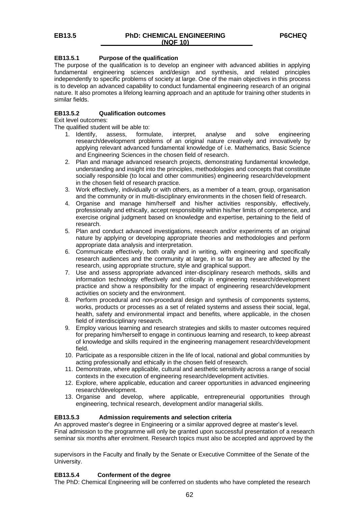#### **EB13.5.1 Purpose of the qualification**

The purpose of the qualification is to develop an engineer with advanced abilities in applying fundamental engineering sciences and/design and synthesis, and related principles independently to specific problems of society at large. One of the main objectives in this process is to develop an advanced capability to conduct fundamental engineering research of an original nature. It also promotes a lifelong learning approach and an aptitude for training other students in similar fields.

#### **EB13.5.2 Qualification outcomes**

Exit level outcomes:

The qualified student will be able to:

- 1. Identify, assess, formulate, interpret, analyse and solve engineering research/development problems of an original nature creatively and innovatively by applying relevant advanced fundamental knowledge of i.e. Mathematics, Basic Science and Engineering Sciences in the chosen field of research.
- 2. Plan and manage advanced research projects, demonstrating fundamental knowledge, understanding and insight into the principles, methodologies and concepts that constitute socially responsible (to local and other communities) engineering research/development in the chosen field of research practice.
- 3. Work effectively, individually or with others, as a member of a team, group, organisation and the community or in multi-disciplinary environments in the chosen field of research.
- 4. Organise and manage him/herself and his/her activities responsibly, effectively, professionally and ethically, accept responsibility within his/her limits of competence, and exercise original judgment based on knowledge and expertise, pertaining to the field of research.
- 5. Plan and conduct advanced investigations, research and/or experiments of an original nature by applying or developing appropriate theories and methodologies and perform appropriate data analysis and interpretation.
- 6. Communicate effectively, both orally and in writing, with engineering and specifically research audiences and the community at large, in so far as they are affected by the research, using appropriate structure, style and graphical support.
- 7. Use and assess appropriate advanced inter-disciplinary research methods, skills and information technology effectively and critically in engineering research/development practice and show a responsibility for the impact of engineering research/development activities on society and the environment.
- 8. Perform procedural and non-procedural design and synthesis of components systems, works, products or processes as a set of related systems and assess their social, legal, health, safety and environmental impact and benefits, where applicable, in the chosen field of interdisciplinary research.
- 9. Employ various learning and research strategies and skills to master outcomes required for preparing him/herself to engage in continuous learning and research, to keep abreast of knowledge and skills required in the engineering management research/development field.
- 10. Participate as a responsible citizen in the life of local, national and global communities by acting professionally and ethically in the chosen field of research.
- 11. Demonstrate, where applicable, cultural and aesthetic sensitivity across a range of social contexts in the execution of engineering research/development activities.
- 12. Explore, where applicable, education and career opportunities in advanced engineering research/development.
- 13. Organise and develop, where applicable, entrepreneurial opportunities through engineering, technical research, development and/or managerial skills.

#### **EB13.5.3 Admission requirements and selection criteria**

An approved master's degree in Engineering or a similar approved degree at master's level. Final admission to the programme will only be granted upon successful presentation of a research seminar six months after enrolment. Research topics must also be accepted and approved by the

supervisors in the Faculty and finally by the Senate or Executive Committee of the Senate of the University.

#### **EB13.5.4 Conferment of the degree**

The PhD: Chemical Engineering will be conferred on students who have completed the research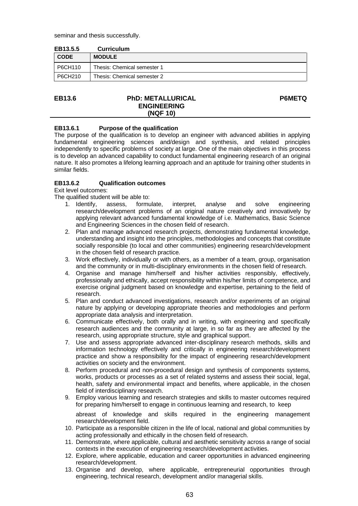seminar and thesis successfully.

| EB13.5.5    | <b>Curriculum</b>           |
|-------------|-----------------------------|
| <b>CODE</b> | <b>MODULE</b>               |
| P6CH110     | Thesis: Chemical semester 1 |
| P6CH210     | Thesis: Chemical semester 2 |

**P6METQ**

#### **EB13.6 PhD: METALLURICAL ENGINEERING (NQF 10)**

#### **EB13.6.1 Purpose of the qualification**

The purpose of the qualification is to develop an engineer with advanced abilities in applying fundamental engineering sciences and/design and synthesis, and related principles independently to specific problems of society at large. One of the main objectives in this process is to develop an advanced capability to conduct fundamental engineering research of an original nature. It also promotes a lifelong learning approach and an aptitude for training other students in similar fields.

#### **EB13.6.2 Qualification outcomes**

Exit level outcomes:

The qualified student will be able to:

- 1. Identify, assess, formulate, interpret, analyse and solve engineering research/development problems of an original nature creatively and innovatively by applying relevant advanced fundamental knowledge of i.e. Mathematics, Basic Science and Engineering Sciences in the chosen field of research.
- 2. Plan and manage advanced research projects, demonstrating fundamental knowledge, understanding and insight into the principles, methodologies and concepts that constitute socially responsible (to local and other communities) engineering research/development in the chosen field of research practice.
- 3. Work effectively, individually or with others, as a member of a team, group, organisation and the community or in multi-disciplinary environments in the chosen field of research.
- 4. Organise and manage him/herself and his/her activities responsibly, effectively, professionally and ethically, accept responsibility within his/her limits of competence, and exercise original judgment based on knowledge and expertise, pertaining to the field of research.
- 5. Plan and conduct advanced investigations, research and/or experiments of an original nature by applying or developing appropriate theories and methodologies and perform appropriate data analysis and interpretation.
- 6. Communicate effectively, both orally and in writing, with engineering and specifically research audiences and the community at large, in so far as they are affected by the research, using appropriate structure, style and graphical support.
- 7. Use and assess appropriate advanced inter-disciplinary research methods, skills and information technology effectively and critically in engineering research/development practice and show a responsibility for the impact of engineering research/development activities on society and the environment.
- 8. Perform procedural and non-procedural design and synthesis of components systems, works, products or processes as a set of related systems and assess their social, legal, health, safety and environmental impact and benefits, where applicable, in the chosen field of interdisciplinary research.
- 9. Employ various learning and research strategies and skills to master outcomes required for preparing him/herself to engage in continuous learning and research, to keep

abreast of knowledge and skills required in the engineering management research/development field.

- 10. Participate as a responsible citizen in the life of local, national and global communities by acting professionally and ethically in the chosen field of research.
- 11. Demonstrate, where applicable, cultural and aesthetic sensitivity across a range of social contexts in the execution of engineering research/development activities.
- 12. Explore, where applicable, education and career opportunities in advanced engineering research/development.
- 13. Organise and develop, where applicable, entrepreneurial opportunities through engineering, technical research, development and/or managerial skills.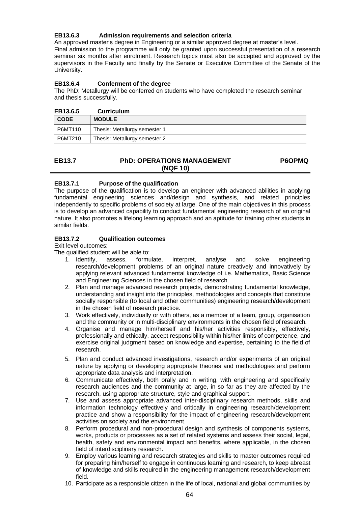# **EB13.6.3 Admission requirements and selection criteria**

An approved master's degree in Engineering or a similar approved degree at master's level. Final admission to the programme will only be granted upon successful presentation of a research seminar six months after enrolment. Research topics must also be accepted and approved by the supervisors in the Faculty and finally by the Senate or Executive Committee of the Senate of the University.

#### **EB13.6.4 Conferment of the degree**

The PhD: Metallurgy will be conferred on students who have completed the research seminar and thesis successfully.

| EB13.6.5    | <b>Curriculum</b>             |
|-------------|-------------------------------|
| <b>CODE</b> | <b>MODULE</b>                 |
| P6MT110     | Thesis: Metallurgy semester 1 |
| P6MT210     | Thesis: Metallurgy semester 2 |

| EB13.7 | <b>PhD: OPERATIONS MANAGEMENT</b> | <b>P6OPMQ</b> |
|--------|-----------------------------------|---------------|
|        | (NQF 10)                          |               |

# **EB13.7.1 Purpose of the qualification**

The purpose of the qualification is to develop an engineer with advanced abilities in applying fundamental engineering sciences and/design and synthesis, and related principles independently to specific problems of society at large. One of the main objectives in this process is to develop an advanced capability to conduct fundamental engineering research of an original nature. It also promotes a lifelong learning approach and an aptitude for training other students in similar fields.

#### **EB13.7.2 Qualification outcomes**

Exit level outcomes:

- 1. Identify, assess, formulate, interpret, analyse and solve engineering research/development problems of an original nature creatively and innovatively by applying relevant advanced fundamental knowledge of i.e. Mathematics, Basic Science and Engineering Sciences in the chosen field of research.
- 2. Plan and manage advanced research projects, demonstrating fundamental knowledge, understanding and insight into the principles, methodologies and concepts that constitute socially responsible (to local and other communities) engineering research/development in the chosen field of research practice.
- 3. Work effectively, individually or with others, as a member of a team, group, organisation and the community or in multi-disciplinary environments in the chosen field of research.
- 4. Organise and manage him/herself and his/her activities responsibly, effectively, professionally and ethically, accept responsibility within his/her limits of competence, and exercise original judgment based on knowledge and expertise, pertaining to the field of research.
- 5. Plan and conduct advanced investigations, research and/or experiments of an original nature by applying or developing appropriate theories and methodologies and perform appropriate data analysis and interpretation.
- 6. Communicate effectively, both orally and in writing, with engineering and specifically research audiences and the community at large, in so far as they are affected by the research, using appropriate structure, style and graphical support.
- 7. Use and assess appropriate advanced inter-disciplinary research methods, skills and information technology effectively and critically in engineering research/development practice and show a responsibility for the impact of engineering research/development activities on society and the environment.
- 8. Perform procedural and non-procedural design and synthesis of components systems, works, products or processes as a set of related systems and assess their social, legal, health, safety and environmental impact and benefits, where applicable, in the chosen field of interdisciplinary research.
- 9. Employ various learning and research strategies and skills to master outcomes required for preparing him/herself to engage in continuous learning and research, to keep abreast of knowledge and skills required in the engineering management research/development field.
- 10. Participate as a responsible citizen in the life of local, national and global communities by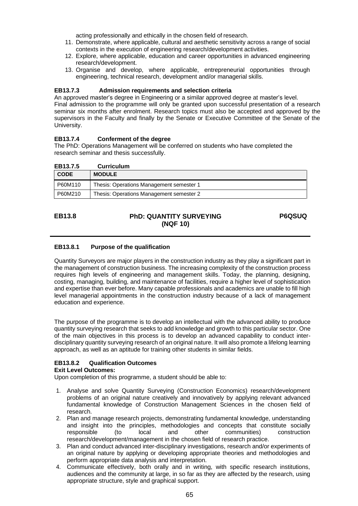acting professionally and ethically in the chosen field of research.

- 11. Demonstrate, where applicable, cultural and aesthetic sensitivity across a range of social contexts in the execution of engineering research/development activities.
- 12. Explore, where applicable, education and career opportunities in advanced engineering research/development.
- 13. Organise and develop, where applicable, entrepreneurial opportunities through engineering, technical research, development and/or managerial skills.

#### **EB13.7.3 Admission requirements and selection criteria**

An approved master's degree in Engineering or a similar approved degree at master's level. Final admission to the programme will only be granted upon successful presentation of a research seminar six months after enrolment. Research topics must also be accepted and approved by the supervisors in the Faculty and finally by the Senate or Executive Committee of the Senate of the University.

#### **EB13.7.4 Conferment of the degree**

The PhD: Operations Management will be conferred on students who have completed the research seminar and thesis successfully.

| <b>CODE</b> | <b>MODULE</b>                            |
|-------------|------------------------------------------|
| P60M110     | Thesis: Operations Management semester 1 |
| P60M210     | Thesis: Operations Management semester 2 |

# **EB13.8 PhD: QUANTITY SURVEYING (NQF 10)**

**P6QSUQ**

#### **EB13.8.1 Purpose of the qualification**

Quantity Surveyors are major players in the construction industry as they play a significant part in the management of construction business. The increasing complexity of the construction process requires high levels of engineering and management skills. Today, the planning, designing, costing, managing, building, and maintenance of facilities, require a higher level of sophistication and expertise than ever before. Many capable professionals and academics are unable to fill high level managerial appointments in the construction industry because of a lack of management education and experience.

The purpose of the programme is to develop an intellectual with the advanced ability to produce quantity surveying research that seeks to add knowledge and growth to this particular sector. One of the main objectives in this process is to develop an advanced capability to conduct interdisciplinary quantity surveying research of an original nature. It will also promote a lifelong learning approach, as well as an aptitude for training other students in similar fields.

#### **EB13.8.2 Qualification Outcomes**

#### **Exit Level Outcomes:**

Upon completion of this programme, a student should be able to:

- 1. Analyse and solve Quantity Surveying (Construction Economics) research/development problems of an original nature creatively and innovatively by applying relevant advanced fundamental knowledge of Construction Management Sciences in the chosen field of research.
- 2. Plan and manage research projects, demonstrating fundamental knowledge, understanding and insight into the principles, methodologies and concepts that constitute socially responsible (to local and other communities) construction responsible (to local and other communities) construction research/development/management in the chosen field of research practice.
- 3. Plan and conduct advanced inter-disciplinary investigations, research and/or experiments of an original nature by applying or developing appropriate theories and methodologies and perform appropriate data analysis and interpretation.
- 4. Communicate effectively, both orally and in writing, with specific research institutions, audiences and the community at large, in so far as they are affected by the research, using appropriate structure, style and graphical support.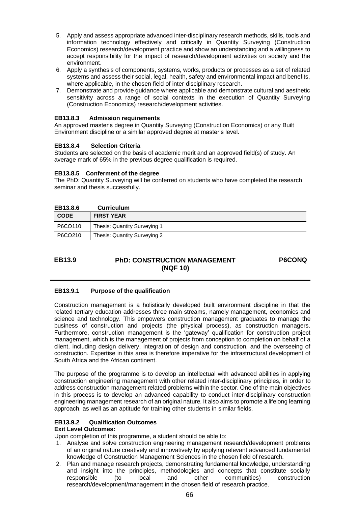- 5. Apply and assess appropriate advanced inter-disciplinary research methods, skills, tools and information technology effectively and critically in Quantity Surveying (Construction Economics) research/development practice and show an understanding and a willingness to accept responsibility for the impact of research/development activities on society and the environment.
- 6. Apply a synthesis of components, systems, works, products or processes as a set of related systems and assess their social, legal, health, safety and environmental impact and benefits, where applicable, in the chosen field of inter-disciplinary research.
- 7. Demonstrate and provide guidance where applicable and demonstrate cultural and aesthetic sensitivity across a range of social contexts in the execution of Quantity Surveying (Construction Economics) research/development activities.

#### **EB13.8.3 Admission requirements**

An approved master's degree in Quantity Surveying (Construction Economics) or any Built Environment discipline or a similar approved degree at master's level.

#### **EB13.8.4 Selection Criteria**

Students are selected on the basis of academic merit and an approved field(s) of study. An average mark of 65% in the previous degree qualification is required.

# **EB13.8.5 Conferment of the degree**

The PhD: Quantity Surveying will be conferred on students who have completed the research seminar and thesis successfully.

| EB13.8.6    | <b>Curriculum</b>            |
|-------------|------------------------------|
| <b>CODE</b> | <b>FIRST YEAR</b>            |
| P6CO110     | Thesis: Quantity Surveying 1 |
| P6CO210     | Thesis: Quantity Surveying 2 |

# **EB13.9 PhD: CONSTRUCTION MANAGEMENT (NQF 10)**

**P6CONQ**

# **EB13.9.1 Purpose of the qualification**

Construction management is a holistically developed built environment discipline in that the related tertiary education addresses three main streams, namely management, economics and science and technology. This empowers construction management graduates to manage the business of construction and projects (the physical process), as construction managers. Furthermore, construction management is the 'gateway' qualification for construction project management, which is the management of projects from conception to completion on behalf of a client, including design delivery, integration of design and construction, and the overseeing of construction. Expertise in this area is therefore imperative for the infrastructural development of South Africa and the African continent.

The purpose of the programme is to develop an intellectual with advanced abilities in applying construction engineering management with other related inter-disciplinary principles, in order to address construction management related problems within the sector. One of the main objectives in this process is to develop an advanced capability to conduct inter-disciplinary construction engineering management research of an original nature. It also aims to promote a lifelong learning approach, as well as an aptitude for training other students in similar fields.

# **EB13.9.2 Qualification Outcomes**

# **Exit Level Outcomes:**

Upon completion of this programme, a student should be able to:

- 1. Analyse and solve construction engineering management research/development problems of an original nature creatively and innovatively by applying relevant advanced fundamental knowledge of Construction Management Sciences in the chosen field of research.
- 2. Plan and manage research projects, demonstrating fundamental knowledge, understanding and insight into the principles, methodologies and concepts that constitute socially responsible (to local and other communities) construction research/development/management in the chosen field of research practice.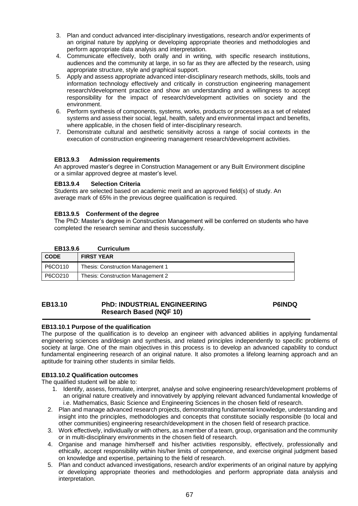- 3. Plan and conduct advanced inter-disciplinary investigations, research and/or experiments of an original nature by applying or developing appropriate theories and methodologies and perform appropriate data analysis and interpretation.
- 4. Communicate effectively, both orally and in writing, with specific research institutions, audiences and the community at large, in so far as they are affected by the research, using appropriate structure, style and graphical support.
- 5. Apply and assess appropriate advanced inter-disciplinary research methods, skills, tools and information technology effectively and critically in construction engineering management research/development practice and show an understanding and a willingness to accept responsibility for the impact of research/development activities on society and the environment.
- 6. Perform synthesis of components, systems, works, products or processes as a set of related systems and assess their social, legal, health, safety and environmental impact and benefits, where applicable, in the chosen field of inter-disciplinary research.
- 7. Demonstrate cultural and aesthetic sensitivity across a range of social contexts in the execution of construction engineering management research/development activities.

#### **EB13.9.3 Admission requirements**

An approved master's degree in Construction Management or any Built Environment discipline or a similar approved degree at master's level.

#### **EB13.9.4 Selection Criteria**

Students are selected based on academic merit and an approved field(s) of study. An average mark of 65% in the previous degree qualification is required.

#### **EB13.9.5 Conferment of the degree**

The PhD: Master's degree in Construction Management will be conferred on students who have completed the research seminar and thesis successfully.

#### **EB13.9.6 Curriculum**

| <b>CODE</b> | <b>FIRST YEAR</b>                 |
|-------------|-----------------------------------|
| P6CO110     | Thesis: Construction Management 1 |
| P6CO210     | Thesis: Construction Management 2 |

#### **EB13.10 PhD: INDUSTRIAL ENGINEERING Research Based (NQF 10) P6INDQ**

#### **EB13.10.1 Purpose of the qualification**

The purpose of the qualification is to develop an engineer with advanced abilities in applying fundamental engineering sciences and/design and synthesis, and related principles independently to specific problems of society at large. One of the main objectives in this process is to develop an advanced capability to conduct fundamental engineering research of an original nature. It also promotes a lifelong learning approach and an aptitude for training other students in similar fields.

#### **EB13.10.2 Qualification outcomes**

- 1. Identify, assess, formulate, interpret, analyse and solve engineering research/development problems of an original nature creatively and innovatively by applying relevant advanced fundamental knowledge of i.e. Mathematics, Basic Science and Engineering Sciences in the chosen field of research.
- 2. Plan and manage advanced research projects, demonstrating fundamental knowledge, understanding and insight into the principles, methodologies and concepts that constitute socially responsible (to local and other communities) engineering research/development in the chosen field of research practice.
- 3. Work effectively, individually or with others, as a member of a team, group, organisation and the community or in multi-disciplinary environments in the chosen field of research.
- 4. Organise and manage him/herself and his/her activities responsibly, effectively, professionally and ethically, accept responsibility within his/her limits of competence, and exercise original judgment based on knowledge and expertise, pertaining to the field of research.
- 5. Plan and conduct advanced investigations, research and/or experiments of an original nature by applying or developing appropriate theories and methodologies and perform appropriate data analysis and interpretation.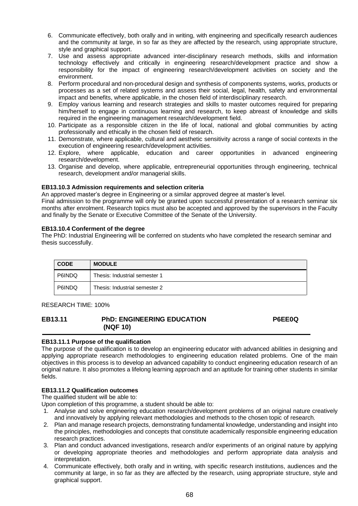- 6. Communicate effectively, both orally and in writing, with engineering and specifically research audiences and the community at large, in so far as they are affected by the research, using appropriate structure, style and graphical support.
- 7. Use and assess appropriate advanced inter-disciplinary research methods, skills and information technology effectively and critically in engineering research/development practice and show a responsibility for the impact of engineering research/development activities on society and the environment.
- 8. Perform procedural and non-procedural design and synthesis of components systems, works, products or processes as a set of related systems and assess their social, legal, health, safety and environmental impact and benefits, where applicable, in the chosen field of interdisciplinary research.
- 9. Employ various learning and research strategies and skills to master outcomes required for preparing him/herself to engage in continuous learning and research, to keep abreast of knowledge and skills required in the engineering management research/development field.
- 10. Participate as a responsible citizen in the life of local, national and global communities by acting professionally and ethically in the chosen field of research.
- 11. Demonstrate, where applicable, cultural and aesthetic sensitivity across a range of social contexts in the
- execution of engineering research/development activities.<br>12. Explore. where applicable, education and career where applicable, education and career opportunities in advanced engineering research/development.
- 13. Organise and develop, where applicable, entrepreneurial opportunities through engineering, technical research, development and/or managerial skills.

# **EB13.10.3 Admission requirements and selection criteria**

An approved master's degree in Engineering or a similar approved degree at master's level.

Final admission to the programme will only be granted upon successful presentation of a research seminar six months after enrolment. Research topics must also be accepted and approved by the supervisors in the Faculty and finally by the Senate or Executive Committee of the Senate of the University.

# **EB13.10.4 Conferment of the degree**

The PhD: Industrial Engineering will be conferred on students who have completed the research seminar and thesis successfully.

| <b>CODE</b> | <b>MODULE</b>                 |
|-------------|-------------------------------|
| P6INDQ      | Thesis: Industrial semester 1 |
| P6INDQ      | Thesis: Industrial semester 2 |

RESEARCH TIME: 100%

#### **EB13.11 PhD: ENGINEERING EDUCATION (NQF 10) P6EE0Q**

# **EB13.11.1 Purpose of the qualification**

The purpose of the qualification is to develop an engineering educator with advanced abilities in designing and applying appropriate research methodologies to engineering education related problems. One of the main objectives in this process is to develop an advanced capability to conduct engineering education research of an original nature. It also promotes a lifelong learning approach and an aptitude for training other students in similar fields.

# **EB13.11.2 Qualification outcomes**

The qualified student will be able to:

Upon completion of this programme, a student should be able to:

- 1. Analyse and solve engineering education research/development problems of an original nature creatively and innovatively by applying relevant methodologies and methods to the chosen topic of research.
- 2. Plan and manage research projects, demonstrating fundamental knowledge, understanding and insight into the principles, methodologies and concepts that constitute academically responsible engineering education research practices.
- 3. Plan and conduct advanced investigations, research and/or experiments of an original nature by applying or developing appropriate theories and methodologies and perform appropriate data analysis and interpretation.
- 4. Communicate effectively, both orally and in writing, with specific research institutions, audiences and the community at large, in so far as they are affected by the research, using appropriate structure, style and graphical support.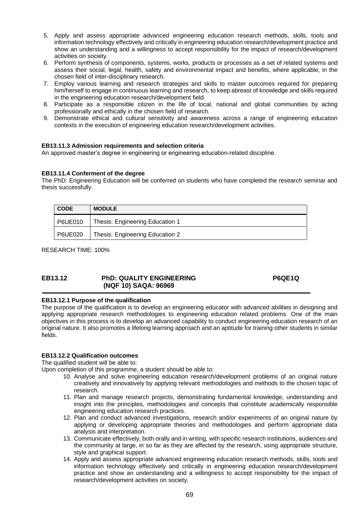- 5. Apply and assess appropriate advanced engineering education research methods, skills, tools and information technology effectively and critically in engineering education research/development practice and show an understanding and a willingness to accept responsibility for the impact of research/development activities on society.
- 6. Perform synthesis of components, systems, works, products or processes as a set of related systems and assess their social, legal, health, safety and environmental impact and benefits, where applicable, in the chosen field of inter-disciplinary research.
- 7. Employ various learning and research strategies and skills to master outcomes required for preparing him/herself to engage in continuous learning and research, to keep abreast of knowledge and skills required in the engineering education research/development field.
- 8. Participate as a responsible citizen in the life of local, national and global communities by acting professionally and ethically in the chosen field of research.
- 9. Demonstrate ethical and cultural sensitivity and awareness across a range of engineering education contexts in the execution of engineering education research/development activities.

#### **EB13.11.3 Admission requirements and selection criteria**

An approved master's degree in engineering or engineering education-related discipline.

#### **EB13.11.4 Conferment of the degree**

The PhD: Engineering Education will be conferred on students who have completed the research seminar and thesis successfully.

| <b>CODE</b> | <b>MODULE</b>                   |
|-------------|---------------------------------|
| P6UE010     | Thesis: Engineering Education 1 |
| P6UE020     | Thesis: Engineering Education 2 |

RESEARCH TIME: 100%

#### **EB13.12 PhD: QUALITY ENGINEERING (NQF 10) SAQA: 96969 P6QE1Q**

#### **EB13.12.1 Purpose of the qualification**

The purpose of the qualification is to develop an engineering educator with advanced abilities in designing and applying appropriate research methodologies to engineering education related problems. One of the main objectives in this process is to develop an advanced capability to conduct engineering education research of an original nature. It also promotes a lifelong learning approach and an aptitude for training other students in similar fields.

#### **EB13.12.2 Qualification outcomes**

The qualified student will be able to:

Upon completion of this programme, a student should be able to:

- 10. Analyse and solve engineering education research/development problems of an original nature creatively and innovatively by applying relevant methodologies and methods to the chosen topic of research.
- 11. Plan and manage research projects, demonstrating fundamental knowledge, understanding and insight into the principles, methodologies and concepts that constitute academically responsible engineering education research practices.
- 12. Plan and conduct advanced investigations, research and/or experiments of an original nature by applying or developing appropriate theories and methodologies and perform appropriate data analysis and interpretation.
- 13. Communicate effectively, both orally and in writing, with specific research institutions, audiences and the community at large, in so far as they are affected by the research, using appropriate structure, style and graphical support.
- 14. Apply and assess appropriate advanced engineering education research methods, skills, tools and information technology effectively and critically in engineering education research/development practice and show an understanding and a willingness to accept responsibility for the impact of research/development activities on society.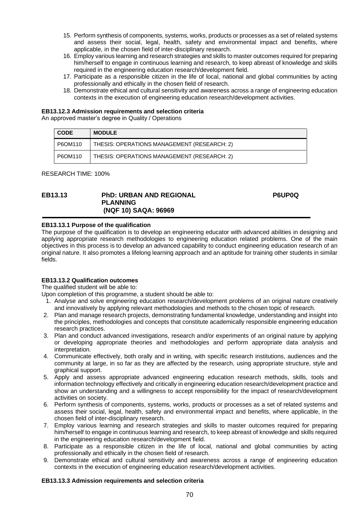- 15. Perform synthesis of components, systems, works, products or processes as a set of related systems and assess their social, legal, health, safety and environmental impact and benefits, where applicable, in the chosen field of inter-disciplinary research.
- 16. Employ various learning and research strategies and skills to master outcomes required for preparing him/herself to engage in continuous learning and research, to keep abreast of knowledge and skills required in the engineering education research/development field.
- 17. Participate as a responsible citizen in the life of local, national and global communities by acting professionally and ethically in the chosen field of research.
- 18. Demonstrate ethical and cultural sensitivity and awareness across a range of engineering education contexts in the execution of engineering education research/development activities.

#### **EB13.12.3 Admission requirements and selection criteria**

An approved master's degree in Quality / Operations

| <b>CODE</b> | <b>MODULE</b>                               |
|-------------|---------------------------------------------|
| P6OM110     | THESIS: OPERATIONS MANAGEMENT (RESEARCH: 2) |
| P6OM110     | THESIS: OPERATIONS MANAGEMENT (RESEARCH: 2) |

RESEARCH TIME: 100%

#### **EB13.13 PhD: URBAN AND REGIONAL PLANNING (NQF 10) SAQA: 96969**

#### **P6UP0Q**

#### **EB13.13.1 Purpose of the qualification**

The purpose of the qualification is to develop an engineering educator with advanced abilities in designing and applying appropriate research methodologies to engineering education related problems. One of the main objectives in this process is to develop an advanced capability to conduct engineering education research of an original nature. It also promotes a lifelong learning approach and an aptitude for training other students in similar fields.

#### **EB13.13.2 Qualification outcomes**

The qualified student will be able to:

Upon completion of this programme, a student should be able to:

- 1. Analyse and solve engineering education research/development problems of an original nature creatively and innovatively by applying relevant methodologies and methods to the chosen topic of research.
- 2. Plan and manage research projects, demonstrating fundamental knowledge, understanding and insight into the principles, methodologies and concepts that constitute academically responsible engineering education research practices.
- 3. Plan and conduct advanced investigations, research and/or experiments of an original nature by applying or developing appropriate theories and methodologies and perform appropriate data analysis and interpretation.
- 4. Communicate effectively, both orally and in writing, with specific research institutions, audiences and the community at large, in so far as they are affected by the research, using appropriate structure, style and graphical support.
- 5. Apply and assess appropriate advanced engineering education research methods, skills, tools and information technology effectively and critically in engineering education research/development practice and show an understanding and a willingness to accept responsibility for the impact of research/development activities on society.
- 6. Perform synthesis of components, systems, works, products or processes as a set of related systems and assess their social, legal, health, safety and environmental impact and benefits, where applicable, in the chosen field of inter-disciplinary research.
- 7. Employ various learning and research strategies and skills to master outcomes required for preparing him/herself to engage in continuous learning and research, to keep abreast of knowledge and skills required in the engineering education research/development field.
- 8. Participate as a responsible citizen in the life of local, national and global communities by acting professionally and ethically in the chosen field of research.
- 9. Demonstrate ethical and cultural sensitivity and awareness across a range of engineering education contexts in the execution of engineering education research/development activities.

#### **EB13.13.3 Admission requirements and selection criteria**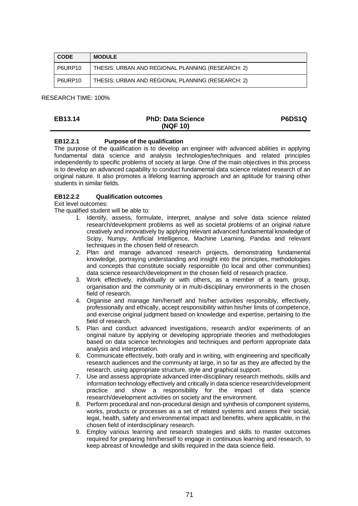| <b>CODE</b> | <b>MODULE</b>                                     |
|-------------|---------------------------------------------------|
| P6URP10     | THESIS: URBAN AND REGIONAL PLANNING (RESEARCH: 2) |
| P6URP10     | THESIS: URBAN AND REGIONAL PLANNING (RESEARCH: 2) |

RESEARCH TIME: 100%

| <b>EB13.14</b> | <b>PhD: Data Science</b> | <b>P6DS1Q</b> |
|----------------|--------------------------|---------------|
|                | (NQF 10)                 |               |

# **EB12.2.1 Purpose of the qualification**

The purpose of the qualification is to develop an engineer with advanced abilities in applying fundamental data science and analysis technologies/techniques and related principles independently to specific problems of society at large. One of the main objectives in this process is to develop an advanced capability to conduct fundamental data science related research of an original nature. It also promotes a lifelong learning approach and an aptitude for training other students in similar fields.

#### **EB12.2.2 Qualification outcomes**

Exit level outcomes:

- 1. Identify, assess, formulate, interpret, analyse and solve data science related research/development problems as well as societal problems of an original nature creatively and innovatively by applying relevant advanced fundamental knowledge of Scipy, Numpy, Artificial Intelligence, Machine Learning, Pandas and relevant techniques in the chosen field of research.
- 2. Plan and manage advanced research projects, demonstrating fundamental knowledge, portraying understanding and insight into the principles, methodologies and concepts that constitute socially responsible (to local and other communities) data science research/development in the chosen field of research practice.
- 3. Work effectively, individually or with others, as a member of a team, group, organisation and the community or in multi-disciplinary environments in the chosen field of research.
- 4. Organise and manage him/herself and his/her activities responsibly, effectively, professionally and ethically, accept responsibility within his/her limits of competence, and exercise original judgment based on knowledge and expertise, pertaining to the field of research.
- 5. Plan and conduct advanced investigations, research and/or experiments of an original nature by applying or developing appropriate theories and methodologies based on data science technologies and techniques and perform appropriate data analysis and interpretation.
- 6. Communicate effectively, both orally and in writing, with engineering and specifically research audiences and the community at large, in so far as they are affected by the research, using appropriate structure, style and graphical support.
- 7. Use and assess appropriate advanced inter-disciplinary research methods, skills and information technology effectively and critically in data science research/development practice and show a responsibility for the impact of data science research/development activities on society and the environment.
- 8. Perform procedural and non-procedural design and synthesis of component systems, works, products or processes as a set of related systems and assess their social, legal, health, safety and environmental impact and benefits, where applicable, in the chosen field of interdisciplinary research.
- 9. Employ various learning and research strategies and skills to master outcomes required for preparing him/herself to engage in continuous learning and research, to keep abreast of knowledge and skills required in the data science field.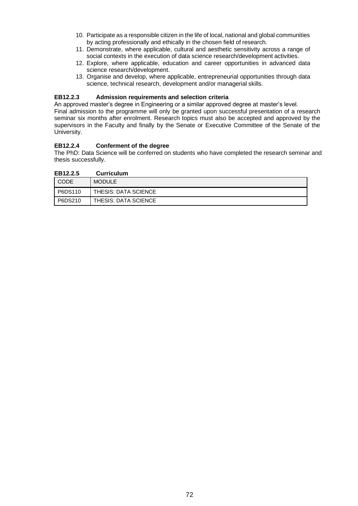- 10. Participate as a responsible citizen in the life of local, national and global communities by acting professionally and ethically in the chosen field of research.
- 11. Demonstrate, where applicable, cultural and aesthetic sensitivity across a range of social contexts in the execution of data science research/development activities.
- 12. Explore, where applicable, education and career opportunities in advanced data science research/development.
- 13. Organise and develop, where applicable, entrepreneurial opportunities through data science, technical research, development and/or managerial skills.

#### **EB12.2.3 Admission requirements and selection criteria**

An approved master's degree in Engineering or a similar approved degree at master's level. Final admission to the programme will only be granted upon successful presentation of a research seminar six months after enrolment. Research topics must also be accepted and approved by the supervisors in the Faculty and finally by the Senate or Executive Committee of the Senate of the University.

#### **EB12.2.4 Conferment of the degree**

The PhD: Data Science will be conferred on students who have completed the research seminar and thesis successfully.

| EB12.2.5 | <b>Curriculum</b>    |
|----------|----------------------|
| CODE     | <b>MODULE</b>        |
| P6DS110  | THESIS: DATA SCIENCE |
| P6DS210  | THESIS: DATA SCIENCE |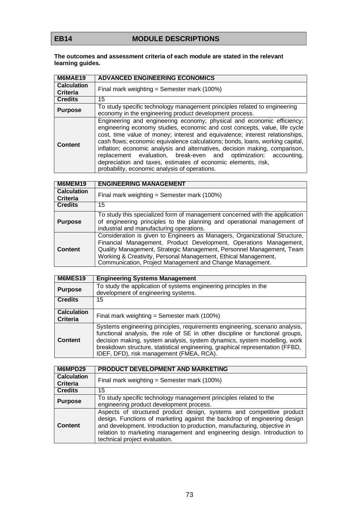## **The outcomes and assessment criteria of each module are stated in the relevant learning guides.**

| M6MAE19                               | <b>ADVANCED ENGINEERING ECONOMICS</b>                                                                                                                                                                                                                                                                                                                                                                                                                                                                                                                                                      |
|---------------------------------------|--------------------------------------------------------------------------------------------------------------------------------------------------------------------------------------------------------------------------------------------------------------------------------------------------------------------------------------------------------------------------------------------------------------------------------------------------------------------------------------------------------------------------------------------------------------------------------------------|
| <b>Calculation</b><br><b>Criteria</b> | Final mark weighting = Semester mark $(100%)$                                                                                                                                                                                                                                                                                                                                                                                                                                                                                                                                              |
| <b>Credits</b>                        | 15                                                                                                                                                                                                                                                                                                                                                                                                                                                                                                                                                                                         |
| <b>Purpose</b>                        | To study specific technology management principles related to engineering<br>economy in the engineering product development process.                                                                                                                                                                                                                                                                                                                                                                                                                                                       |
| <b>Content</b>                        | Engineering and engineering economy; physical and economic efficiency;<br>engineering economy studies, economic and cost concepts, value, life cycle<br>cost, time value of money; interest and equivalence; interest relationships,<br>cash flows; economic equivalence calculations; bonds, loans, working capital,<br>inflation; economic analysis and alternatives, decision making, comparison,<br>replacement evaluation, break-even and optimization; accounting,<br>depreciation and taxes, estimates of economic elements, risk,<br>probability, economic analysis of operations. |

| M6MEM19                               | <b>ENGINEERING MANAGEMENT</b>                                                                                                                                                                                                                                                                                                                         |
|---------------------------------------|-------------------------------------------------------------------------------------------------------------------------------------------------------------------------------------------------------------------------------------------------------------------------------------------------------------------------------------------------------|
| <b>Calculation</b><br><b>Criteria</b> | Final mark weighting = Semester mark $(100%)$                                                                                                                                                                                                                                                                                                         |
| <b>Credits</b>                        | 15                                                                                                                                                                                                                                                                                                                                                    |
| <b>Purpose</b>                        | To study this specialized form of management concerned with the application<br>of engineering principles to the planning and operational management of<br>industrial and manufacturing operations.                                                                                                                                                    |
| Content                               | Consideration is given to Engineers as Managers, Organizational Structure,<br>Financial Management, Product Development, Operations Management,<br>Quality Management, Strategic Management, Personnel Management, Team<br>Working & Creativity, Personal Management, Ethical Management,<br>Communication, Project Management and Change Management. |

| M6MES19                               | <b>Engineering Systems Management</b>                                                                                                                                                                                                                                                                                                                                   |
|---------------------------------------|-------------------------------------------------------------------------------------------------------------------------------------------------------------------------------------------------------------------------------------------------------------------------------------------------------------------------------------------------------------------------|
| <b>Purpose</b>                        | To study the application of systems engineering principles in the<br>development of engineering systems.                                                                                                                                                                                                                                                                |
| <b>Credits</b>                        | 15                                                                                                                                                                                                                                                                                                                                                                      |
| <b>Calculation</b><br><b>Criteria</b> | Final mark weighting = Semester mark (100%)                                                                                                                                                                                                                                                                                                                             |
| <b>Content</b>                        | Systems engineering principles, requirements engineering, scenario analysis,<br>functional analysis, the role of SE in other discipline or functional groups,<br>decision making, system analysis, system dynamics, system modelling, work<br>breakdown structure, statistical engineering, graphical representation (FFBD,<br>IDEF, DFD), risk management (FMEA, RCA). |

| M6MPD29                               | PRODUCT DEVELOPMENT AND MARKETING                                                                                                                                                                                                                                                                                                           |
|---------------------------------------|---------------------------------------------------------------------------------------------------------------------------------------------------------------------------------------------------------------------------------------------------------------------------------------------------------------------------------------------|
| <b>Calculation</b><br><b>Criteria</b> | Final mark weighting = Semester mark $(100%)$                                                                                                                                                                                                                                                                                               |
| <b>Credits</b>                        | 15                                                                                                                                                                                                                                                                                                                                          |
| <b>Purpose</b>                        | To study specific technology management principles related to the<br>engineering product development process.                                                                                                                                                                                                                               |
| <b>Content</b>                        | Aspects of structured product design, systems and competitive product<br>design. Functions of marketing against the backdrop of engineering design<br>and development. Introduction to production, manufacturing, objective in<br>relation to marketing management and engineering design. Introduction to<br>technical project evaluation. |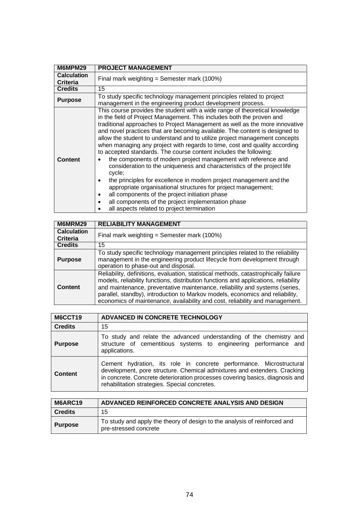| M6MPM29                               | <b>PROJECT MANAGEMENT</b>                                                                                                                                                                                                                                                                                                                                                                                                                                                                                                                                                                                                                                                                                                                                                                                                                                                                                                                                                                                              |
|---------------------------------------|------------------------------------------------------------------------------------------------------------------------------------------------------------------------------------------------------------------------------------------------------------------------------------------------------------------------------------------------------------------------------------------------------------------------------------------------------------------------------------------------------------------------------------------------------------------------------------------------------------------------------------------------------------------------------------------------------------------------------------------------------------------------------------------------------------------------------------------------------------------------------------------------------------------------------------------------------------------------------------------------------------------------|
| <b>Calculation</b><br><b>Criteria</b> | Final mark weighting = Semester mark $(100%)$                                                                                                                                                                                                                                                                                                                                                                                                                                                                                                                                                                                                                                                                                                                                                                                                                                                                                                                                                                          |
| <b>Credits</b>                        | 15                                                                                                                                                                                                                                                                                                                                                                                                                                                                                                                                                                                                                                                                                                                                                                                                                                                                                                                                                                                                                     |
| <b>Purpose</b>                        | To study specific technology management principles related to project<br>management in the engineering product development process.                                                                                                                                                                                                                                                                                                                                                                                                                                                                                                                                                                                                                                                                                                                                                                                                                                                                                    |
| <b>Content</b>                        | This course provides the student with a wide range of theoretical knowledge<br>in the field of Project Management. This includes both the proven and<br>traditional approaches to Project Management as well as the more innovative<br>and novel practices that are becoming available. The content is designed to<br>allow the student to understand and to utilize project management concepts<br>when managing any project with regards to time, cost and quality according<br>to accepted standards. The course content includes the following:<br>the components of modern project management with reference and<br>consideration to the uniqueness and characteristics of the project life<br>cycle;<br>the principles for excellence in modern project management and the<br>٠<br>appropriate organisational structures for project management;<br>all components of the project initiation phase<br>٠<br>all components of the project implementation phase<br>٠<br>all aspects related to project termination |

| M6MRM29                               | <b>RELIABILITY MANAGEMENT</b>                                                                                                                                                                                                                                                                                                                                                                                              |
|---------------------------------------|----------------------------------------------------------------------------------------------------------------------------------------------------------------------------------------------------------------------------------------------------------------------------------------------------------------------------------------------------------------------------------------------------------------------------|
| <b>Calculation</b><br><b>Criteria</b> | Final mark weighting = Semester mark $(100%)$                                                                                                                                                                                                                                                                                                                                                                              |
| <b>Credits</b>                        | 15                                                                                                                                                                                                                                                                                                                                                                                                                         |
| <b>Purpose</b>                        | To study specific technology management principles related to the reliability<br>management in the engineering product lifecycle from development through<br>operation to phase-out and disposal.                                                                                                                                                                                                                          |
| <b>Content</b>                        | Reliability, definitions, evaluation, statistical methods, catastrophically failure<br>models, reliability functions, distribution functions and applications, reliability<br>and maintenance, preventative maintenance, reliability and systems (series,<br>parallel, standby), introduction to Markov models, economics and reliability,<br>economics of maintenance, availability and cost, reliability and management. |

| M6CCT19        | ADVANCED IN CONCRETE TECHNOLOGY                                                                                                                                                                                                                                                  |
|----------------|----------------------------------------------------------------------------------------------------------------------------------------------------------------------------------------------------------------------------------------------------------------------------------|
| <b>Credits</b> | 15                                                                                                                                                                                                                                                                               |
| <b>Purpose</b> | To study and relate the advanced understanding of the chemistry and<br>structure of cementitious systems to engineering performance and<br>applications.                                                                                                                         |
| Content        | Cement hydration, its role in concrete performance. Microstructural<br>development, pore structure. Chemical admixtures and extenders. Cracking<br>in concrete. Concrete deterioration processes covering basics, diagnosis and<br>rehabilitation strategies. Special concretes. |

| M6ARC19        | ADVANCED REINFORCED CONCRETE ANALYSIS AND DESIGN                                                   |
|----------------|----------------------------------------------------------------------------------------------------|
| <b>Credits</b> | 15                                                                                                 |
| <b>Purpose</b> | To study and apply the theory of design to the analysis of reinforced and<br>pre-stressed concrete |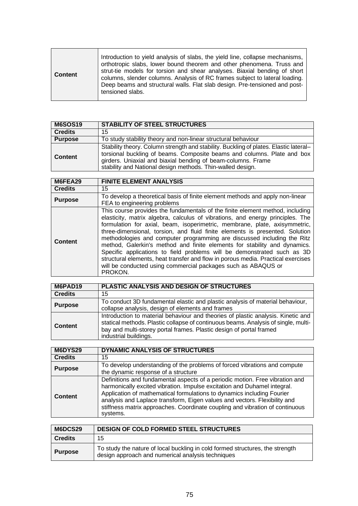| <b>Content</b> | Introduction to yield analysis of slabs, the yield line, collapse mechanisms,<br>orthotropic slabs, lower bound theorem and other phenomena. Truss and<br>strut-tie models for torsion and shear analyses. Biaxial bending of short<br>columns, slender columns. Analysis of RC frames subject to lateral loading.<br>Deep beams and structural walls. Flat slab design. Pre-tensioned and post-<br>tensioned slabs. |
|----------------|----------------------------------------------------------------------------------------------------------------------------------------------------------------------------------------------------------------------------------------------------------------------------------------------------------------------------------------------------------------------------------------------------------------------|
|----------------|----------------------------------------------------------------------------------------------------------------------------------------------------------------------------------------------------------------------------------------------------------------------------------------------------------------------------------------------------------------------------------------------------------------------|

| <b>M6SOS19</b> | <b>STABILITY OF STEEL STRUCTURES</b>                                                                                                                                                                                                                                                           |
|----------------|------------------------------------------------------------------------------------------------------------------------------------------------------------------------------------------------------------------------------------------------------------------------------------------------|
| <b>Credits</b> | 15                                                                                                                                                                                                                                                                                             |
| <b>Purpose</b> | To study stability theory and non-linear structural behaviour                                                                                                                                                                                                                                  |
| <b>Content</b> | Stability theory. Column strength and stability. Buckling of plates. Elastic lateral-<br>torsional buckling of beams. Composite beams and columns. Plate and box<br>girders. Uniaxial and biaxial bending of beam-columns. Frame<br>stability and National design methods. Thin-walled design. |

| M6FEA29        | <b>FINITE ELEMENT ANALYSIS</b>                                                                                                                                                                                                                                                                                                                                                                                                                                                                                                                                                                                                                                                                                                   |
|----------------|----------------------------------------------------------------------------------------------------------------------------------------------------------------------------------------------------------------------------------------------------------------------------------------------------------------------------------------------------------------------------------------------------------------------------------------------------------------------------------------------------------------------------------------------------------------------------------------------------------------------------------------------------------------------------------------------------------------------------------|
| <b>Credits</b> | 15                                                                                                                                                                                                                                                                                                                                                                                                                                                                                                                                                                                                                                                                                                                               |
| <b>Purpose</b> | To develop a theoretical basis of finite element methods and apply non-linear<br>FEA to engineering problems                                                                                                                                                                                                                                                                                                                                                                                                                                                                                                                                                                                                                     |
| Content        | This course provides the fundamentals of the finite element method, including<br>elasticity, matrix algebra, calculus of vibrations, and energy principles. The<br>formulation for axial, beam, isoperimetric, membrane, plate, axisymmetric,<br>three-dimensional, torsion, and fluid finite elements is presented. Solution<br>methodologies and computer programming are discussed including the Ritz<br>method, Galerkin's method and finite elements for stability and dynamics.<br>Specific applications to field problems will be demonstrated such as 3D<br>structural elements, heat transfer and flow in porous media. Practical exercises<br>will be conducted using commercial packages such as ABAQUS or<br>PROKON. |

| M6PAD19        | PLASTIC ANALYSIS AND DESIGN OF STRUCTURES                                                                                                                                                                                                                              |
|----------------|------------------------------------------------------------------------------------------------------------------------------------------------------------------------------------------------------------------------------------------------------------------------|
| <b>Credits</b> | 15                                                                                                                                                                                                                                                                     |
| <b>Purpose</b> | To conduct 3D fundamental elastic and plastic analysis of material behaviour,<br>collapse analysis, design of elements and frames                                                                                                                                      |
| <b>Content</b> | Introduction to material behaviour and theories of plastic analysis. Kinetic and<br>statical methods. Plastic collapse of continuous beams. Analysis of single, multi-<br>bay and multi-storey portal frames. Plastic design of portal framed<br>industrial buildings. |

| <b>M6DYS29</b> | DYNAMIC ANALYSIS OF STRUCTURES                                                                                                                                                                                                                                                                                                                                                                              |
|----------------|-------------------------------------------------------------------------------------------------------------------------------------------------------------------------------------------------------------------------------------------------------------------------------------------------------------------------------------------------------------------------------------------------------------|
| <b>Credits</b> | 15                                                                                                                                                                                                                                                                                                                                                                                                          |
| <b>Purpose</b> | To develop understanding of the problems of forced vibrations and compute<br>the dynamic response of a structure                                                                                                                                                                                                                                                                                            |
| <b>Content</b> | Definitions and fundamental aspects of a periodic motion. Free vibration and<br>harmonically excited vibration. Impulse excitation and Duhamel integral.<br>Application of mathematical formulations to dynamics including Fourier<br>analysis and Laplace transform, Eigen values and vectors. Flexibility and<br>stiffness matrix approaches. Coordinate coupling and vibration of continuous<br>systems. |

| M6DCS29        | <b>DESIGN OF COLD FORMED STEEL STRUCTURES</b>                                                                                      |
|----------------|------------------------------------------------------------------------------------------------------------------------------------|
| <b>Credits</b> | 15                                                                                                                                 |
| <b>Purpose</b> | To study the nature of local buckling in cold formed structures, the strength<br>design approach and numerical analysis techniques |